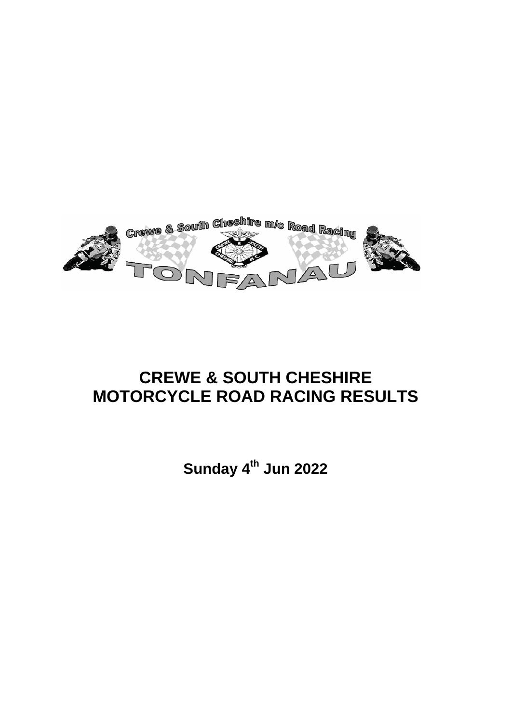

# **CREWE & SOUTH CHESHIRE MOTORCYCLE ROAD RACING RESULTS**

**Sunday 4th Jun 2022**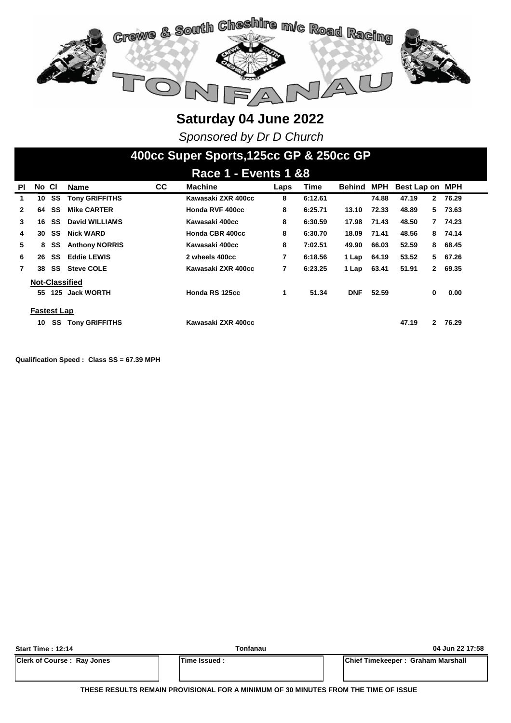

*Sponsored by Dr D Church*

### **400cc Super Sports,125cc GP & 250cc GP**

| . .<br>_________ |                    |     |                       |           |                    |      |         |               |       |                       |             |
|------------------|--------------------|-----|-----------------------|-----------|--------------------|------|---------|---------------|-------|-----------------------|-------------|
| <b>PI</b>        | No CI              |     | <b>Name</b>           | <b>CC</b> | <b>Machine</b>     | Laps | Time    | <b>Behind</b> | MPH   | Best Lap on MPH       |             |
| 1                | 10                 | SS  | <b>Tony GRIFFITHS</b> |           | Kawasaki ZXR 400cc | 8    | 6:12.61 |               | 74.88 | 47.19                 | 2 76.29     |
| $\mathbf{2}$     | 64                 | SS  | <b>Mike CARTER</b>    |           | Honda RVF 400cc    | 8    | 6:25.71 | 13.10         | 72.33 | 48.89                 | 73.63<br>5. |
| 3                | 16                 | SS  | David WILLIAMS        |           | Kawasaki 400cc     | 8    | 6:30.59 | 17.98         | 71.43 | 48.50<br>7            | 74.23       |
| 4                | 30                 | SS  | <b>Nick WARD</b>      |           | Honda CBR 400cc    | 8    | 6:30.70 | 18.09         | 71.41 | 48.56                 | 8 74.14     |
| 5                | 8                  | SS  | <b>Anthony NORRIS</b> |           | Kawasaki 400cc     | 8    | 7:02.51 | 49.90         | 66.03 | 52.59<br>8            | 68.45       |
| 6                | 26                 | SS  | <b>Eddie LEWIS</b>    |           | 2 wheels 400cc     | 7    | 6:18.56 | 1 Lap         | 64.19 | 53.52<br>5            | 67.26       |
| 7                | 38                 | SS  | <b>Steve COLE</b>     |           | Kawasaki ZXR 400cc | 7    | 6:23.25 | 1 Lap         | 63.41 | 51.91<br>$\mathbf{2}$ | 69.35       |
|                  |                    |     | <b>Not-Classified</b> |           |                    |      |         |               |       |                       |             |
|                  | 55                 | 125 | <b>Jack WORTH</b>     |           | Honda RS 125cc     | 1    | 51.34   | <b>DNF</b>    | 52.59 | 0                     | 0.00        |
|                  |                    |     |                       |           |                    |      |         |               |       |                       |             |
|                  | <b>Fastest Lap</b> |     |                       |           |                    |      |         |               |       |                       |             |
|                  | 10                 | SS  | <b>Tony GRIFFITHS</b> |           | Kawasaki ZXR 400cc |      |         |               |       | 47.19                 | 2 76.29     |

**Qualification Speed : Class SS = 67.39 MPH** 

| <b>Start Time: 12:14</b>          | Tonfanau       | 04 Jun 22 17:58                   |
|-----------------------------------|----------------|-----------------------------------|
| <b>Clerk of Course: Ray Jones</b> | lTime Issued : | Chief Timekeeper: Graham Marshall |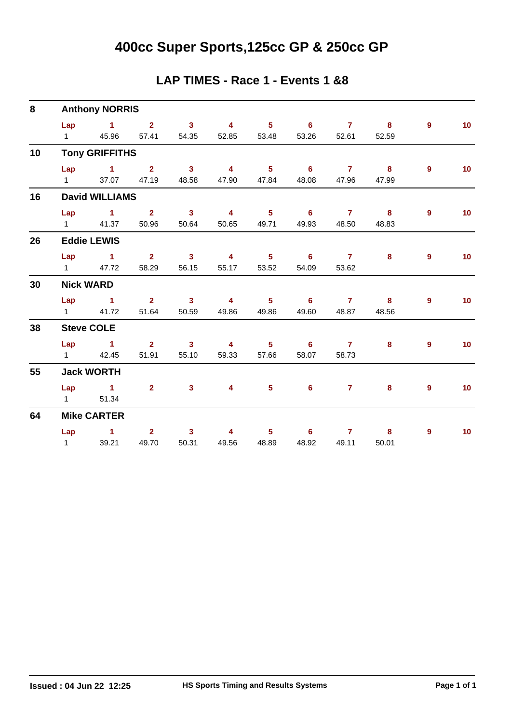# **400cc Super Sports,125cc GP & 250cc GP**

#### **LAP TIMES - Race 1 - Events 1 &8**

| 8  | <b>Anthony NORRIS</b> |                               |                |                            |                         |                            |                            |                |                         |                |                 |  |  |  |
|----|-----------------------|-------------------------------|----------------|----------------------------|-------------------------|----------------------------|----------------------------|----------------|-------------------------|----------------|-----------------|--|--|--|
|    | Lap                   | $\sim$ 1                      | 2 <sup>1</sup> | $\overline{\phantom{a}}$ 3 | $\overline{\mathbf{4}}$ | $\overline{\phantom{0}}$ 5 | $6^{\circ}$                | $\overline{7}$ | $\overline{\mathbf{8}}$ | $\mathbf{9}$   | 10 <sub>1</sub> |  |  |  |
|    |                       | 1 45.96                       | 57.41          | 54.35                      | 52.85                   | 53.48                      | 53.26                      | 52.61          | 52.59                   |                |                 |  |  |  |
| 10 |                       | <b>Tony GRIFFITHS</b>         |                |                            |                         |                            |                            |                |                         |                |                 |  |  |  |
|    | Lap                   | $\overline{1}$ $\overline{2}$ |                | $\overline{\mathbf{3}}$    | $\overline{4}$          | $\overline{\phantom{a}}$ 5 | $\overline{\phantom{0}}$ 6 | $\overline{7}$ | $\overline{\mathbf{8}}$ | $\overline{9}$ | 10 <sub>1</sub> |  |  |  |
|    | $1 \quad \Box$        | 37.07                         | 47.19          | 48.58                      | 47.90                   | 47.84                      | 48.08                      | 47.96          | 47.99                   |                |                 |  |  |  |
| 16 |                       | <b>David WILLIAMS</b>         |                |                            |                         |                            |                            |                |                         |                |                 |  |  |  |
|    | Lap                   | $\sim$ 1                      | $2^{\circ}$    | $\overline{\mathbf{3}}$    | $\overline{4}$          | 5 <sub>1</sub>             | $\overline{\phantom{0}}$ 6 | $\overline{7}$ | 8                       | 9              | 10 <sub>1</sub> |  |  |  |
|    |                       | 1 41.37                       | 50.96          | 50.64                      | 50.65                   | 49.71                      | 49.93                      | 48.50          | 48.83                   |                |                 |  |  |  |
| 26 |                       | <b>Eddie LEWIS</b>            |                |                            |                         |                            |                            |                |                         |                |                 |  |  |  |
|    | Lap                   | $\sim$ 1                      | $2^{\circ}$    | $\overline{\phantom{a}}$ 3 | $\overline{\mathbf{4}}$ | 5 <sub>5</sub>             | $\overline{\phantom{0}}$ 6 | $\overline{7}$ | 8                       | 9              | 10 <sub>1</sub> |  |  |  |
|    | $1 \quad \Box$        | 47.72                         | 58.29          | 56.15                      | 55.17                   | 53.52                      | 54.09                      | 53.62          |                         |                |                 |  |  |  |
| 30 |                       | <b>Nick WARD</b>              |                |                            |                         |                            |                            |                |                         |                |                 |  |  |  |
|    | Lap                   | $\sim$ $-1$                   | $2^{\circ}$    | $\overline{\mathbf{3}}$    | $\overline{\mathbf{4}}$ | 5 <sub>1</sub>             | $6^{\circ}$                | $\overline{7}$ | $\overline{\mathbf{8}}$ | 9              | 10 <sub>1</sub> |  |  |  |
|    | $1 \quad \Box$        | 41.72                         | 51.64          | 50.59                      | 49.86                   | 49.86                      | 49.60                      | 48.87          | 48.56                   |                |                 |  |  |  |
| 38 |                       | <b>Steve COLE</b>             |                |                            |                         |                            |                            |                |                         |                |                 |  |  |  |
|    | Lap                   | $\sim$ $\sim$ 1               | $\overline{2}$ | $\mathbf{3}$               | $\overline{4}$          | 5 <sub>1</sub>             | $\overline{\phantom{0}}$ 6 | $\overline{7}$ | 8                       | 9              | 10              |  |  |  |
|    |                       | 1 42.45                       | 51.91          | 55.10                      | 59.33                   | 57.66                      | 58.07                      | 58.73          |                         |                |                 |  |  |  |
| 55 |                       | <b>Jack WORTH</b>             |                |                            |                         |                            |                            |                |                         |                |                 |  |  |  |
|    | Lap                   | $\sim$ $\sim$ 1               | $\overline{2}$ | $\overline{\mathbf{3}}$    | 4 <sup>1</sup>          | $5^{\circ}$                | $6^{\circ}$                | 7 <sup>7</sup> | 8                       | $\overline{9}$ | 10              |  |  |  |
|    | $1 \quad \Box$        | 51.34                         |                |                            |                         |                            |                            |                |                         |                |                 |  |  |  |
| 64 |                       | <b>Mike CARTER</b>            |                |                            |                         |                            |                            |                |                         |                |                 |  |  |  |
|    | Lap                   | $\sim$ 1                      | 2 <sup>1</sup> | 3 <sup>1</sup>             | $\overline{\mathbf{4}}$ | 5 <sub>1</sub>             | 6                          | $\mathbf{7}$   | 8                       | 9              | 10              |  |  |  |
|    | $1 \quad \Box$        | 39.21                         | 49.70          | 50.31                      | 49.56                   | 48.89                      | 48.92                      | 49.11          | 50.01                   |                |                 |  |  |  |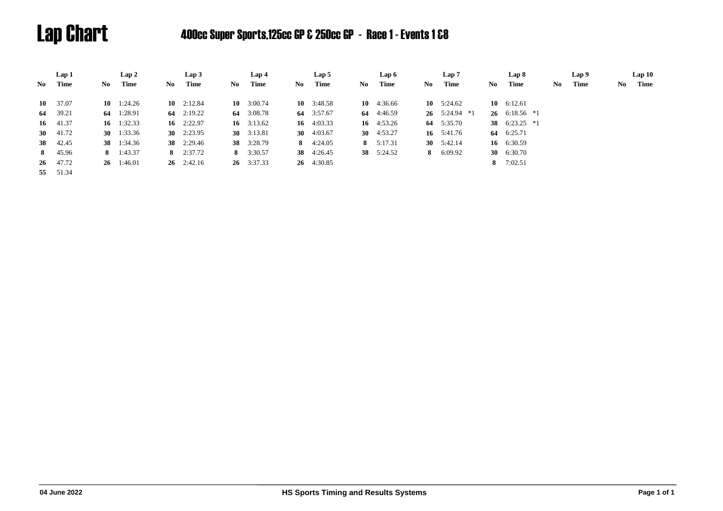# Lap Chart 400cc Super Sports,125cc GP & 250cc GP - Race 1 - Events 1 &8

|      | Lap 1            |     | Lap2               |     | Lap3               |     | Lap 4              |      | Lap 5              |     | Lap 6        |    | Lap 7           |     | Lap 8           |    | Lap 9 |     | Lap10 |
|------|------------------|-----|--------------------|-----|--------------------|-----|--------------------|------|--------------------|-----|--------------|----|-----------------|-----|-----------------|----|-------|-----|-------|
| No - | Time             | No. | Time               | No. | Time               | No. | Time               | No - | Time               | No. | Time         | No | Time            | No. | <b>Time</b>     | No | Time  | No. | Time  |
|      | $10 \quad 37.07$ |     | $10 \quad 1:24.26$ |     | 10 $2:12.84$       |     | 10 $3:00.74$       |      | $10 \quad 3:48.58$ |     | 10 $4:36.66$ |    | 10 $5:24.62$    |     | 10 $6:12.61$    |    |       |     |       |
|      | 64 39.21         |     | 64 1:28.91         |     | 64 $2:19.22$       |     | 64 3:08.78         |      | 64 3:57.67         |     | 64 4:46.59   |    | 26 $5:24.94$ *1 |     | 26 $6:18.56$ *1 |    |       |     |       |
|      | $16 \quad 41.37$ |     | 16 $1:32.33$       |     | 16 $2:22.97$       |     | 16 $3:13.62$       |      | 16 $4:03.33$       |     | 16 $4:53.26$ |    | 64 5:35.70      |     | 38 $6:23.25$ *1 |    |       |     |       |
|      | 30 $41.72$       |     | 30 $1:33.36$       |     | 30 $2:23.95$       |     | 30 $3:13.81$       |      | 30 $4:03.67$       |     | 30 $4:53.27$ |    | 16 $5:41.76$    |     | 64 6:25.71      |    |       |     |       |
|      | 38 42.45         |     | 38 1:34.36         |     | <b>38</b> 2:29.46  |     | 38 3:28.79         |      | 8 $4:24.05$        |     | 8 $5:17.31$  |    | 30 $5:42.14$    |     | 16 6:30.59      |    |       |     |       |
|      | 8 45.96          |     | 8 $1:43.37$        |     | 8 $2:37.72$        |     | 8 $3:30.57$        |      | <b>38</b> 4:26.45  |     | 38 5:24.52   |    | 8 $6:09.92$     |     | 30 $6:30.70$    |    |       |     |       |
|      | 26 47.72         |     | $26 \quad 1:46.01$ |     | $26 \quad 2:42.16$ |     | $26 \quad 3:37.33$ |      | 26 4:30.85         |     |              |    |                 |     | 8 $7:02.51$     |    |       |     |       |
|      | 55 51.34         |     |                    |     |                    |     |                    |      |                    |     |              |    |                 |     |                 |    |       |     |       |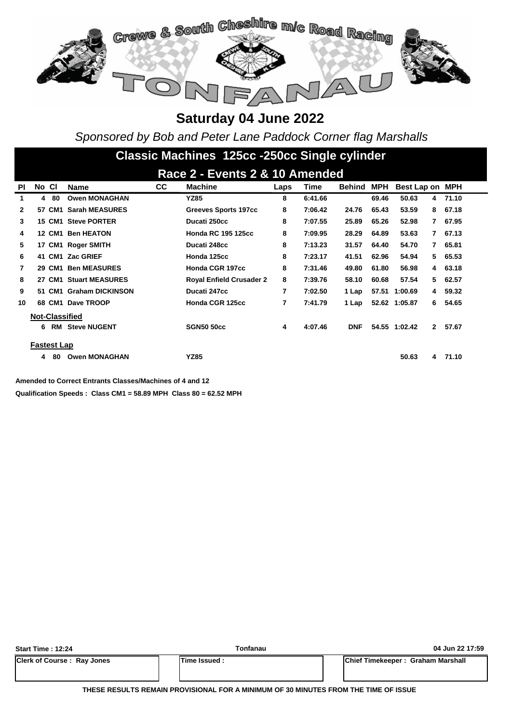

*Sponsored by Bob and Peter Lane Paddock Corner flag Marshalls*

# **Classic Machines 125cc -250cc Single cylinder**

| Race 2 - Events 2 & 10 Amended |       |                    |                         |     |                                 |      |         |            |       |                 |              |         |  |
|--------------------------------|-------|--------------------|-------------------------|-----|---------------------------------|------|---------|------------|-------|-----------------|--------------|---------|--|
| <b>PI</b>                      | No CI |                    | <b>Name</b>             | CC. | <b>Machine</b>                  | Laps | Time    | Behind     | MPH   | Best Lap on MPH |              |         |  |
| 1                              | 4     | -80                | <b>Owen MONAGHAN</b>    |     | <b>YZ85</b>                     | 8    | 6:41.66 |            | 69.46 | 50.63           | 4            | 71.10   |  |
| 2                              |       | 57 CM1             | <b>Sarah MEASURES</b>   |     | <b>Greeves Sports 197cc</b>     | 8    | 7:06.42 | 24.76      | 65.43 | 53.59           | 8            | 67.18   |  |
| 3                              |       |                    | 15 CM1 Steve PORTER     |     | Ducati 250cc                    | 8    | 7:07.55 | 25.89      | 65.26 | 52.98           | $\mathbf{7}$ | 67.95   |  |
| 4                              |       | 12 CM1             | <b>Ben HEATON</b>       |     | <b>Honda RC 195 125cc</b>       | 8    | 7:09.95 | 28.29      | 64.89 | 53.63           | $\mathbf{7}$ | 67.13   |  |
| 5                              |       |                    | 17 CM1 Roger SMITH      |     | Ducati 248cc                    | 8    | 7:13.23 | 31.57      | 64.40 | 54.70           | $\mathbf{7}$ | 65.81   |  |
| 6                              |       |                    | 41 CM1 Zac GRIEF        |     | Honda 125cc                     | 8    | 7:23.17 | 41.51      | 62.96 | 54.94           |              | 5 65.53 |  |
| 7                              |       | 29 CM1             | <b>Ben MEASURES</b>     |     | Honda CGR 197cc                 | 8    | 7:31.46 | 49.80      | 61.80 | 56.98           | 4            | 63.18   |  |
| 8                              |       | 27 CM1             | <b>Stuart MEASURES</b>  |     | <b>Royal Enfield Crusader 2</b> | 8    | 7:39.76 | 58.10      | 60.68 | 57.54           | 5            | 62.57   |  |
| 9                              |       | 51 CM1             | <b>Graham DICKINSON</b> |     | Ducati 247cc                    | 7    | 7:02.50 | 1 Lap      | 57.51 | 1:00.69         | 4            | 59.32   |  |
| 10                             |       |                    | 68 CM1 Dave TROOP       |     | Honda CGR 125cc                 | 7    | 7:41.79 | 1 Lap      |       | 52.62 1:05.87   | 6            | 54.65   |  |
|                                |       |                    | <b>Not-Classified</b>   |     |                                 |      |         |            |       |                 |              |         |  |
|                                | 6     | RM                 | <b>Steve NUGENT</b>     |     | <b>SGN50 50cc</b>               | 4    | 4:07.46 | <b>DNF</b> |       | 54.55 1:02.42   | $\mathbf{2}$ | 57.67   |  |
|                                |       |                    |                         |     |                                 |      |         |            |       |                 |              |         |  |
|                                |       | <b>Fastest Lap</b> |                         |     |                                 |      |         |            |       |                 |              |         |  |
|                                | 4     | 80                 | <b>Owen MONAGHAN</b>    |     | <b>YZ85</b>                     |      |         |            |       | 50.63           | 4            | 71.10   |  |

**Amended to Correct Entrants Classes/Machines of 4 and 12**

**Qualification Speeds : Class CM1 = 58.89 MPH Class 80 = 62.52 MPH** 

| <b>Start Time: 12:24</b>          | Tonfanau     | 04 Jun 22 17:59                   |
|-----------------------------------|--------------|-----------------------------------|
| <b>Clerk of Course: Ray Jones</b> | Time Issued: | Chief Timekeeper: Graham Marshall |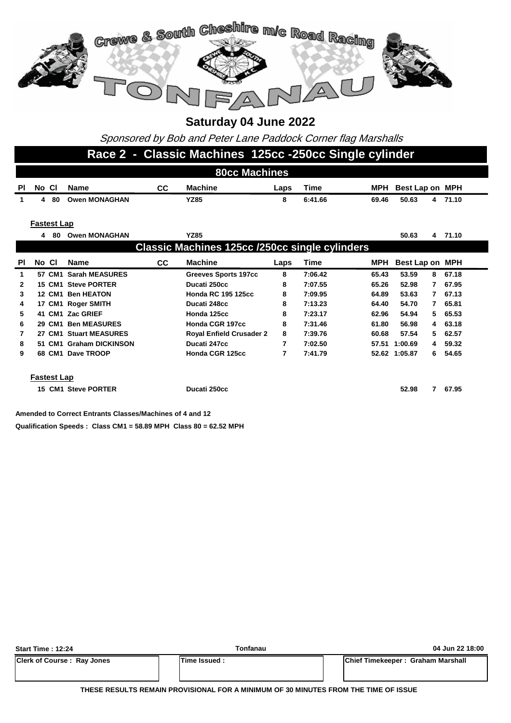

Sponsored by Bob and Peter Lane Paddock Corner flag Marshalls

#### **Race 2 - Classic Machines 125cc -250cc Single cylinder**

|              | <b>80cc Machines</b>                           |      |                         |           |                                 |      |             |       |                         |         |  |  |  |  |
|--------------|------------------------------------------------|------|-------------------------|-----------|---------------------------------|------|-------------|-------|-------------------------|---------|--|--|--|--|
| ΡI           | No Cl                                          |      | <b>Name</b>             | <b>CC</b> | <b>Machine</b>                  | Laps | Time        | MPH   | Best Lap on MPH         |         |  |  |  |  |
| $\mathbf 1$  |                                                | 4 80 | <b>Owen MONAGHAN</b>    |           | <b>YZ85</b>                     | 8    | 6:41.66     | 69.46 | 50.63                   | 4 71.10 |  |  |  |  |
|              |                                                |      |                         |           |                                 |      |             |       |                         |         |  |  |  |  |
|              | <b>Fastest Lap</b>                             |      |                         |           |                                 |      |             |       |                         |         |  |  |  |  |
|              | 4                                              | 80   | <b>Owen MONAGHAN</b>    |           | <b>YZ85</b>                     |      |             |       | 50.63<br>$\overline{4}$ | 71.10   |  |  |  |  |
|              | Classic Machines 125cc /250cc single cylinders |      |                         |           |                                 |      |             |       |                         |         |  |  |  |  |
| PI           | No CI                                          |      | <b>Name</b>             | <b>CC</b> | <b>Machine</b>                  | Laps | <b>Time</b> | MPH   | Best Lap on MPH         |         |  |  |  |  |
| 1            |                                                |      | 57 CM1 Sarah MEASURES   |           | <b>Greeves Sports 197cc</b>     | 8    | 7:06.42     | 65.43 | 53.59<br>8              | 67.18   |  |  |  |  |
| $\mathbf{2}$ |                                                |      | 15 CM1 Steve PORTER     |           | Ducati 250cc                    | 8    | 7:07.55     | 65.26 | 52.98<br>7              | 67.95   |  |  |  |  |
| 3            |                                                |      | 12 CM1 Ben HEATON       |           | <b>Honda RC 195 125cc</b>       | 8    | 7:09.95     | 64.89 | 53.63<br>7              | 67.13   |  |  |  |  |
| 4            |                                                |      | 17 CM1 Roger SMITH      |           | Ducati 248cc                    | 8    | 7:13.23     | 64.40 | 54.70<br>7              | 65.81   |  |  |  |  |
| 5            |                                                |      | 41 CM1 Zac GRIEF        |           | Honda 125cc                     | 8    | 7:23.17     | 62.96 | 54.94<br>5.             | 65.53   |  |  |  |  |
| 6            |                                                |      | 29 CM1 Ben MEASURES     |           | Honda CGR 197cc                 | 8    | 7:31.46     | 61.80 | 56.98<br>4              | 63.18   |  |  |  |  |
| 7            |                                                |      | 27 CM1 Stuart MEASURES  |           | <b>Royal Enfield Crusader 2</b> | 8    | 7:39.76     | 60.68 | 57.54<br>5              | 62.57   |  |  |  |  |
| 8            |                                                |      | 51 CM1 Graham DICKINSON |           | Ducati 247cc                    | 7    | 7:02.50     | 57.51 | 1:00.69<br>4            | 59.32   |  |  |  |  |
| 9            |                                                |      | 68 CM1 Dave TROOP       |           | Honda CGR 125cc                 | 7    | 7:41.79     |       | 52.62 1:05.87<br>6      | 54.65   |  |  |  |  |
|              |                                                |      |                         |           |                                 |      |             |       |                         |         |  |  |  |  |
|              | <b>Fastest Lap</b>                             |      |                         |           |                                 |      |             |       |                         |         |  |  |  |  |
|              |                                                |      | 15 CM1 Steve PORTER     |           | Ducati 250cc                    |      |             |       | 52.98<br>7              | 67.95   |  |  |  |  |
|              |                                                |      |                         |           |                                 |      |             |       |                         |         |  |  |  |  |

**Qualification Speeds : Class CM1 = 58.89 MPH Class 80 = 62.52 MPH Amended to Correct Entrants Classes/Machines of 4 and 12**

| <b>Start Time: 12:24</b>          | Tonfanau             | 04 Jun 22 18:00                           |
|-----------------------------------|----------------------|-------------------------------------------|
| <b>Clerk of Course: Ray Jones</b> | <b>ITime Issued:</b> | <b>IChief Timekeeper: Graham Marshall</b> |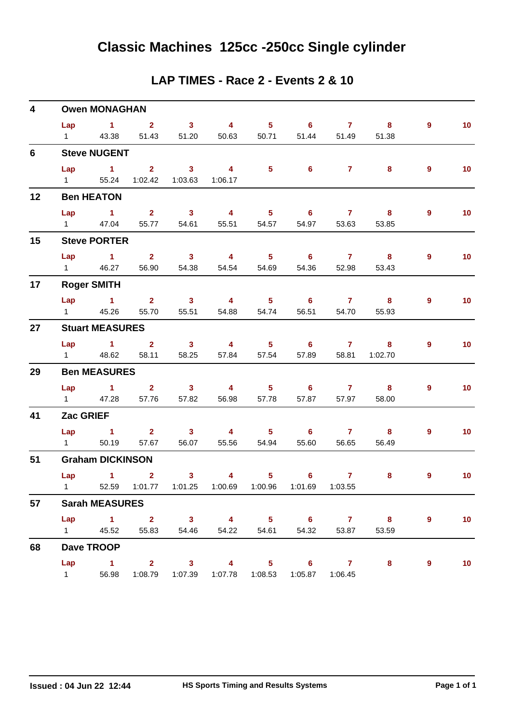#### **LAP TIMES - Race 2 - Events 2 & 10**

| 4  | <b>Owen MONAGHAN</b>   |                               |                               |                         |                                                         |                            |                            |                |                            |   |                 |  |  |  |
|----|------------------------|-------------------------------|-------------------------------|-------------------------|---------------------------------------------------------|----------------------------|----------------------------|----------------|----------------------------|---|-----------------|--|--|--|
|    |                        | $Lap$ 1 2                     |                               | $\overline{\mathbf{3}}$ | $\overline{4}$                                          | $\overline{\phantom{a}}$ 5 | $\overline{\phantom{a}}$ 6 | $\overline{7}$ | $\overline{\mathbf{8}}$    | 9 | 10 <sub>1</sub> |  |  |  |
|    | $1 \quad \Box$         | 43.38                         |                               | 51.43 51.20             | 50.63                                                   |                            | 50.71 51.44                | 51.49          | 51.38                      |   |                 |  |  |  |
| 6  |                        | <b>Steve NUGENT</b>           |                               |                         |                                                         |                            |                            |                |                            |   |                 |  |  |  |
|    |                        | $Lap$ 1                       | $\overline{\mathbf{2}}$       | $\sim$ 3                | $\overline{\mathbf{4}}$                                 | $\overline{\phantom{0}}$ 5 | $\overline{\phantom{0}}$ 6 | $\overline{7}$ | 8                          | 9 | 10 <sub>1</sub> |  |  |  |
|    | $1 \qquad \qquad$      |                               | 55.24  1:02.42  1:03.63       |                         | 1:06.17                                                 |                            |                            |                |                            |   |                 |  |  |  |
| 12 |                        | <b>Ben HEATON</b>             |                               |                         |                                                         |                            |                            |                |                            |   |                 |  |  |  |
|    | Lap                    | $\sim$ $\sim$ 1               |                               | $2 \t 3$                | $\overline{4}$                                          | $\overline{\phantom{0}}$ 5 |                            | 6 7 8          |                            | 9 | 10 <sub>1</sub> |  |  |  |
|    |                        | 1 47.04                       |                               | 55.77 54.61             | 55.51                                                   | 54.57                      | 54.97                      | 53.63          | 53.85                      |   |                 |  |  |  |
| 15 |                        | <b>Steve PORTER</b>           |                               |                         |                                                         |                            |                            |                |                            |   |                 |  |  |  |
|    | Lap                    |                               |                               | $1 \t 2 \t 3$           | $\overline{4}$                                          | $\overline{\phantom{0}}$ 5 | $\overline{\phantom{a}}$ 6 | $\overline{7}$ | $\overline{\phantom{a}}$ 8 | 9 | 10              |  |  |  |
|    | $1 \qquad \qquad$      | 46.27                         |                               | 56.90 54.38             | 54.54                                                   | 54.69                      | 54.36                      | 52.98          | 53.43                      |   |                 |  |  |  |
| 17 |                        | <b>Roger SMITH</b>            |                               |                         |                                                         |                            |                            |                |                            |   |                 |  |  |  |
|    |                        |                               | $Lap$ 1 2                     | $\overline{\mathbf{3}}$ | $\overline{4}$                                          | $\overline{\phantom{a}}$ 5 | $\overline{\phantom{a}}$ 6 |                | $7 \t 8$                   | 9 | 10 <sub>1</sub> |  |  |  |
|    | $1 \qquad \qquad$      | 45.26                         | 55.70                         | 55.51                   | 54.88                                                   | 54.74                      | 56.51                      | 54.70          | 55.93                      |   |                 |  |  |  |
| 27 |                        | <b>Stuart MEASURES</b>        |                               |                         |                                                         |                            |                            |                |                            |   |                 |  |  |  |
|    |                        |                               |                               |                         | Lap 1 2 3 4 5 6 7 8                                     |                            |                            |                |                            | 9 | 10 <sub>1</sub> |  |  |  |
|    |                        | 1 48.62                       |                               | 58.11 58.25             | 57.84                                                   | 57.54                      | 57.89                      | 58.81          | 1:02.70                    |   |                 |  |  |  |
| 29 |                        | <b>Ben MEASURES</b>           |                               |                         |                                                         |                            |                            |                |                            |   |                 |  |  |  |
|    | Lap                    |                               |                               | $1 \t 2 \t 3$           | $\overline{\mathbf{4}}$                                 | $\overline{\phantom{0}}$ 5 |                            | $6$ $7$ $8$    |                            | 9 | 10 <sub>1</sub> |  |  |  |
|    | $1 \quad \cdots$       | 47.28                         | 57.76                         | 57.82                   | 56.98                                                   | 57.78                      | 57.87                      | 57.97          | 58.00                      |   |                 |  |  |  |
| 41 | Zac GRIEF              |                               |                               |                         |                                                         |                            |                            |                |                            |   |                 |  |  |  |
|    |                        | $Lap$ 1                       | $\overline{2}$ $\overline{3}$ |                         | $\overline{4}$                                          |                            | 5 6 7                      |                | 8                          | 9 | 10              |  |  |  |
|    | $1 \quad \blacksquare$ | 50.19                         |                               | 57.67 56.07             | 55.56                                                   | 54.94                      | 55.60                      | 56.65          | 56.49                      |   |                 |  |  |  |
| 51 |                        | <b>Graham DICKINSON</b>       |                               |                         |                                                         |                            |                            |                |                            |   |                 |  |  |  |
|    | Lap                    | $\overline{1}$ $\overline{2}$ |                               | 3 <sup>7</sup>          | $\overline{\mathbf{4}}$                                 | 5 <sub>1</sub>             | $\overline{\phantom{a}}$ 6 | $\overline{7}$ | 8                          | 9 | 10 <sub>1</sub> |  |  |  |
|    |                        |                               |                               |                         | 1 52.59 1:01.77 1:01.25 1:00.69 1:00.96 1:01.69 1:03.55 |                            |                            |                |                            |   |                 |  |  |  |
| 57 |                        | <b>Sarah MEASURES</b>         |                               |                         |                                                         |                            |                            |                |                            |   |                 |  |  |  |
|    |                        |                               |                               |                         | Lap 1 2 3 4 5 6 7 8                                     |                            |                            |                |                            | 9 | 10              |  |  |  |
|    |                        |                               |                               | 1 45.52 55.83 54.46     | 54.22                                                   | 54.61                      | 54.32                      | 53.87          | 53.59                      |   |                 |  |  |  |
| 68 |                        | Dave TROOP                    |                               |                         |                                                         |                            |                            |                |                            |   |                 |  |  |  |
|    |                        | Lap 1                         | $\overline{\mathbf{2}}$       |                         | $3 \qquad \qquad 4$                                     | $\overline{\phantom{1}}$ 5 | $6 \qquad \qquad 7$        |                | 8                          | 9 | 10              |  |  |  |
|    | $1 \quad$              | 56.98                         |                               |                         | 1:08.79  1:07.39  1:07.78  1:08.53  1:05.87  1:06.45    |                            |                            |                |                            |   |                 |  |  |  |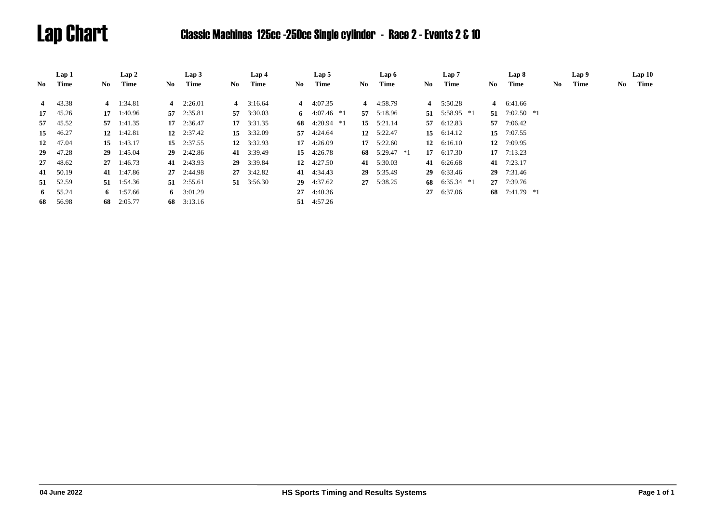# Lap Chart Classic Machines 125cc -250cc Single cylinder - Race 2 - Events 2 & 10

|    | Lap 1    |      | Lap2               |      | Lap3               |      | Lap 4              |      | Lap 5              |     | Lap 6              |     | Lap 7           |     | Lap 8           |    | Lap 9 |     | Lap10 |
|----|----------|------|--------------------|------|--------------------|------|--------------------|------|--------------------|-----|--------------------|-----|-----------------|-----|-----------------|----|-------|-----|-------|
| No | Time     | No - | Time               | No - | Time               | No - | Time               | No - | Time               | No. | Time               | No. | Time            | No. | Time            | No | Time  | No. | Time  |
| 4  | 43.38    |      | 4 $1:34.81$        |      | 4 $2:26.01$        |      | 4 $3:16.64$        |      | 4 $4:07.35$        |     | 4 4:58.79          |     | 4 $5:50.28$     |     | 4 6:41.66       |    |       |     |       |
|    |          |      |                    |      |                    |      |                    |      |                    |     |                    |     |                 |     |                 |    |       |     |       |
|    | 17 45.26 |      | $17 \quad 1:40.96$ |      | 57 2:35.81         |      | 57 3:30.03         |      | 6 $4:07.46*1$      |     | 57 5:18.96         |     | 51 $5:58.95$ *1 |     | 51 $7:02.50$ *1 |    |       |     |       |
|    | 57 45.52 |      | 57 1:41.35         |      | 17 2:36.47         |      | $17 \quad 3:31.35$ |      | 68 $4:20.94$ *1    |     | 15 $5:21.14$       |     | 57 6:12.83      |     | 57 7:06.42      |    |       |     |       |
| 15 | 46.27    |      | 12 $1:42.81$       |      | 12 $2:37.42$       |      | 15 3:32.09         |      | 57 4:24.64         |     | 12 $5:22.47$       |     | 15 $6:14.12$    | 15  | 7:07.55         |    |       |     |       |
| 12 | 47.04    |      | 15 $1:43.17$       |      | $15 \quad 2:37.55$ |      | 12 $3:32.93$       |      | $17 \quad 4:26.09$ |     | $17 \quad 5:22.60$ |     | 12 $6:16.10$    |     | 12 7:09.95      |    |       |     |       |
| 29 | 47.28    |      | 29 1:45.04         |      | $29$ 2:42.86       |      | 41 3:39.49         |      | 15 4:26.78         |     | 68 $5:29.47$ *1    |     | 17 $6:17.30$    |     | $17$ 7:13.23    |    |       |     |       |
| 27 | 48.62    |      | $27 \quad 1:46.73$ |      | 41 2:43.93         |      | 29 3:39.84         |      | 12 $4:27.50$       |     | 41 5:30.03         | 41  | 6:26.68         |     | 41 7:23.17      |    |       |     |       |
| 41 | 50.19    |      | 41 1:47.86         |      | $27 \quad 2:44.98$ |      | $27 \quad 3:42.82$ |      | 41 4:34.43         |     | 29 5:35.49         |     | 29 6:33.46      | 29  | 7:31.46         |    |       |     |       |
|    | 51 52.59 |      | 51 1:54.36         |      | $51 \quad 2:55.61$ |      | 51 3:56.30         |      | 29 4:37.62         |     | 27 5:38.25         |     | 68 6:35.34 $*1$ |     | 27 7:39.76      |    |       |     |       |
| 6  | 55.24    |      | 6 1:57.66          |      | 6 $3:01.29$        |      |                    |      | 27 4:40.36         |     |                    |     | 27 6:37.06      |     | 68 7:41.79 *1   |    |       |     |       |
| 68 | 56.98    |      | 68 2:05.77         |      | 68 3:13.16         |      |                    |      | 51 4:57.26         |     |                    |     |                 |     |                 |    |       |     |       |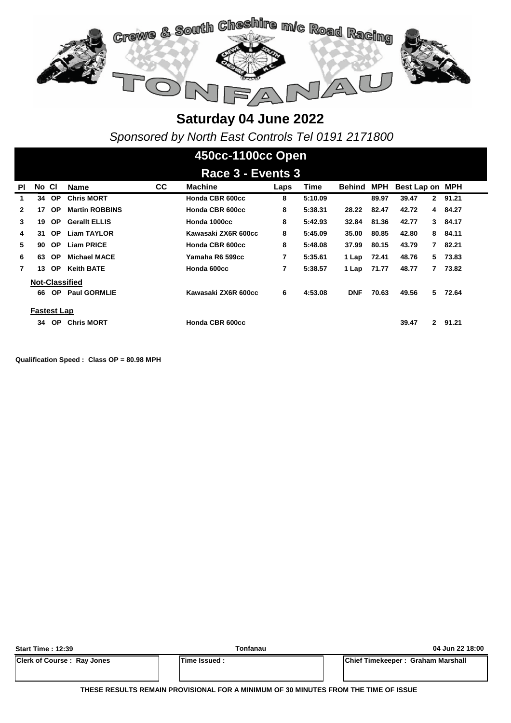

*Sponsored by North East Controls Tel 0191 2171800*

# **450cc-1100cc Open**

| Race 3 - Events 3                                                                                                    |                    |           |                       |           |                     |      |         |               |            |                         |         |  |  |
|----------------------------------------------------------------------------------------------------------------------|--------------------|-----------|-----------------------|-----------|---------------------|------|---------|---------------|------------|-------------------------|---------|--|--|
| ΡI                                                                                                                   | No CI              |           | Name                  | <b>CC</b> | <b>Machine</b>      | Laps | Time    | <b>Behind</b> | <b>MPH</b> | Best Lap on MPH         |         |  |  |
| 1                                                                                                                    | 34                 | <b>OP</b> | <b>Chris MORT</b>     |           | Honda CBR 600cc     | 8    | 5:10.09 |               | 89.97      | 39.47<br>$\mathbf{2}$   | 91.21   |  |  |
| 2                                                                                                                    | 17                 | <b>OP</b> | <b>Martin ROBBINS</b> |           | Honda CBR 600cc     | 8    | 5:38.31 | 28.22         | 82.47      | 42.72                   | 4 84.27 |  |  |
| 3                                                                                                                    | 19                 | <b>OP</b> | <b>Gerallt ELLIS</b>  |           | Honda 1000cc        | 8    | 5:42.93 | 32.84         | 81.36      | 42.77                   | 3 84.17 |  |  |
| 8<br>35.00<br>84.11<br>31<br>OP.<br><b>Liam TAYLOR</b><br>Kawasaki ZX6R 600cc<br>5:45.09<br>80.85<br>42.80<br>8<br>4 |                    |           |                       |           |                     |      |         |               |            |                         |         |  |  |
| 5                                                                                                                    | 90                 | OP.       | <b>Liam PRICE</b>     |           | Honda CBR 600cc     | 8    | 5:48.08 | 37.99         | 80.15      | 43.79<br>$\overline{7}$ | 82.21   |  |  |
| 6                                                                                                                    | 63                 | <b>OP</b> | <b>Michael MACE</b>   |           | Yamaha R6 599cc     | 7    | 5:35.61 | 1 Lap         | 72.41      | 5.<br>48.76             | 73.83   |  |  |
| 7                                                                                                                    | 13                 | OP.       | <b>Keith BATE</b>     |           | Honda 600cc         | 7    | 5:38.57 | 1 Lap         | 71.77      | 48.77<br>7              | 73.82   |  |  |
|                                                                                                                      |                    |           | <b>Not-Classified</b> |           |                     |      |         |               |            |                         |         |  |  |
|                                                                                                                      | 66                 | OP.       | <b>Paul GORMLIE</b>   |           | Kawasaki ZX6R 600cc | 6    | 4:53.08 | <b>DNF</b>    | 70.63      | 5.<br>49.56             | 72.64   |  |  |
|                                                                                                                      | <b>Fastest Lap</b> |           |                       |           |                     |      |         |               |            |                         |         |  |  |
|                                                                                                                      | 34                 | <b>OP</b> | <b>Chris MORT</b>     |           | Honda CBR 600cc     |      |         |               |            | 39.47<br>$\mathbf{2}$   | 91.21   |  |  |

**Qualification Speed : Class OP = 80.98 MPH** 

| <b>Start Time: 12:39</b>          | Tonfanau             | 04 Jun 22 18:00                   |
|-----------------------------------|----------------------|-----------------------------------|
| <b>Clerk of Course: Ray Jones</b> | <b>ITime Issued:</b> | Chief Timekeeper: Graham Marshall |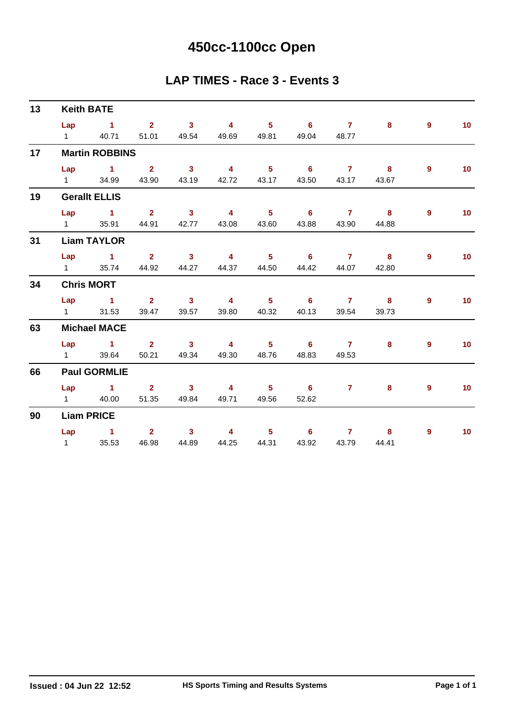# **450cc-1100cc Open**

#### **LAP TIMES - Race 3 - Events 3**

| 13 | <b>Keith BATE</b>                                 |                                   |       |       |                   |           |             |                |                   |
|----|---------------------------------------------------|-----------------------------------|-------|-------|-------------------|-----------|-------------|----------------|-------------------|
|    | $Lap$ 1                                           | 2 3 4 5 6 7                       |       |       |                   |           | 8           | 9              | 10 <sub>1</sub>   |
|    | 1 40.71 51.01 49.54 49.69 49.81 49.04 48.77       |                                   |       |       |                   |           |             |                |                   |
| 17 | <b>Martin ROBBINS</b>                             |                                   |       |       |                   |           |             |                |                   |
|    | Lap 1 2 3                                         |                                   |       |       |                   | 4 5 6 7 8 |             | $\overline{9}$ | 10                |
|    | 1 34.99 43.90 43.19                               |                                   |       |       | 42.72 43.17 43.50 |           | 43.17 43.67 |                |                   |
| 19 | <b>Gerallt ELLIS</b>                              |                                   |       |       |                   |           |             |                |                   |
|    | Lap 1 2 3 4                                       |                                   |       |       |                   | 5 6 7 8   |             | 9              | 10                |
|    | 1 35.91                                           | 44.91 42.77                       | 43.08 | 43.60 | 43.88             | 43.90     | 44.88       |                |                   |
| 31 | <b>Liam TAYLOR</b>                                |                                   |       |       |                   |           |             |                |                   |
|    | Lap 1 2 3 4 5 6 7 8                               |                                   |       |       |                   |           |             | 9              | $\overline{10}$   |
|    | 1 35.74 44.92 44.27 44.37 44.50 44.42 44.07 42.80 |                                   |       |       |                   |           |             |                |                   |
| 34 | <b>Chris MORT</b>                                 |                                   |       |       |                   |           |             |                |                   |
|    | Lap 1 2 3 4 5 6 7 8                               |                                   |       |       |                   |           |             | 9              | 10                |
|    | 1 31.53 39.47 39.57                               |                                   |       |       | 39.80 40.32 40.13 | 39.54     | 39.73       |                |                   |
| 63 | <b>Michael MACE</b>                               |                                   |       |       |                   |           |             |                |                   |
|    | Lap 1 2 3 4 5 6 7                                 |                                   |       |       |                   |           | 8           | 9              | 10 <sup>°</sup>   |
|    | 1 39.64                                           | 50.21 49.34                       | 49.30 |       | 48.76 48.83       | 49.53     |             |                |                   |
| 66 | <b>Paul GORMLIE</b>                               |                                   |       |       |                   |           |             |                |                   |
|    | Lap 1 2 3 4 5 6 7 8                               |                                   |       |       |                   |           |             | $\overline{9}$ | 10                |
|    | 1 40.00                                           | 51.35 49.84                       | 49.71 | 49.56 | 52.62             |           |             |                |                   |
| 90 | <b>Liam PRICE</b>                                 |                                   |       |       |                   |           |             |                |                   |
|    | Lap 1 2 3                                         |                                   |       |       |                   | 4 5 6 7 8 |             | 9              | $\blacksquare$ 10 |
|    | 1 35.53                                           | 46.98  44.89  44.25  44.31  43.92 |       |       |                   | 43.79     | 44.41       |                |                   |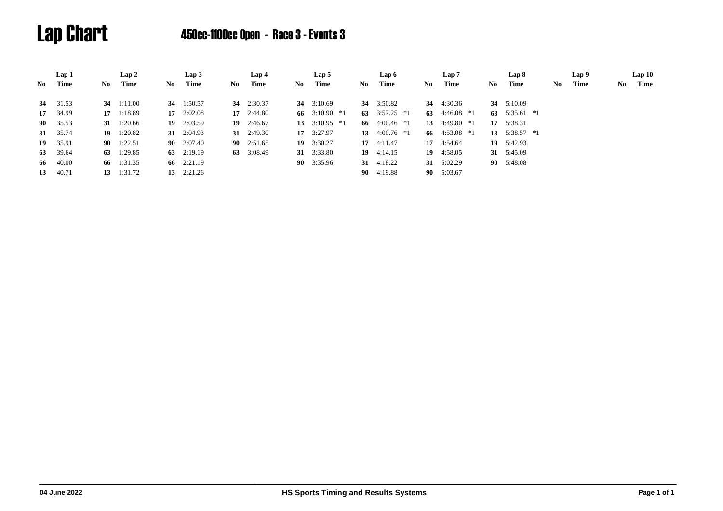# Lap Chart 450cc-1100cc Open - Race 3 - Events 3

|      | Lap 1    |     | Lap 2              |     | Lap3               |     | Lap 4              |     | Lap 5              |    | Lap 6              |    | Lap 7              |     | Lap 8              |     | Lap 9 |    | Lap10 |
|------|----------|-----|--------------------|-----|--------------------|-----|--------------------|-----|--------------------|----|--------------------|----|--------------------|-----|--------------------|-----|-------|----|-------|
| No 1 | Time     | No. | Time               | No. | Time               | No. | Time               | No. | Time               | No | Time               | No | Time               | No. | Time               | No. | Time  | No | Time  |
|      | 34 31.53 |     | 34 1:11.00         |     | 34 $1:50.57$       |     | 34 $2:30.37$       |     | 34 $3:10.69$       |    | 34 3:50.82         | 34 | 4:30.36            |     | 34 5:10.09         |     |       |    |       |
|      | 17 34.99 |     | 17 1:18.89         |     | $17 \quad 2:02.08$ |     | $17 \quad 2:44.80$ |     | 66 3:10.90 $*1$    |    | 63 3:57.25 $*1$    | 63 | $4:46.08*1$        |     | 63 $5:35.61$ *1    |     |       |    |       |
|      | 90 35.53 |     | 31 $1:20.66$       |     | $19 \quad 2:03.59$ |     | $19 \quad 2:46.67$ |     | 13 $3:10.95$ *1    |    | 66 $4:00.46*1$     | 13 | 4:49.80 *1         |     | 17 5:38.31         |     |       |    |       |
|      | 31 35.74 |     | 19 $1:20.82$       |     | 31 $2:04.93$       |     | 31 $2:49.30$       |     | $17 \quad 3:27.97$ |    | 13 $4:00.76$ *1    |    | 66 $4:53.08*1$     |     | 13 $5:38.57$ *1    |     |       |    |       |
|      | 19 35.91 |     | $90 \quad 1:22.51$ |     | 90 $2:07.40$       |     | $90 \quad 2:51.65$ |     | $19 \quad 3:30.27$ |    | $17 \quad 4:11.47$ |    | $17 \quad 4:54.64$ |     | $19 \quad 5:42.93$ |     |       |    |       |
|      | 63 39.64 |     | 63 $1:29.85$       |     | 63 $2:19.19$       |     | 63 3:08.49         |     | 31 3:33.80         |    | $19 \quad 4:14.15$ |    | $19 \quad 4:58.05$ |     | 31 5:45.09         |     |       |    |       |
|      | 66 40.00 |     | 66 1:31.35         |     | 66 2:21.19         |     |                    |     | 90 3:35.96         |    | 31 $4:18.22$       |    | 31 $5:02.29$       |     | 90 5:48.08         |     |       |    |       |
|      | 13 40.71 |     | $13 \quad 1:31.72$ |     | 13 $2:21.26$       |     |                    |     |                    |    | $90 \quad 4:19.88$ |    | 90 5:03.67         |     |                    |     |       |    |       |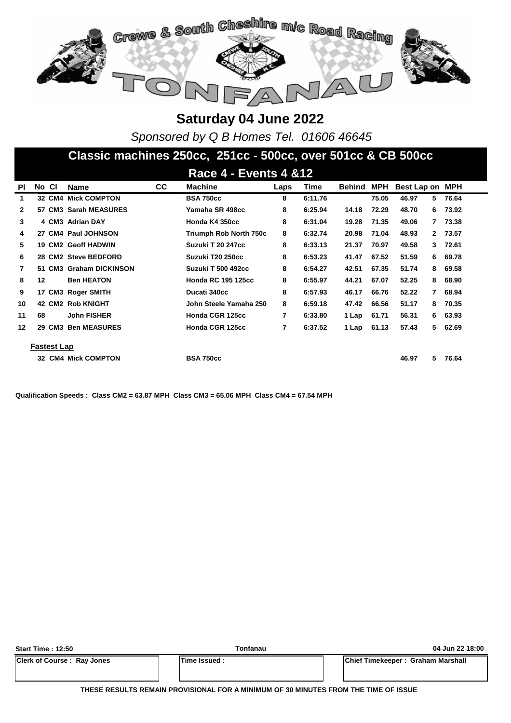

*Sponsored by Q B Homes Tel. 01606 46645*

#### **Classic machines 250cc, 251cc - 500cc, over 501cc & CB 500cc**

|                |       |             |                            |           | <b>Race 4 - Events 4 &amp; 12</b> |      |         |        |       |                         |                         |  |
|----------------|-------|-------------|----------------------------|-----------|-----------------------------------|------|---------|--------|-------|-------------------------|-------------------------|--|
| ΡI             | No CI |             | <b>Name</b>                | <b>CC</b> | <b>Machine</b>                    | Laps | Time    | Behind | MPH   | Best Lap on             | <b>MPH</b>              |  |
| 1              |       |             | <b>32 CM4 Mick COMPTON</b> |           | <b>BSA 750cc</b>                  | 8    | 6:11.76 |        | 75.05 | 46.97<br>5.             | 76.64                   |  |
| $\mathbf{2}$   |       |             | 57 CM3 Sarah MEASURES      |           | Yamaha SR 498cc                   | 8    | 6:25.94 | 14.18  | 72.29 | 48.70<br>6.             | 73.92                   |  |
| 3              |       |             | 4 CM3 Adrian DAY           |           | Honda K4 350cc                    | 8    | 6:31.04 | 19.28  | 71.35 | 49.06                   | 73.38<br>7              |  |
| 4              |       |             | 27 CM4 Paul JOHNSON        |           | <b>Triumph Rob North 750c</b>     | 8    | 6:32.74 | 20.98  | 71.04 | 48.93                   | 73.57<br>$\mathbf{2}^-$ |  |
| 5              |       |             | <b>19 CM2 Geoff HADWIN</b> |           | Suzuki T 20 247cc                 | 8    | 6:33.13 | 21.37  | 70.97 | 49.58                   | 72.61<br>3.             |  |
| 6              |       |             | 28 CM2 Steve BEDFORD       |           | Suzuki T20 250cc                  | 8    | 6:53.23 | 41.47  | 67.52 | 51.59<br>6              | 69.78                   |  |
| $\overline{7}$ |       |             | 51 CM3 Graham DICKINSON    |           | <b>Suzuki T 500 492cc</b>         | 8    | 6:54.27 | 42.51  | 67.35 | 51.74<br>8              | 69.58                   |  |
| 8              | 12    |             | <b>Ben HEATON</b>          |           | <b>Honda RC 195 125cc</b>         | 8    | 6:55.97 | 44.21  | 67.07 | 52.25<br>8              | 68.90                   |  |
| 9              |       |             | 17 CM3 Roger SMITH         |           | Ducati 340cc                      | 8    | 6:57.93 | 46.17  | 66.76 | 52.22<br>$\overline{7}$ | 68.94                   |  |
| 10             |       |             | <b>42 CM2 Rob KNIGHT</b>   |           | John Steele Yamaha 250            | 8    | 6:59.18 | 47.42  | 66.56 | 51.17<br>8              | 70.35                   |  |
| 11             | 68    |             | <b>John FISHER</b>         |           | Honda CGR 125cc                   | 7    | 6:33.80 | 1 Lap  | 61.71 | 56.31                   | 63.93<br>6.             |  |
| 12             |       |             | 29 CM3 Ben MEASURES        |           | Honda CGR 125cc                   | 7    | 6:37.52 | 1 Lap  | 61.13 | 57.43<br>5              | 62.69                   |  |
|                |       | Fastest Lap |                            |           |                                   |      |         |        |       |                         |                         |  |
|                |       |             | 32 CM4 Mick COMPTON        |           | <b>BSA 750cc</b>                  |      |         |        |       | 46.97<br>5.             | 76.64                   |  |

**Qualification Speeds : Class CM2 = 63.87 MPH Class CM3 = 65.06 MPH Class CM4 = 67.54 MPH** 

| <b>Start Time: 12:50</b>          | Tonfanau           | 04 Jun 22 18:00                   |
|-----------------------------------|--------------------|-----------------------------------|
| <b>Clerk of Course: Ray Jones</b> | <b>Time Issued</b> | Chief Timekeeper: Graham Marshall |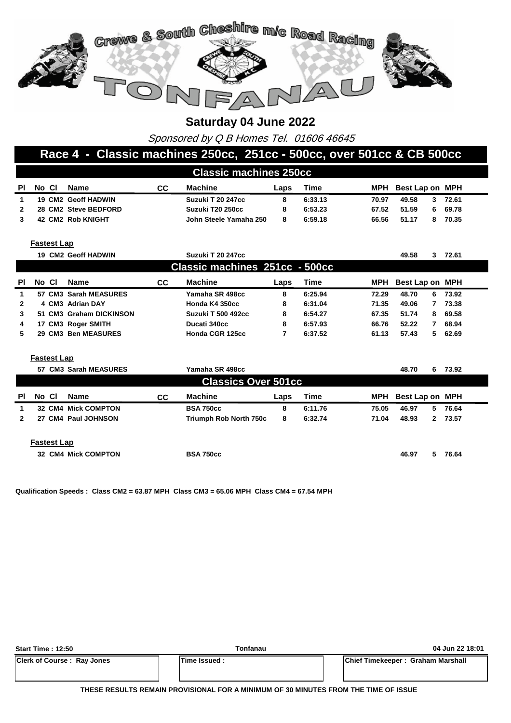

Sponsored by Q B Homes Tel. 01606 46645

#### **Race 4 - Classic machines 250cc, 251cc - 500cc, over 501cc & CB 500cc**

|     | <b>Classic machines 250cc</b> |                      |    |                        |      |         |       |                     |       |  |  |  |  |
|-----|-------------------------------|----------------------|----|------------------------|------|---------|-------|---------------------|-------|--|--|--|--|
| PI. | No Cl                         | Name                 | СC | Machine                | Laps | Time    |       | MPH Best Lap on MPH |       |  |  |  |  |
|     |                               | 19 CM2 Geoff HADWIN  |    | Suzuki T 20 247cc      | 8    | 6:33.13 | 70.97 | 49.58<br>3          | 72.61 |  |  |  |  |
|     |                               | 28 CM2 Steve BEDFORD |    | Suzuki T20 250cc       | 8    | 6:53.23 | 67.52 | 51.59<br>6.         | 69.78 |  |  |  |  |
|     |                               | 42 CM2 Rob KNIGHT    |    | John Steele Yamaha 250 | 8    | 6:59.18 | 66.56 | 51.17               | 70.35 |  |  |  |  |
|     |                               |                      |    |                        |      |         |       |                     |       |  |  |  |  |

**Fastest Lap**

|              |       | <b>19 CM2 Geoff HADWIN</b> |    | Suzuki T 20 247cc              |      |         |            | 49.58           | 72.61<br>3  |
|--------------|-------|----------------------------|----|--------------------------------|------|---------|------------|-----------------|-------------|
|              |       |                            |    | Classic machines 251cc - 500cc |      |         |            |                 |             |
| PI           | No Cl | Name                       | СC | <b>Machine</b>                 | Laps | Time    | <b>MPH</b> | Best Lap on MPH |             |
| 1            |       | 57 CM3 Sarah MEASURES      |    | Yamaha SR 498cc                | 8    | 6:25.94 | 72.29      | 48.70           | 73.92<br>6. |
| $\mathbf{2}$ |       | 4 CM3 Adrian DAY           |    | Honda K4 350cc                 | 8    | 6:31.04 | 71.35      | 49.06           | 73.38       |
| 3            |       | 51 CM3 Graham DICKINSON    |    | <b>Suzuki T 500 492cc</b>      | 8    | 6:54.27 | 67.35      | 51.74           | 69.58<br>8. |
| 4            |       | 17 CM3 Roger SMITH         |    | Ducati 340cc                   | 8    | 6:57.93 | 66.76      | 52.22           | 68.94       |
| 5.           |       | 29 CM3 Ben MEASURES        |    | Honda CGR 125cc                |      | 6:37.52 | 61.13      | 57.43           | 62.69<br>5. |

**Fastest Lap**

|              |       |                    | 57 CM3 Sarah MEASURES      |           | Yamaha SR 498cc            |      |         |       | 48.70<br>6.     | 73.92   |
|--------------|-------|--------------------|----------------------------|-----------|----------------------------|------|---------|-------|-----------------|---------|
|              |       |                    |                            |           | <b>Classics Over 501cc</b> |      |         |       |                 |         |
| ΡI           | No CI |                    | Name                       | <b>CC</b> | <b>Machine</b>             | Laps | Time    | MPH   | Best Lap on MPH |         |
| 1            |       |                    | <b>32 CM4 Mick COMPTON</b> |           | <b>BSA 750cc</b>           | 8    | 6:11.76 | 75.05 | 46.97<br>5.     | 76.64   |
| $\mathbf{2}$ |       |                    | 27 CM4 Paul JOHNSON        |           | Triumph Rob North 750c     | 8    | 6:32.74 | 71.04 | 48.93           | 2 73.57 |
|              |       | <b>Fastest Lap</b> |                            |           |                            |      |         |       |                 |         |
|              |       |                    | <b>32 CM4 Mick COMPTON</b> |           | <b>BSA 750cc</b>           |      |         |       | 46.97<br>5.     | 76.64   |

**Qualification Speeds : Class CM2 = 63.87 MPH Class CM3 = 65.06 MPH Class CM4 = 67.54 MPH** 

| <b>Start Time: 12:50</b>          | Tonfanau      | 04 Jun 22 18:01                   |
|-----------------------------------|---------------|-----------------------------------|
| <b>Clerk of Course: Ray Jones</b> | Time Issued : | Chief Timekeeper: Graham Marshall |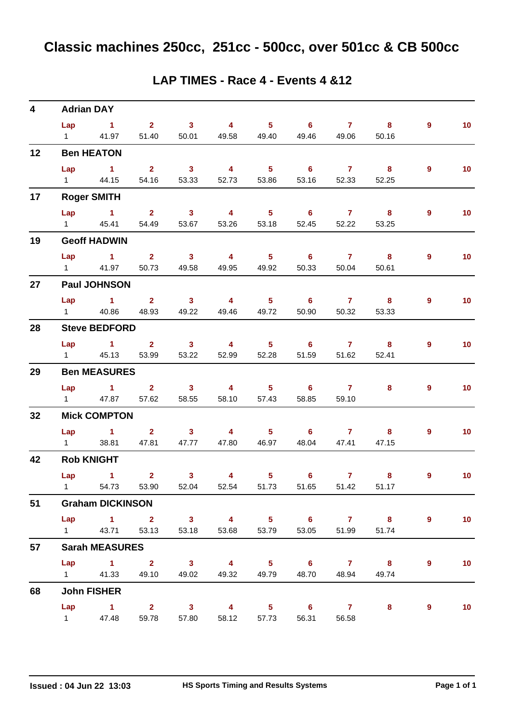| 4  | <b>Adrian DAY</b>             |                                           |                                  |                                  |                            |                            |                            |                       |                            |                |                 |
|----|-------------------------------|-------------------------------------------|----------------------------------|----------------------------------|----------------------------|----------------------------|----------------------------|-----------------------|----------------------------|----------------|-----------------|
|    | Lap                           | $\sim$ 1                                  | $2 \t 3$                         |                                  | $\overline{4}$             |                            | $5 \t\t 6$                 | $\mathbf{7}$          | 8                          | $\overline{9}$ | 10 <sub>1</sub> |
|    | $1 \quad \Box$                | 41.97                                     | 51.40                            | 50.01                            | 49.58                      | 49.40                      | 49.46                      | 49.06                 | 50.16                      |                |                 |
| 12 |                               | <b>Ben HEATON</b>                         |                                  |                                  |                            |                            |                            |                       |                            |                |                 |
|    | Lap                           | $\sim$ $\sim$ $\sim$ $\sim$ $\sim$ $\sim$ | $\overline{\mathbf{2}}$          | $\overline{\mathbf{3}}$          | $\overline{4}$             | 5 <sub>1</sub>             | $\overline{\phantom{0}}$ 6 | $\overline{7}$        | $\overline{\mathbf{8}}$    | $9^{\circ}$    | 10 <sub>1</sub> |
|    | $1 \quad \Box$                | 44.15                                     | 54.16                            | 53.33                            | 52.73                      | 53.86                      | 53.16                      | 52.33                 | 52.25                      |                |                 |
| 17 |                               | <b>Roger SMITH</b>                        |                                  |                                  |                            |                            |                            |                       |                            |                |                 |
|    | Lap                           | $\sim$ 1                                  | $\overline{\mathbf{2}}$          | $\overline{\mathbf{3}}$          | $\overline{\mathbf{4}}$    | $5 -$                      | $\overline{\phantom{0}}$ 6 | $\overline{7}$        | $\overline{\mathbf{8}}$    | 9              | 10 <sub>1</sub> |
|    | $1 \quad \Box$                | 45.41                                     | 54.49                            | 53.67                            | 53.26                      | 53.18                      | 52.45                      | 52.22                 | 53.25                      |                |                 |
| 19 |                               | <b>Geoff HADWIN</b>                       |                                  |                                  |                            |                            |                            |                       |                            |                |                 |
|    | Lap                           | $\sim$ 1 $\sim$ 2                         |                                  | $\sim$ 3                         | $\overline{4}$             | $\overline{\phantom{a}}$ 5 | $\overline{\phantom{0}}$ 6 | $\overline{7}$        | $\overline{\mathbf{8}}$    | 9              | 10 <sub>1</sub> |
|    | $1 \quad \Box$                | 41.97                                     | 50.73                            | 49.58                            | 49.95                      | 49.92                      | 50.33                      | 50.04                 | 50.61                      |                |                 |
| 27 |                               | <b>Paul JOHNSON</b>                       |                                  |                                  |                            |                            |                            |                       |                            |                |                 |
|    | Lap                           | $\sim$ $\sim$ 1                           | $2 \t 3$                         |                                  | $\overline{4}$             | $5 -$                      | $\overline{\phantom{0}}$ 6 | $\overline{7}$        | $\overline{\phantom{a}}$ 8 | 9              | 10 <sub>1</sub> |
|    | $1 \quad \blacksquare$        | 40.86                                     | 48.93                            | 49.22                            | 49.46                      | 49.72                      | 50.90                      | 50.32                 | 53.33                      |                |                 |
| 28 |                               | <b>Steve BEDFORD</b>                      |                                  |                                  |                            |                            |                            |                       |                            |                |                 |
|    |                               | Lap 1 2                                   |                                  | $\overline{\mathbf{3}}$          | $\overline{\mathbf{4}}$    | 5 <sub>5</sub>             | $6^{\circ}$                | $\overline{7}$        | $\overline{\mathbf{8}}$    | $\overline{9}$ | 10 <sub>1</sub> |
|    | $1 \quad \Box$                | 45.13                                     | 53.99                            | 53.22                            | 52.99                      | 52.28                      | 51.59                      | 51.62                 | 52.41                      |                |                 |
| 29 |                               | <b>Ben MEASURES</b>                       |                                  |                                  |                            |                            |                            |                       |                            |                |                 |
|    | Lap<br>$1 \quad \Box$         | $\sim$ 1<br>47.87                         | $\overline{\mathbf{2}}$<br>57.62 | $\overline{\mathbf{3}}$<br>58.55 | $4 \qquad \qquad$<br>58.10 | $5 -$<br>57.43             | 6<br>58.85                 | $\mathbf{7}$<br>59.10 | 8                          | 9              | 10 <sub>1</sub> |
|    |                               |                                           |                                  |                                  |                            |                            |                            |                       |                            |                |                 |
| 32 |                               | <b>Mick COMPTON</b>                       |                                  |                                  |                            |                            |                            |                       |                            |                |                 |
|    | Lap<br>$1 \quad \blacksquare$ | $\overline{1}$ $\overline{2}$<br>38.81    | 47.81                            | $\sim$ 3<br>47.77                | 4 <sup>1</sup><br>47.80    | $5 -$<br>46.97             | 48.04                      | $6\qquad 7$<br>47.41  | 8<br>47.15                 | $9^{\circ}$    | 10 <sub>1</sub> |
|    |                               | <b>Rob KNIGHT</b>                         |                                  |                                  |                            |                            |                            |                       |                            |                |                 |
| 42 |                               |                                           |                                  |                                  |                            |                            |                            |                       |                            |                |                 |
|    | Lap                           | $\sim$ $\sim$ 1<br>1 54.73 53.90 52.04    | $\overline{2}$                   | 3 <sup>1</sup>                   | 4<br>52.54                 | 5 <sub>5</sub><br>51.73    | $6^{\circ}$<br>51.65       | $\mathbf{7}$<br>51.42 | 8<br>51.17                 | 9              | 10 <sub>1</sub> |
| 51 |                               | <b>Graham DICKINSON</b>                   |                                  |                                  |                            |                            |                            |                       |                            |                |                 |
|    |                               | Lap 1 2 3 4 5 6 7 8                       |                                  |                                  |                            |                            |                            |                       |                            | 9              | 10 <sub>1</sub> |
|    | $1 \quad \Box$                |                                           | 43.71 53.13                      | 53.18                            | 53.68                      | 53.79                      | 53.05                      | 51.99                 | 51.74                      |                |                 |
| 57 |                               | <b>Sarah MEASURES</b>                     |                                  |                                  |                            |                            |                            |                       |                            |                |                 |
|    |                               | Lap 1 2 3 4 5 6 7 8                       |                                  |                                  |                            |                            |                            |                       |                            | 9              | 10 <sub>1</sub> |
|    |                               | 1 41.33 49.10 49.02                       |                                  |                                  | 49.32                      |                            | 49.79 48.70                | 48.94                 | 49.74                      |                |                 |
| 68 |                               | <b>John FISHER</b>                        |                                  |                                  |                            |                            |                            |                       |                            |                |                 |
|    |                               | $Lap$ 1 2                                 |                                  | $\overline{\mathbf{3}}$          | $\overline{4}$             | $\overline{\phantom{0}}$ 5 | $\overline{\phantom{0}}$ 6 | $\overline{7}$        | 8                          | 9              | 10              |
|    | $1 \quad \Box$                | 47.48                                     | 59.78                            | 57.80                            | 58.12                      | 57.73                      | 56.31                      | 56.58                 |                            |                |                 |

#### **LAP TIMES - Race 4 - Events 4 &12**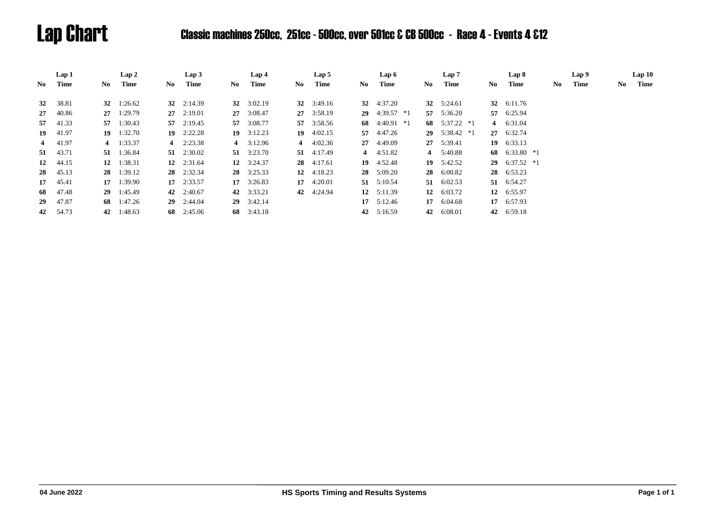# Lap Chart Classic machines 250cc, 251cc - 500cc, over 501cc & CB 500cc - Race 4 - Events 4 &12

|    | Lap 1    |      | Lap2               |     | Lap <sub>3</sub>   |     | Lap <sub>4</sub>   |     | Lap <sub>5</sub>   |     | Lap 6              |    | Lap 7           |      | Lap 8              |    | Lap 9 |    | Lap10 |
|----|----------|------|--------------------|-----|--------------------|-----|--------------------|-----|--------------------|-----|--------------------|----|-----------------|------|--------------------|----|-------|----|-------|
| No | Time     | No - | Time               | No. | Time               | No. | Time               | No. | Time               | No. | Time               | No | Time            | No - | Time               | No | Time  | No | Time  |
|    |          |      |                    |     |                    |     |                    |     |                    |     | 32 4:37.20         |    |                 |      |                    |    |       |    |       |
| 32 | 38.81    |      | 32 $1:26.62$       |     | 32 $2:14.39$       |     | 32 $3:02.19$       |     | $32 \quad 3:49.16$ |     |                    |    | 32 $5:24.61$    |      | 32 6:11.76         |    |       |    |       |
| 27 | 40.86    |      | $27 \quad 1:29.79$ |     | $27 \quad 2:19.01$ |     | 27 3:08.47         |     | 27 3:58.19         |     | 29 $4:39.57$ *1    |    | 57 5:36.20      | 57   | 6:25.94            |    |       |    |       |
| 57 | 41.33    |      | 57 1:30.43         |     | $57 \quad 2:19.45$ |     | 57 3:08.77         |     | 57 3:58.56         |     | 68 $4:40.91$ *1    |    | 68 $5:37.22 *1$ |      | 4 6:31.04          |    |       |    |       |
| 19 | 41.97    |      | $19 \quad 1:32.70$ |     | $19 \quad 2:22.28$ |     | $19 \quad 3:12.23$ |     | 19 $4:02.15$       |     | 57 4:47.26         |    | 29 $5:38.42$ *1 |      | 27 6:32.74         |    |       |    |       |
|    | 4 41.97  |      | 4 $1:33.37$        |     | 4 $2:23.38$        |     | 4 $3:12.96$        |     | 4 $4:02.36$        |     | $27 \quad 4:49.09$ |    | 27 5:39.41      |      | $19 \quad 6:33.13$ |    |       |    |       |
|    | 51 43.71 |      | 51 1:36.84         |     | 51 $2:30.02$       |     | $51 \quad 3:23.70$ |     | $51 \quad 4:17.49$ |     | 4 $4:51.82$        |    | 4 $5:40.88$     |      | 68 6:33.80 $*1$    |    |       |    |       |
| 12 | 44.15    | 12   | 1:38.31            |     | 12 $2:31.64$       |     | 12 $3:24.37$       |     | $28$ 4:17.61       |     | $19 \quad 4:52.48$ |    | 19 $5:42.52$    | 29   | $6:37.52$ *1       |    |       |    |       |
| 28 | 45.13    |      | 28 1:39.12         |     | 28 2:32.34         |     | $28 \quad 3:25.33$ |     | 12 $4:18.23$       |     | $28 \quad 5:09.20$ |    | 28 6:00.82      |      | 28 6:53.23         |    |       |    |       |
| 17 | 45.41    |      | $17 \quad 1:39.90$ |     | $17 \quad 2:33.57$ |     | $17 \quad 3:26.83$ |     | 17 $4:20.01$       |     | 51 $5:10.54$       |    | 51 6:02.53      |      | 51 6:54.27         |    |       |    |       |
| 68 | 47.48    |      | $29 \quad 1:45.49$ |     | 42 $2:40.67$       |     | 42 3:33.21         |     | 42 4:24.94         |     | $12 \quad 5:11.39$ |    | 12 $6:03.72$    |      | 12 6:55.97         |    |       |    |       |
| 29 | 47.87    |      | 68 1:47.26         |     | $29 \quad 2:44.04$ |     | $29 \quad 3:42.14$ |     |                    |     | $17 \quad 5:12.46$ |    | 17 6:04.68      | 17   | 6:57.93            |    |       |    |       |
|    | 42 54.73 | 42   | 1:48.63            |     | 68 2:45.06         |     | 68 3:43.18         |     |                    | 42  | 5:16.59            | 42 | 6:08.01         |      | 42 6:59.18         |    |       |    |       |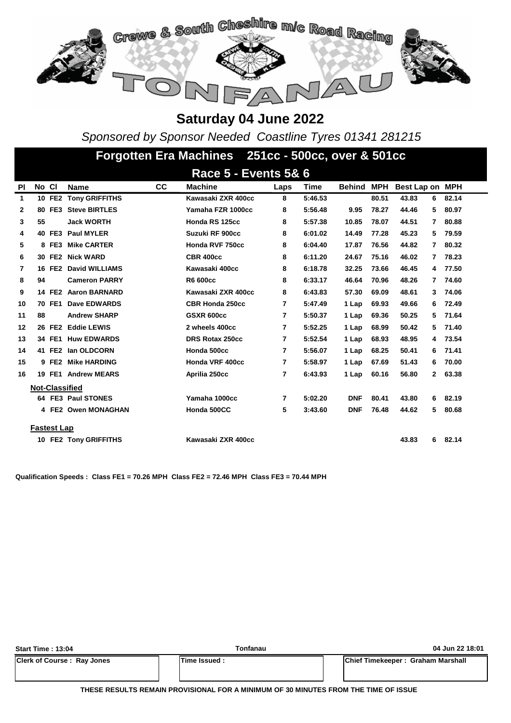

*Sponsored by Sponsor Needed Coastline Tyres 01341 281215*

|              | Forgotten Era Machines 251cc - 500cc, over & 501cc |               |                       |    |                                 |                |         |               |            |                       |       |  |  |
|--------------|----------------------------------------------------|---------------|-----------------------|----|---------------------------------|----------------|---------|---------------|------------|-----------------------|-------|--|--|
|              |                                                    |               |                       |    | <b>Race 5 - Events 5&amp; 6</b> |                |         |               |            |                       |       |  |  |
| PI           | No Cl                                              |               | <b>Name</b>           | CC | <b>Machine</b>                  | Laps           | Time    | <b>Behind</b> | <b>MPH</b> | Best Lap on MPH       |       |  |  |
| $\mathbf{1}$ |                                                    | 10 FE2        | <b>Tony GRIFFITHS</b> |    | Kawasaki ZXR 400cc              | 8              | 5:46.53 |               | 80.51      | 43.83<br>6            | 82.14 |  |  |
| $\mathbf{2}$ |                                                    | 80 FE3        | <b>Steve BIRTLES</b>  |    | Yamaha FZR 1000cc               | 8              | 5:56.48 | 9.95          | 78.27      | 44.46<br>5            | 80.97 |  |  |
| 3            | 55                                                 |               | <b>Jack WORTH</b>     |    | Honda RS 125cc                  | 8              | 5:57.38 | 10.85         | 78.07      | 44.51<br>7            | 80.88 |  |  |
| 4            |                                                    | 40 FE3        | <b>Paul MYLER</b>     |    | Suzuki RF 900cc                 | 8              | 6:01.02 | 14.49         | 77.28      | 45.23<br>5            | 79.59 |  |  |
| 5            |                                                    | 8 FE3         | <b>Mike CARTER</b>    |    | Honda RVF 750cc                 | 8              | 6:04.40 | 17.87         | 76.56      | 44.82<br>7            | 80.32 |  |  |
| 6            |                                                    | 30 FE2        | <b>Nick WARD</b>      |    | <b>CBR 400cc</b>                | 8              | 6:11.20 | 24.67         | 75.16      | 46.02<br>7            | 78.23 |  |  |
| 7            |                                                    | 16 FE2        | <b>David WILLIAMS</b> |    | Kawasaki 400cc                  | 8              | 6:18.78 | 32.25         | 73.66      | 46.45<br>4            | 77.50 |  |  |
| 8            | 94                                                 |               | <b>Cameron PARRY</b>  |    | R6 600cc                        | 8              | 6:33.17 | 46.64         | 70.96      | 48.26<br>7            | 74.60 |  |  |
| 9            |                                                    | 14 FE2        | <b>Aaron BARNARD</b>  |    | Kawasaki ZXR 400cc              | 8              | 6:43.83 | 57.30         | 69.09      | 48.61<br>3            | 74.06 |  |  |
| 10           |                                                    | 70 FE1        | Dave EDWARDS          |    | <b>CBR Honda 250cc</b>          | 7              | 5:47.49 | 1 Lap         | 69.93      | 49.66<br>6            | 72.49 |  |  |
| 11           | 88                                                 |               | <b>Andrew SHARP</b>   |    | <b>GSXR 600cc</b>               | 7              | 5:50.37 | 1 Lap         | 69.36      | 50.25<br>5            | 71.64 |  |  |
| 12           |                                                    | 26 FE2        | <b>Eddie LEWIS</b>    |    | 2 wheels 400cc                  | 7              | 5:52.25 | 1 Lap         | 68.99      | 50.42<br>5            | 71.40 |  |  |
| 13           |                                                    | 34 FE1        | <b>Huw EDWARDS</b>    |    | <b>DRS Rotax 250cc</b>          | 7              | 5:52.54 | 1 Lap         | 68.93      | 48.95<br>4            | 73.54 |  |  |
| 14           |                                                    | 41 FE2        | lan OLDCORN           |    | Honda 500cc                     | 7              | 5:56.07 | 1 Lap         | 68.25      | 50.41<br>6            | 71.41 |  |  |
| 15           |                                                    | 9 FE2         | <b>Mike HARDING</b>   |    | Honda VRF 400cc                 | $\overline{7}$ | 5:58.97 | 1 Lap         | 67.69      | 51.43<br>6            | 70.00 |  |  |
| 16           |                                                    | <b>19 FE1</b> | <b>Andrew MEARS</b>   |    | Aprilia 250cc                   | 7              | 6:43.93 | 1 Lap         | 60.16      | $\mathbf{2}$<br>56.80 | 63.38 |  |  |
|              | <b>Not-Classified</b>                              |               |                       |    |                                 |                |         |               |            |                       |       |  |  |
|              |                                                    |               | 64 FE3 Paul STONES    |    | Yamaha 1000cc                   | 7              | 5:02.20 | <b>DNF</b>    | 80.41      | 43.80<br>6            | 82.19 |  |  |
|              |                                                    |               | 4 FE2 Owen MONAGHAN   |    | Honda 500CC                     | 5              | 3:43.60 | <b>DNF</b>    | 76.48      | 5<br>44.62            | 80.68 |  |  |
|              | <b>Fastest Lap</b>                                 |               |                       |    |                                 |                |         |               |            |                       |       |  |  |
|              |                                                    |               | 10 FE2 Tony GRIFFITHS |    | Kawasaki ZXR 400cc              |                |         |               |            | 43.83<br>6            | 82.14 |  |  |

**Qualification Speeds : Class FE1 = 70.26 MPH Class FE2 = 72.46 MPH Class FE3 = 70.44 MPH** 

| <b>Start Time: 13:04</b>          | Tonfanau     | 04 Jun 22 18:01                   |
|-----------------------------------|--------------|-----------------------------------|
| <b>Clerk of Course: Ray Jones</b> | Time Issued: | Chief Timekeeper: Graham Marshall |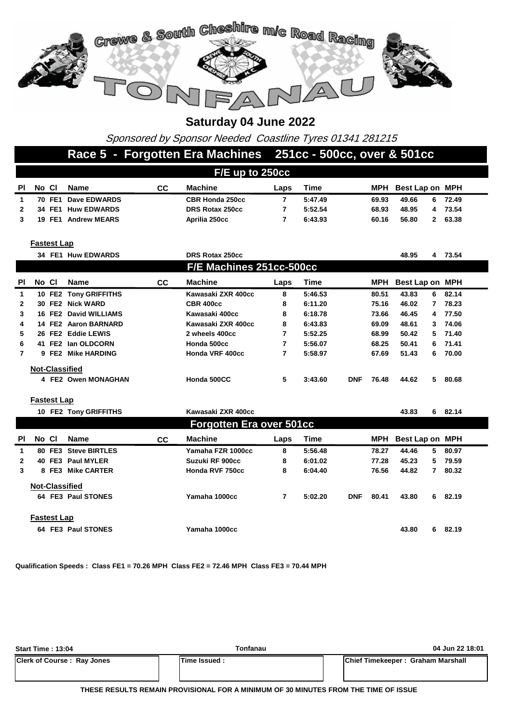

Sponsored by Sponsor Needed Coastline Tyres 01341 281215

### **Race 5 - Forgotten Era Machines 251cc - 500cc, over & 501cc**

| F/E up to 250cc |                    |                     |           |                        |      |         |       |                      |       |  |  |
|-----------------|--------------------|---------------------|-----------|------------------------|------|---------|-------|----------------------|-------|--|--|
| <b>PI</b>       | No Cl              | Name                | <b>CC</b> | <b>Machine</b>         | Laps | Time    | MPH   | Best Lap on MPH      |       |  |  |
|                 | 70 FE1             | <b>Dave EDWARDS</b> |           | <b>CBR Honda 250cc</b> |      | 5:47.49 | 69.93 | 49.66<br>6.          | 72.49 |  |  |
| $\mathbf{2}$    |                    | 34 FE1 Huw EDWARDS  |           | DRS Rotax 250cc        |      | 5:52.54 | 68.93 | 48.95<br>4           | 73.54 |  |  |
|                 | 19 FE1             | <b>Andrew MEARS</b> |           | Aprilia 250cc          |      | 6:43.93 | 60.16 | 56.80<br>$2^{\circ}$ | 63.38 |  |  |
|                 | <b>Fastest Lap</b> |                     |           |                        |      |         |       |                      |       |  |  |
|                 |                    | 34 FE1 Huw EDWARDS  |           | DRS Rotax 250cc        |      |         |       | 48.95<br>4           | 73.54 |  |  |

| F/E Machines 251cc-500cc |       |       |                       |    |                    |      |         |            |       |                 |    |         |
|--------------------------|-------|-------|-----------------------|----|--------------------|------|---------|------------|-------|-----------------|----|---------|
| <b>PI</b>                | No CI |       | <b>Name</b>           | СC | <b>Machine</b>     | Laps | Time    |            | MPH   | Best Lap on MPH |    |         |
| 1                        |       |       | 10 FE2 Tony GRIFFITHS |    | Kawasaki ZXR 400cc | 8    | 5:46.53 |            | 80.51 | 43.83           | 6  | 82.14   |
| $\mathbf{2}$             |       |       | 30 FE2 Nick WARD      |    | <b>CBR 400cc</b>   | 8    | 6:11.20 |            | 75.16 | 46.02           | 7  | 78.23   |
| 3                        |       |       | 16 FE2 David WILLIAMS |    | Kawasaki 400cc     | 8    | 6:18.78 |            | 73.66 | 46.45           |    | 4 77.50 |
| 4                        |       |       | 14 FE2 Aaron BARNARD  |    | Kawasaki ZXR 400cc | 8    | 6:43.83 |            | 69.09 | 48.61           | 3  | 74.06   |
| 5.                       |       |       | 26 FE2 Eddie LEWIS    |    | 2 wheels 400cc     | 7    | 5:52.25 |            | 68.99 | 50.42           |    | 5 71.40 |
| 6                        |       |       | 41 FE2 Ian OLDCORN    |    | Honda 500cc        | 7    | 5:56.07 |            | 68.25 | 50.41           | 6. | 71.41   |
| $\overline{7}$           |       | 9 FE2 | Mike HARDING          |    | Honda VRF 400cc    |      | 5:58.97 |            | 67.69 | 51.43           | 6. | 70.00   |
|                          |       |       | <b>Not-Classified</b> |    |                    |      |         |            |       |                 |    |         |
|                          |       |       | 4 FE2 Owen MONAGHAN   |    | Honda 500CC        | 5    | 3:43.60 | <b>DNF</b> | 76.48 | 44.62           | 5. | 80.68   |

#### **Fastest Lap**

|                |                                 |                    | 10 FE2 Tony GRIFFITHS |     | Kawasaki ZXR 400cc |      |             |            |       | 43.83           | 6  | 82.14 |
|----------------|---------------------------------|--------------------|-----------------------|-----|--------------------|------|-------------|------------|-------|-----------------|----|-------|
|                | <b>Forgotten Era over 501cc</b> |                    |                       |     |                    |      |             |            |       |                 |    |       |
| <b>PI</b>      | No Cl                           |                    | <b>Name</b>           | CC. | <b>Machine</b>     | Laps | <b>Time</b> |            | MPH   | Best Lap on MPH |    |       |
| 1              |                                 |                    | 80 FE3 Steve BIRTLES  |     | Yamaha FZR 1000cc  | 8    | 5:56.48     |            | 78.27 | 44.46           | 5. | 80.97 |
| $\overline{2}$ |                                 |                    | 40 FE3 Paul MYLER     |     | Suzuki RF 900cc    | 8    | 6:01.02     |            | 77.28 | 45.23           | 5. | 79.59 |
| 3              |                                 | 8 FE3              | <b>Mike CARTER</b>    |     | Honda RVF 750cc    | 8    | 6:04.40     |            | 76.56 | 44.82           | 7  | 80.32 |
|                |                                 |                    | <b>Not-Classified</b> |     |                    |      |             |            |       |                 |    |       |
|                |                                 |                    | 64 FE3 Paul STONES    |     | Yamaha 1000cc      | 7    | 5:02.20     | <b>DNF</b> | 80.41 | 43.80           | 6. | 82.19 |
|                |                                 | <b>Fastest Lap</b> |                       |     |                    |      |             |            |       |                 |    |       |
|                |                                 |                    | 64 FE3 Paul STONES    |     | Yamaha 1000cc      |      |             |            |       | 43.80           | 6. | 82.19 |

**Qualification Speeds : Class FE1 = 70.26 MPH Class FE2 = 72.46 MPH Class FE3 = 70.44 MPH** 

| <b>Start Time: 13:04</b>          | Tonfanau     | 04 Jun 22 18:01                   |
|-----------------------------------|--------------|-----------------------------------|
| <b>Clerk of Course: Ray Jones</b> | Time Issued: | Chief Timekeeper: Graham Marshall |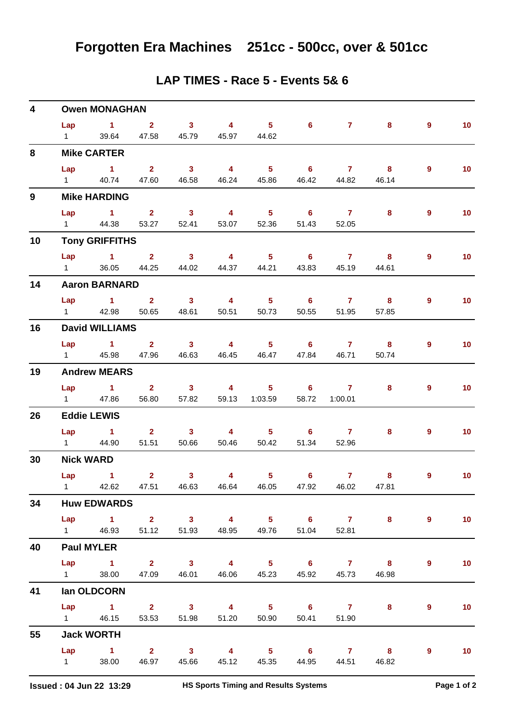| 4            |                        | <b>Owen MONAGHAN</b>          |                         |                            |                         |                                             |                            |                |                         |                |                 |
|--------------|------------------------|-------------------------------|-------------------------|----------------------------|-------------------------|---------------------------------------------|----------------------------|----------------|-------------------------|----------------|-----------------|
|              | Lap                    | $\sim$ 1                      | $\overline{\mathbf{2}}$ | $\overline{\mathbf{3}}$    | $\overline{4}$          | $-5$                                        | $6^{\circ}$                | $\mathbf{7}$   | 8                       | $\overline{9}$ | 10 <sub>1</sub> |
|              | $1 \quad \Box$         | 39.64                         | 47.58                   | 45.79                      | 45.97                   | 44.62                                       |                            |                |                         |                |                 |
| 8            |                        | <b>Mike CARTER</b>            |                         |                            |                         |                                             |                            |                |                         |                |                 |
|              | Lap                    | $\overline{1}$ $\overline{2}$ |                         | $\overline{\mathbf{3}}$    | $\overline{4}$          | $\overline{\phantom{0}}$ 5                  | $6^{\circ}$                | $\overline{7}$ | $\overline{\mathbf{8}}$ | $\overline{9}$ | 10 <sub>1</sub> |
|              | $1 \quad$              | 40.74                         | 47.60                   | 46.58                      | 46.24                   | 45.86                                       | 46.42                      | 44.82          | 46.14                   |                |                 |
| $\mathbf{9}$ |                        | <b>Mike HARDING</b>           |                         |                            |                         |                                             |                            |                |                         |                |                 |
|              | Lap                    | $\sim$ 1                      | $\mathbf{2}$            | $\overline{\mathbf{3}}$    | $\overline{\mathbf{4}}$ | 5 <sub>1</sub>                              | 6                          | $\overline{7}$ | 8                       | 9              | 10 <sub>1</sub> |
|              | $1 \quad \blacksquare$ | 44.38                         | 53.27                   | 52.41                      | 53.07                   | 52.36                                       | 51.43                      | 52.05          |                         |                |                 |
| 10           |                        | <b>Tony GRIFFITHS</b>         |                         |                            |                         |                                             |                            |                |                         |                |                 |
|              | Lap                    | $\sim$ $\sim$ 1               | $\overline{\mathbf{2}}$ | $\overline{\mathbf{3}}$    | $\overline{4}$          | 5 <sub>5</sub>                              | $\overline{\phantom{0}}$ 6 | $\overline{7}$ | $\overline{\mathbf{8}}$ | $\overline{9}$ | 10 <sub>1</sub> |
|              | $1 \quad$              | 36.05                         | 44.25                   | 44.02                      | 44.37                   | 44.21                                       | 43.83                      | 45.19          | 44.61                   |                |                 |
| 14           |                        | <b>Aaron BARNARD</b>          |                         |                            |                         |                                             |                            |                |                         |                |                 |
|              | Lap                    | $\sim$ 1                      | 2 <sup>1</sup>          | $\overline{\phantom{a}}$ 3 | $\overline{\mathbf{4}}$ | $5 -$                                       | $\overline{\phantom{0}}$ 6 | $\overline{7}$ | 8                       | 9              | 10 <sub>1</sub> |
|              | $1 \quad \Box$         | 42.98                         | 50.65                   | 48.61                      | 50.51                   | 50.73                                       | 50.55                      | 51.95          | 57.85                   |                |                 |
| 16           |                        | <b>David WILLIAMS</b>         |                         |                            |                         |                                             |                            |                |                         |                |                 |
|              | Lap                    | $\sim$ $\sim$ 1               | $2^{\circ}$             | $\overline{\mathbf{3}}$    | $\overline{4}$          | $-5$                                        | $\overline{\phantom{0}}$ 6 | $\overline{7}$ | $\bf{8}$                | $\overline{9}$ | 10 <sub>1</sub> |
|              | $1 \quad$              | 45.98                         | 47.96                   | 46.63                      | 46.45                   | 46.47                                       | 47.84                      | 46.71          | 50.74                   |                |                 |
| 19           |                        | <b>Andrew MEARS</b>           |                         |                            |                         |                                             |                            |                |                         |                |                 |
|              | Lap                    | $\sim$ 1                      | 2 <sup>7</sup>          | 3 <sup>7</sup>             | $\overline{4}$          | $5 -$                                       | 6                          | $\mathbf{7}$   | 8                       | 9              | 10 <sub>1</sub> |
|              | $1 \quad \Box$         | 47.86                         | 56.80                   | 57.82                      | 59.13                   | 1:03.59                                     | 58.72                      | 1:00.01        |                         |                |                 |
| 26           |                        | <b>Eddie LEWIS</b>            |                         |                            |                         |                                             |                            |                |                         |                |                 |
|              |                        | Lap 1                         | $\overline{\mathbf{2}}$ | $\overline{\mathbf{3}}$    | $\overline{4}$          | $\overline{\phantom{0}}$ 5                  | $\overline{\phantom{a}}$ 6 | $\overline{7}$ | 8                       | $\overline{9}$ | 10 <sub>1</sub> |
|              | $1 \quad \Box$         | 44.90                         | 51.51                   | 50.66                      | 50.46                   | 50.42                                       | 51.34                      | 52.96          |                         |                |                 |
| 30           |                        | <b>Nick WARD</b>              |                         |                            |                         |                                             |                            |                |                         |                |                 |
|              | Lap                    | $\sim$ $\sim$ 1               | 2 <sup>1</sup>          | 3 <sup>7</sup>             | 4                       | 5 <sub>1</sub>                              | $6\phantom{1}$             | $\overline{7}$ | 8                       | 9              | 10 <sub>1</sub> |
|              |                        |                               |                         |                            |                         | 1 42.62 47.51 46.63 46.64 46.05 47.92 46.02 |                            |                | 47.81                   |                |                 |
| 34           |                        | <b>Huw EDWARDS</b>            |                         |                            |                         |                                             |                            |                |                         |                |                 |
|              |                        |                               |                         |                            |                         |                                             |                            |                | Lap 1 2 3 4 5 6 7 8     | $9^{\circ}$    | 10              |
|              |                        | 1 46.93                       |                         | 51.12   51.93   48.95      |                         |                                             | 49.76 51.04                | 52.81          |                         |                |                 |
| 40           |                        | <b>Paul MYLER</b>             |                         |                            |                         |                                             |                            |                |                         |                |                 |
|              |                        |                               |                         |                            |                         | Lap 1 2 3 4 5 6 7 8                         |                            |                |                         | $\overline{9}$ | 10 <sub>1</sub> |
|              | $1 \quad \blacksquare$ | 38.00                         |                         | 47.09  46.01  46.06        |                         |                                             | 45.23 45.92                | 45.73          | 46.98                   |                |                 |
| 41           |                        | lan OLDCORN                   |                         |                            |                         |                                             |                            |                |                         |                |                 |
|              |                        |                               |                         |                            |                         | Lap 1 2 3 4 5 6 7                           |                            |                | 8                       | 9              | 10 <sub>1</sub> |
|              |                        | 1 46.15                       | 53.53                   | 51.98                      | 51.20                   | 50.90                                       | 50.41                      | 51.90          |                         |                |                 |
| 55           |                        | <b>Jack WORTH</b>             |                         |                            |                         |                                             |                            |                |                         |                |                 |
|              |                        | Lap 1 2 3                     |                         |                            |                         | 4 5 6 7 8                                   |                            |                |                         | 9              | 10              |
|              | $1 \qquad \qquad$      | 38.00                         |                         | 46.97 45.66                | 45.12                   |                                             | 45.35 44.95                | 44.51          | 46.82                   |                |                 |

#### **LAP TIMES - Race 5 - Events 5& 6**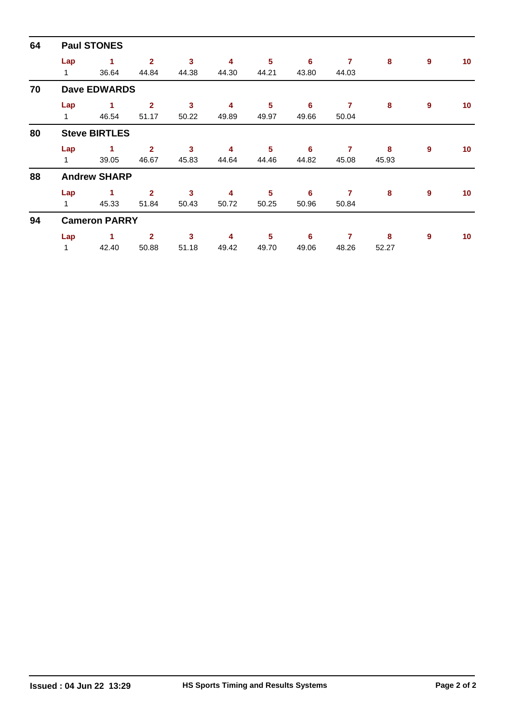| 64 | <b>Paul STONES</b> |                      |                         |       |       |       |       |                |       |   |                 |  |  |  |
|----|--------------------|----------------------|-------------------------|-------|-------|-------|-------|----------------|-------|---|-----------------|--|--|--|
|    | Lap                | 1                    | $\overline{2}$          | 3     | 4     | 5     | 6     | $\overline{7}$ | 8     | 9 | 10 <sup>°</sup> |  |  |  |
|    | $\mathbf{1}$       | 36.64                | 44.84                   | 44.38 | 44.30 | 44.21 | 43.80 | 44.03          |       |   |                 |  |  |  |
| 70 |                    | <b>Dave EDWARDS</b>  |                         |       |       |       |       |                |       |   |                 |  |  |  |
|    | Lap                | 1                    | $\overline{\mathbf{2}}$ | 3     | 4     | 5     | 6     | 7              | 8     | 9 | 10 <sup>°</sup> |  |  |  |
|    | 1                  | 46.54                | 51.17                   | 50.22 | 49.89 | 49.97 | 49.66 | 50.04          |       |   |                 |  |  |  |
| 80 |                    | <b>Steve BIRTLES</b> |                         |       |       |       |       |                |       |   |                 |  |  |  |
|    | Lap                | 1                    | $\mathbf{2}$            | 3     | 4     | 5     | 6     | 7              | 8     | 9 | 10 <sup>°</sup> |  |  |  |
|    | 1                  | 39.05                | 46.67                   | 45.83 | 44.64 | 44.46 | 44.82 | 45.08          | 45.93 |   |                 |  |  |  |
| 88 |                    | <b>Andrew SHARP</b>  |                         |       |       |       |       |                |       |   |                 |  |  |  |
|    | Lap                | 1                    | $\overline{2}$          | 3     | 4     | 5     | 6     | 7              | 8     | 9 | 10 <sup>°</sup> |  |  |  |
|    | $\mathbf{1}$       | 45.33                | 51.84                   | 50.43 | 50.72 | 50.25 | 50.96 | 50.84          |       |   |                 |  |  |  |
| 94 |                    | <b>Cameron PARRY</b> |                         |       |       |       |       |                |       |   |                 |  |  |  |
|    | Lap                | 1                    | $\mathbf{2}$            | 3     | 4     | 5     | 6     | 7              | 8     | 9 | 10 <sup>°</sup> |  |  |  |
|    | 1                  | 42.40                | 50.88                   | 51.18 | 49.42 | 49.70 | 49.06 | 48.26          | 52.27 |   |                 |  |  |  |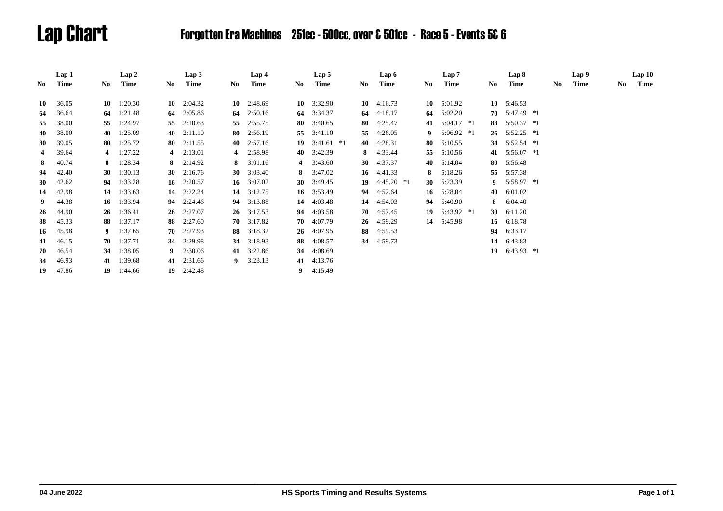# Lap Chart Forgotten Era Machines 251cc - 500cc, over & 501cc - Race 5 - Events 5& 6

|                | Lap 1 |    | Lap 2              |    | Lap3              |     | Lap 4              |     | Lap 5        |     |    | Lap 6        |     | Lap 7        |     | Lap 8           |     | Lap 9 |     | Lap10 |
|----------------|-------|----|--------------------|----|-------------------|-----|--------------------|-----|--------------|-----|----|--------------|-----|--------------|-----|-----------------|-----|-------|-----|-------|
| No.            | Time  | No | Time               | No | Time              | No. | Time               | No. | Time         | No. |    | Time         | No. | Time         | No. | Time            | No. | Time  | No. | Time  |
| 10             | 36.05 | 10 | 1:20.30            | 10 | 2:04.32           |     | $10 \quad 2:48.69$ |     | 10 $3:32.90$ |     | 10 | 4:16.73      | 10  | 5:01.92      | 10  | 5:46.53         |     |       |     |       |
| 64             | 36.64 | 64 | 1:21.48            | 64 | 2:05.86           |     | 64 $2:50.16$       |     | 64 3:34.37   |     | 64 | 4:18.17      | 64  | 5:02.20      | 70  | 5:47.49 *1      |     |       |     |       |
| 55             | 38.00 | 55 | 1:24.97            | 55 | 2:10.63           |     | 55 2:55.75         |     | 80 3:40.65   |     | 80 | 4:25.47      | 41  | $5:04.17$ *1 | 88  | $5:50.37$ *1    |     |       |     |       |
| 40             | 38.00 | 40 | 1:25.09            | 40 | 2:11.10           |     | 80 2:56.19         | 55  | 3:41.10      |     | 55 | 4:26.05      | 9   | $5:06.92$ *1 | 26  | 5:52.25 *1      |     |       |     |       |
| 80             | 39.05 | 80 | 1:25.72            | 80 | 2:11.55           |     | 40 $2:57.16$       | 19  | $3:41.61$ *1 |     | 40 | 4:28.31      | 80  | 5:10.55      | 34  | 5:52.54 *1      |     |       |     |       |
| $\overline{4}$ | 39.64 | 4  | 1:27.22            |    | 4 $2:13.01$       |     | 4 2:58.98          |     | 40 3:42.39   |     | 8. | 4:33.44      | 55  | 5:10.56      | 41  | 5:56.07 *1      |     |       |     |       |
| 8              | 40.74 | 8  | 1:28.34            |    | 8 $2:14.92$       |     | 8 $3:01.16$        |     | 4 $3:43.60$  |     | 30 | 4:37.37      | 40  | 5:14.04      | 80  | 5:56.48         |     |       |     |       |
| 94             | 42.40 | 30 | 1:30.13            |    | 30 $2:16.76$      |     | 30 $3:03.40$       |     | 8 $3:47.02$  |     |    | 16 $4:41.33$ | 8   | 5:18.26      | 55  | 5:57.38         |     |       |     |       |
| 30             | 42.62 | 94 | 1:33.28            | 16 | 2:20.57           |     | 16 $3:07.02$       |     | 30 $3:49.45$ |     | 19 | $4:45.20*1$  | 30  | 5:23.39      | 9   | $5:58.97$ *1    |     |       |     |       |
| 14             | 42.98 | 14 | 1:33.63            | 14 | 2:22.24           |     | 14 $3:12.75$       |     | 16 3:53.49   |     | 94 | 4:52.64      | 16  | 5:28.04      | 40  | 6:01.02         |     |       |     |       |
| 9              | 44.38 | 16 | 1:33.94            |    | 94 2:24.46        |     | 94 3:13.88         |     | 14 4:03.48   |     | 14 | 4:54.03      | 94  | 5:40.90      | 8   | 6:04.40         |     |       |     |       |
| 26             | 44.90 | 26 | 1:36.41            | 26 | 2:27.07           |     | $26 \quad 3:17.53$ | 94  | 4:03.58      |     | 70 | 4:57.45      | 19  | 5:43.92 *1   | 30  | 6:11.20         |     |       |     |       |
| 88             | 45.33 | 88 | 1:37.17            | 88 | 2:27.60           |     | $70 \quad 3:17.82$ | 70  | 4:07.79      |     |    | 26 4:59.29   |     | 14 5:45.98   | 16  | 6:18.78         |     |       |     |       |
| 16             | 45.98 | 9. | 1:37.65            | 70 | 2:27.93           |     | 88 3:18.32         | 26  | 4:07.95      | 88  |    | 4:59.53      |     |              | 94  | 6:33.17         |     |       |     |       |
| 41             | 46.15 | 70 | 1:37.71            |    | 34 2:29.98        |     | 34 3:18.93         | 88  | 4:08.57      |     | 34 | 4:59.73      |     |              | 14  | 6:43.83         |     |       |     |       |
| 70             | 46.54 | 34 | 1:38.05            |    | $9 \quad 2:30.06$ |     | 41 3:22.86         | 34  | 4:08.69      |     |    |              |     |              |     | 19 $6:43.93$ *1 |     |       |     |       |
| 34             | 46.93 |    | 41 1:39.68         |    | 41 2:31.66        |     | 9 $3:23.13$        |     | 41 4:13.76   |     |    |              |     |              |     |                 |     |       |     |       |
| 19             | 47.86 |    | $19 \quad 1:44.66$ |    | $19$ 2:42.48      |     |                    |     | 9 $4:15.49$  |     |    |              |     |              |     |                 |     |       |     |       |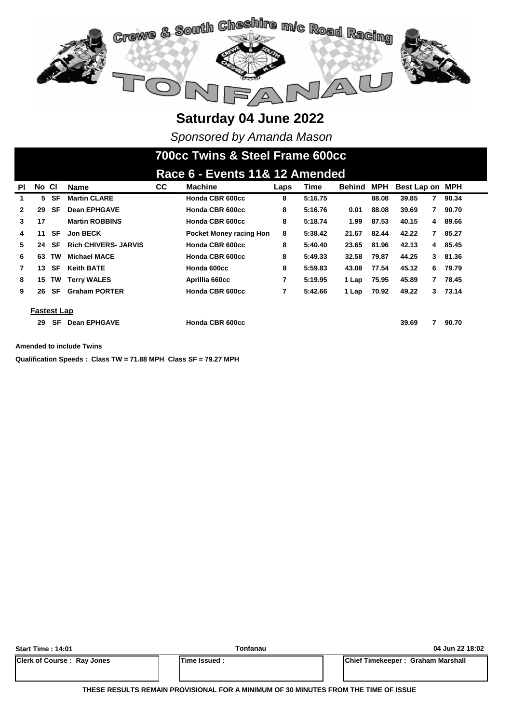

*Sponsored by Amanda Mason*

# **700cc Twins & Steel Frame 600cc**

|              | Race 6 - Events 11& 12 Amended |           |                             |           |                                |      |         |               |            |                 |    |         |  |
|--------------|--------------------------------|-----------|-----------------------------|-----------|--------------------------------|------|---------|---------------|------------|-----------------|----|---------|--|
| <b>PI</b>    | No CI                          |           | <b>Name</b>                 | <b>CC</b> | <b>Machine</b>                 | Laps | Time    | <b>Behind</b> | <b>MPH</b> | Best Lap on MPH |    |         |  |
| 1            | 5                              | SF        | <b>Martin CLARE</b>         |           | Honda CBR 600cc                | 8    | 5:16.75 |               | 88.08      | 39.85           | 7  | 90.34   |  |
| $\mathbf{2}$ | 29                             | SF        | <b>Dean EPHGAVE</b>         |           | Honda CBR 600cc                | 8    | 5:16.76 | 0.01          | 88.08      | 39.69           | 7  | 90.70   |  |
| 3            | 17                             |           | <b>Martin ROBBINS</b>       |           | Honda CBR 600cc                | 8    | 5:18.74 | 1.99          | 87.53      | 40.15           | 4  | 89.66   |  |
| 4            | 11                             | SF        | <b>Jon BECK</b>             |           | <b>Pocket Money racing Hon</b> | 8    | 5:38.42 | 21.67         | 82.44      | 42.22           | 7  | 85.27   |  |
| 5.           | 24                             | SF        | <b>Rich CHIVERS- JARVIS</b> |           | Honda CBR 600cc                | 8    | 5:40.40 | 23.65         | 81.96      | 42.13           |    | 4 85.45 |  |
| 6            | 63                             | <b>TW</b> | <b>Michael MACE</b>         |           | Honda CBR 600cc                | 8    | 5:49.33 | 32.58         | 79.87      | 44.25           | 3  | 81.36   |  |
| $\mathbf{7}$ | 13                             | SF        | <b>Keith BATE</b>           |           | Honda 600cc                    | 8    | 5:59.83 | 43.08         | 77.54      | 45.12           | 6. | 79.79   |  |
| 8            | 15                             | <b>TW</b> | <b>Terry WALES</b>          |           | Aprillia 660cc                 | 7    | 5:19.95 | 1 Lap         | 75.95      | 45.89           | 7  | 78.45   |  |
| 9            | 26                             | SF        | <b>Graham PORTER</b>        |           | Honda CBR 600cc                | 7    | 5:42.66 | 1 Lap         | 70.92      | 49.22           | 3  | 73.14   |  |
|              |                                |           |                             |           |                                |      |         |               |            |                 |    |         |  |
|              | <b>Fastest Lap</b>             |           |                             |           |                                |      |         |               |            |                 |    |         |  |
|              | 29                             | SF        | <b>Dean EPHGAVE</b>         |           | Honda CBR 600cc                |      |         |               |            | 39.69           |    | 90.70   |  |

**Amended to include Twins**

**Qualification Speeds : Class TW = 71.88 MPH Class SF = 79.27 MPH** 

| <b>Start Time: 14:01</b>          | Tonfanau             | 04 Jun 22 18:02                           |
|-----------------------------------|----------------------|-------------------------------------------|
| <b>Clerk of Course: Ray Jones</b> | <b>ITime Issued:</b> | <b>IChief Timekeeper: Graham Marshall</b> |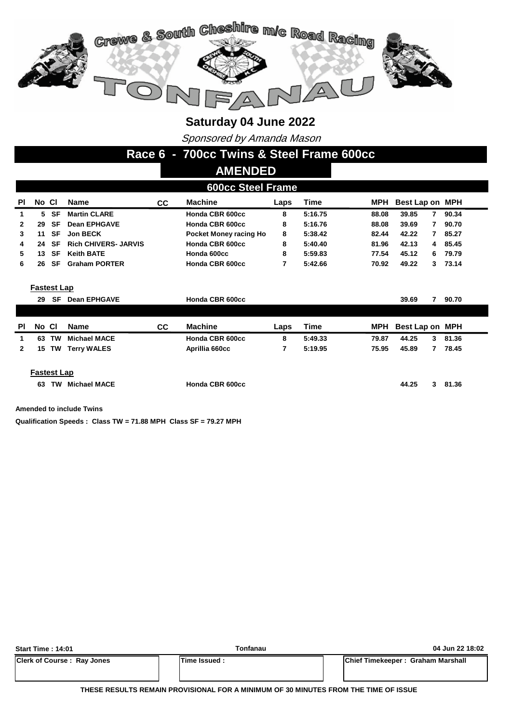

Sponsored by Amanda Mason

**Race 6 - 700cc Twins & Steel Frame 600cc**

#### **AMENDED**

|  | <b>600cc Steel Frame</b> |  |
|--|--------------------------|--|
|  |                          |  |

| <b>PI</b> | No Cl |           | Name                        | CC. | <b>Machine</b>         | Laps | Time    | MPH   | Best Lap on MPH |    |       |
|-----------|-------|-----------|-----------------------------|-----|------------------------|------|---------|-------|-----------------|----|-------|
|           | 5.    | SF        | <b>Martin CLARE</b>         |     | Honda CBR 600cc        | 8    | 5:16.75 | 88.08 | 39.85           |    | 90.34 |
|           | 29    | SF        | <b>Dean EPHGAVE</b>         |     | Honda CBR 600cc        | 8    | 5:16.76 | 88.08 | 39.69           |    | 90.70 |
|           | 11    | SF        | <b>Jon BECK</b>             |     | Pocket Money racing Ho | 8    | 5:38.42 | 82.44 | 42.22           |    | 85.27 |
|           | 24    | SF        | <b>Rich CHIVERS- JARVIS</b> |     | Honda CBR 600cc        | 8    | 5:40.40 | 81.96 | 42.13           | 4  | 85.45 |
|           | 13    | SF        | <b>Keith BATE</b>           |     | Honda 600cc            | 8    | 5:59.83 | 77.54 | 45.12           | 6. | 79.79 |
|           | 26    | <b>SF</b> | <b>Graham PORTER</b>        |     | Honda CBR 600cc        |      | 5:42.66 | 70.92 | 49.22           | 3  | 73.14 |
|           |       |           |                             |     |                        |      |         |       |                 |    |       |

**Fastest Lap**

| SF | <b>Dean EPHGAVE</b>               |                                    | Honda CBR 600cc |      |         |            | 39.69 |   | 90.70           |
|----|-----------------------------------|------------------------------------|-----------------|------|---------|------------|-------|---|-----------------|
|    |                                   |                                    |                 |      |         |            |       |   |                 |
|    | <b>Name</b>                       | СC                                 | <b>Machine</b>  | Laps | Time    | <b>MPH</b> |       |   |                 |
| TW |                                   |                                    | Honda CBR 600cc | 8    | 5:49.33 | 79.87      | 44.25 | 3 | 81.36           |
|    |                                   |                                    | Aprillia 660cc  |      | 5:19.95 | 75.95      | 45.89 |   | 78.45           |
|    |                                   |                                    |                 |      |         |            |       |   |                 |
|    | 29<br>No CI<br>63<br><b>15 TW</b> | Michael MACE<br><b>Terry WALES</b> |                 |      |         |            |       |   | Best Lap on MPH |

#### **Fastest Lap**

**63 Honda CBR 600cc 81.36 TW Michael MACE 44.25 3**

**Amended to include Twins**

**Qualification Speeds : Class TW = 71.88 MPH Class SF = 79.27 MPH** 

| <b>Start Time: 14:01</b>          | <b>Tonfanau</b> | 04 Jun 22 18:02                   |
|-----------------------------------|-----------------|-----------------------------------|
| <b>Clerk of Course: Ray Jones</b> | Time Issued:    | Chief Timekeeper: Graham Marshall |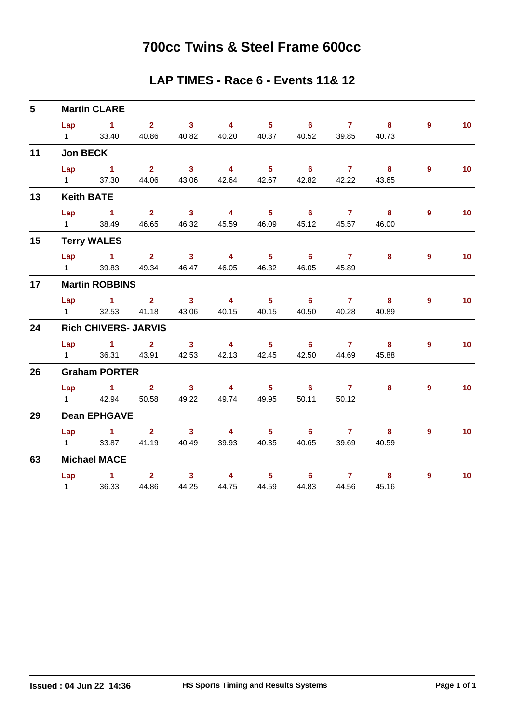### **700cc Twins & Steel Frame 600cc**

#### **LAP TIMES - Race 6 - Events 11& 12**

| $5\phantom{.0}$ |                        | <b>Martin CLARE</b>         |                                                 |                         |                         |                                                     |                            |                |                         |                |                 |
|-----------------|------------------------|-----------------------------|-------------------------------------------------|-------------------------|-------------------------|-----------------------------------------------------|----------------------------|----------------|-------------------------|----------------|-----------------|
|                 |                        | $Lap$ 1 2                   |                                                 | $\overline{\mathbf{3}}$ | $\overline{4}$          | $\overline{\phantom{a}}$ 5                          | $\overline{\phantom{a}}$ 6 | $\overline{7}$ | $\overline{\mathbf{8}}$ | $\overline{9}$ | 10 <sub>1</sub> |
|                 | $1 \quad \blacksquare$ | 33.40                       |                                                 | 40.86 40.82             | 40.20                   |                                                     | 40.37 40.52                | 39.85          | 40.73                   |                |                 |
| 11              | <b>Jon BECK</b>        |                             |                                                 |                         |                         |                                                     |                            |                |                         |                |                 |
|                 | Lap                    | $\sim$ 1                    | $\overline{\mathbf{2}}$                         | $\overline{\mathbf{3}}$ | $\overline{4}$          | $\overline{\phantom{0}}$ 5                          | $\overline{\phantom{0}}$ 6 | $\overline{7}$ | $\overline{\mathbf{8}}$ | $9^{\circ}$    | 10 <sub>1</sub> |
|                 | $1 \quad \Box$         | 37.30                       | 44.06                                           | 43.06                   | 42.64                   | 42.67                                               | 42.82                      | 42.22          | 43.65                   |                |                 |
| 13              |                        | <b>Keith BATE</b>           |                                                 |                         |                         |                                                     |                            |                |                         |                |                 |
|                 | Lap                    | $\sim$ 1                    | $\overline{\mathbf{2}}$ $\overline{\mathbf{3}}$ |                         | $\overline{\mathbf{4}}$ | $\overline{\phantom{0}}$ 5                          | $6$ $7$ $8$                |                |                         | $\overline{9}$ | 10              |
|                 | $1 \quad \blacksquare$ | 38.49                       | 46.65                                           | 46.32                   | 45.59                   | 46.09                                               | 45.12                      | 45.57          | 46.00                   |                |                 |
| 15              |                        | <b>Terry WALES</b>          |                                                 |                         |                         |                                                     |                            |                |                         |                |                 |
|                 |                        | $Lap$ 1 2                   |                                                 | $\overline{\mathbf{3}}$ | $\overline{4}$          | $\overline{\phantom{0}}$ 5                          | $\overline{\phantom{a}}$ 6 | $\overline{7}$ | 8                       | $\overline{9}$ | 10 <sub>1</sub> |
|                 | $1 \quad$              | 39.83                       | 49.34                                           | 46.47                   | 46.05                   | 46.32                                               | 46.05                      | 45.89          |                         |                |                 |
| 17              |                        | <b>Martin ROBBINS</b>       |                                                 |                         |                         |                                                     |                            |                |                         |                |                 |
|                 |                        | Lap 1 2 3                   |                                                 |                         | $\overline{4}$          | $\overline{\phantom{a}}$ 5 $\overline{\phantom{a}}$ | $\overline{\phantom{0}}$ 6 | $\overline{7}$ | 8                       | $\overline{9}$ | 10 <sub>1</sub> |
|                 | $1 \quad \blacksquare$ | 32.53                       | 41.18                                           | 43.06                   | 40.15                   | 40.15                                               | 40.50                      | 40.28          | 40.89                   |                |                 |
| 24              |                        | <b>Rich CHIVERS- JARVIS</b> |                                                 |                         |                         |                                                     |                            |                |                         |                |                 |
|                 |                        | Lap 1 2 3                   |                                                 |                         |                         |                                                     | 4 5 6 7 8                  |                |                         | $\overline{9}$ | 10 <sub>1</sub> |
|                 | $1 \quad \Box$         | 36.31                       | 43.91                                           | 42.53                   | 42.13                   |                                                     | 42.45 42.50                | 44.69          | 45.88                   |                |                 |
| 26              |                        | <b>Graham PORTER</b>        |                                                 |                         |                         |                                                     |                            |                |                         |                |                 |
|                 |                        | Lap 1                       | $2^{\circ}$                                     | $\overline{\mathbf{3}}$ | $\overline{\mathbf{4}}$ | $\overline{\phantom{0}}$ 5                          | $\overline{\phantom{0}}$ 6 | $\overline{7}$ | 8                       | $\overline{9}$ | 10 <sub>1</sub> |
|                 |                        | 1 42.94                     | 50.58                                           | 49.22                   | 49.74                   | 49.95                                               | 50.11                      | 50.12          |                         |                |                 |
| 29              |                        | <b>Dean EPHGAVE</b>         |                                                 |                         |                         |                                                     |                            |                |                         |                |                 |
|                 |                        | Lap 1                       |                                                 | $2 \qquad \qquad 3$     | $\sim$ 4 and $\sim$ 4   |                                                     | $5 - 5$<br>6               | $7$ 8          |                         | 9              | 10 <sub>1</sub> |
|                 | $1 \quad \blacksquare$ |                             | 33.87 41.19                                     | 40.49                   | 39.93                   | 40.35                                               | 40.65                      | 39.69          | 40.59                   |                |                 |
| 63              |                        | <b>Michael MACE</b>         |                                                 |                         |                         |                                                     |                            |                |                         |                |                 |
|                 |                        | Lap $1$ 2                   |                                                 | 3 <sup>7</sup>          | $\overline{\mathbf{4}}$ | $\overline{\phantom{0}}$ 5                          | $\overline{\phantom{a}}$ 6 | 7 8            |                         | $\overline{9}$ | 10 <sub>1</sub> |
|                 | $1 \quad$              | 36.33                       | 44.86                                           | 44.25                   | 44.75                   | 44.59                                               | 44.83                      | 44.56          | 45.16                   |                |                 |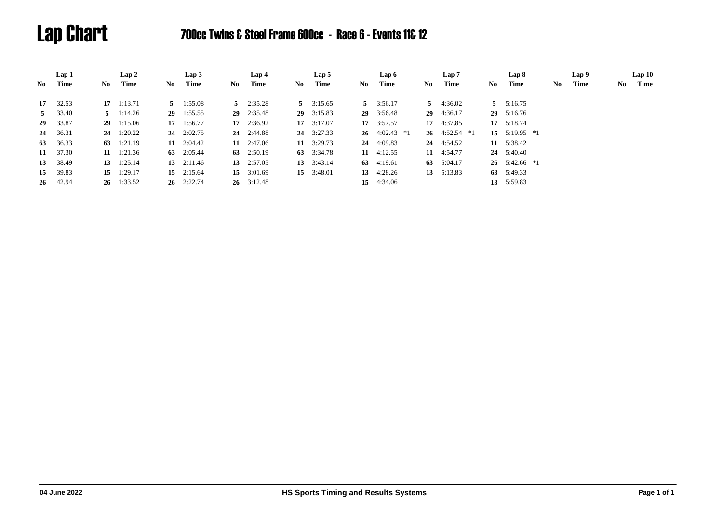# Lap Chart 700cc Twins & Steel Frame 600cc - Race 6 - Events 11& 12

|    | Lap 1            |      | Lap 2              |    | Lap3               |     | Lap 4              |     | Lap 5              |     | Lap 6              |    | Lap 7              |     | Lap 8                       | Lap 9      |    | Lap10 |
|----|------------------|------|--------------------|----|--------------------|-----|--------------------|-----|--------------------|-----|--------------------|----|--------------------|-----|-----------------------------|------------|----|-------|
| No | Time             | No - | Time               | No | Time               | No. | Time               | No. | Time               | No. | Time               | No | Time               | No. | Time                        | Time<br>No | No | Time  |
|    | $17 \quad 32.53$ |      | $17 \quad 1:13.71$ |    | $5 \t1:55.08$      |     | $5 \quad 2:35.28$  |     | $5 \quad 3:15.65$  |     | $5 \quad 3:56.17$  |    | 5 $4:36.02$        |     | $5 \quad 5:16.75$           |            |    |       |
| 5  | 33.40            |      | $5 \t1:14.26$      |    | $29$ 1:55.55       |     | $29 \quad 2:35.48$ |     | 29 3:15.83         |     | 29 3:56.48         |    | $29 \quad 4:36.17$ |     | 29 5:16.76                  |            |    |       |
|    | 29 33.87         |      | 291:15.06          |    | $17 \quad 1:56.77$ |     | $17 \quad 2:36.92$ |     | $17 \quad 3:17.07$ |     | $17 \quad 3:57.57$ |    | 17 4:37.85         |     | $17 \quad 5:18.74$          |            |    |       |
|    | 24 36.31         |      | $24 \quad 1:20.22$ |    | $24 \quad 2:02.75$ |     | $24 \quad 2:44.88$ |     | $24 \quad 3:27.33$ |     | 26 $4:02.43$ *1    |    | 26 $4:52.54$ *1    |     | $15 \quad 5:19.95 \quad *1$ |            |    |       |
|    | 63 36.33         |      | 63 $1:21.19$       |    | 11 2:04.42         |     | $11 \quad 2:47.06$ |     | 11 $3:29.73$       |     | 24 4:09.83         |    | 24 4:54.52         | 11  | 5:38.42                     |            |    |       |
|    | 11 37.30         |      | $11 \quad 1:21.36$ |    | 63 $2:05.44$       |     | 63 $2:50.19$       |     | 63 3:34.78         |     | 11 $4:12.55$       |    | $11 \quad 4:54.77$ |     | 24 5:40.40                  |            |    |       |
| 13 | 38.49            |      | 13 $1:25.14$       |    | 13 $2:11.46$       |     | 13 $2:57.05$       |     | 13 3:43.14         |     | 63 $4:19.61$       |    | 63 $5:04.17$       |     | $26 \quad 5:42.66 \quad *1$ |            |    |       |
| 15 | 39.83            |      | 15 $1:29.17$       |    | 15 $2:15.64$       |     | 15 $3:01.69$       |     | 15 3:48.01         |     | 13 $4:28.26$       |    | 13 5:13.83         |     | 63 5:49.33                  |            |    |       |
|    | 26 42.94         |      | $26 \quad 1:33.52$ |    | $26 \quad 2:22.74$ |     | $26 \quad 3:12.48$ |     |                    |     | 15 4:34.06         |    |                    |     | 13 5:59.83                  |            |    |       |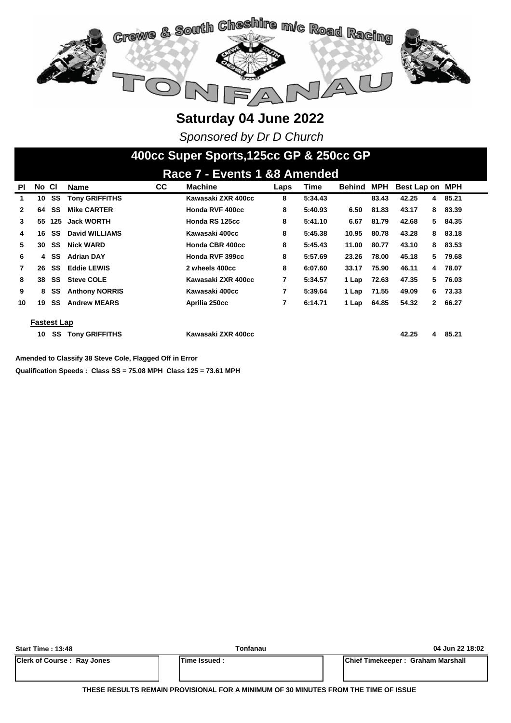

*Sponsored by Dr D Church*

### **400cc Super Sports,125cc GP & 250cc GP**

|                | Race 7 - Events 1 &8 Amended |     |                       |           |                    |      |         |               |       |             |              |            |
|----------------|------------------------------|-----|-----------------------|-----------|--------------------|------|---------|---------------|-------|-------------|--------------|------------|
| ΡI             | No CI                        |     | <b>Name</b>           | <b>CC</b> | <b>Machine</b>     | Laps | Time    | <b>Behind</b> | MPH   | Best Lap on |              | <b>MPH</b> |
| 1              | 10                           | SS  | <b>Tony GRIFFITHS</b> |           | Kawasaki ZXR 400cc | 8    | 5:34.43 |               | 83.43 | 42.25       | 4            | 85.21      |
| $\mathbf{2}$   | 64                           | SS  | <b>Mike CARTER</b>    |           | Honda RVF 400cc    | 8    | 5:40.93 | 6.50          | 81.83 | 43.17       | 8            | 83.39      |
| 3              | 55                           | 125 | <b>Jack WORTH</b>     |           | Honda RS 125cc     | 8    | 5:41.10 | 6.67          | 81.79 | 42.68       | 5.           | 84.35      |
| 4              | 16                           | SS  | David WILLIAMS        |           | Kawasaki 400cc     | 8    | 5:45.38 | 10.95         | 80.78 | 43.28       | 8            | 83.18      |
| 5              | 30                           | SS  | <b>Nick WARD</b>      |           | Honda CBR 400cc    | 8    | 5:45.43 | 11.00         | 80.77 | 43.10       | 8            | 83.53      |
| 6              | 4                            | SS  | <b>Adrian DAY</b>     |           | Honda RVF 399cc    | 8    | 5:57.69 | 23.26         | 78.00 | 45.18       | 5.           | 79.68      |
| $\overline{7}$ | 26                           | SS  | <b>Eddie LEWIS</b>    |           | 2 wheels 400cc     | 8    | 6:07.60 | 33.17         | 75.90 | 46.11       | 4            | 78.07      |
| 8              | 38                           | SS  | <b>Steve COLE</b>     |           | Kawasaki ZXR 400cc | 7    | 5:34.57 | 1 Lap         | 72.63 | 47.35       | 5.           | 76.03      |
| 9              | 8                            | SS  | <b>Anthony NORRIS</b> |           | Kawasaki 400cc     |      | 5:39.64 | 1 Lap         | 71.55 | 49.09       | 6.           | 73.33      |
| 10             | 19                           | SS  | <b>Andrew MEARS</b>   |           | Aprilia 250cc      | 7    | 6:14.71 | 1 Lap         | 64.85 | 54.32       | $\mathbf{2}$ | 66.27      |
|                | <b>Fastest Lap</b>           |     |                       |           |                    |      |         |               |       |             |              |            |
|                | 10                           | SS  | <b>Tony GRIFFITHS</b> |           | Kawasaki ZXR 400cc |      |         |               |       | 42.25       | 4            | 85.21      |

**Amended to Classify 38 Steve Cole, Flagged Off in Error**

**Qualification Speeds : Class SS = 75.08 MPH Class 125 = 73.61 MPH** 

| <b>Start Time: 13:48</b>          | Tonfanau     | 04 Jun 22 18:02                           |
|-----------------------------------|--------------|-------------------------------------------|
| <b>Clerk of Course: Ray Jones</b> | Time Issued: | <b>IChief Timekeeper: Graham Marshall</b> |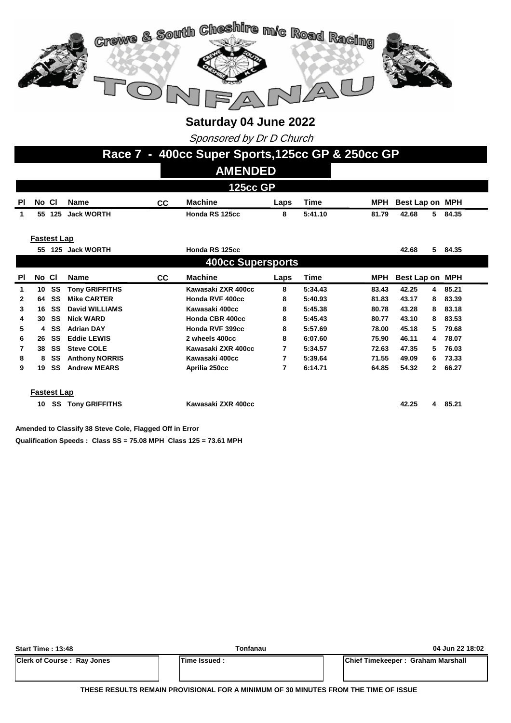

Sponsored by Dr D Church

|           | Race 7 - 400cc Super Sports, 125cc GP & 250cc GP                                              |                    |                       |    |                          |      |             |            |                 |              |         |
|-----------|-----------------------------------------------------------------------------------------------|--------------------|-----------------------|----|--------------------------|------|-------------|------------|-----------------|--------------|---------|
|           |                                                                                               |                    |                       |    | <b>AMENDED</b>           |      |             |            |                 |              |         |
|           | <b>125cc GP</b>                                                                               |                    |                       |    |                          |      |             |            |                 |              |         |
| <b>PI</b> | No Cl                                                                                         |                    | <b>Name</b>           | CC | <b>Machine</b>           | Laps | <b>Time</b> | <b>MPH</b> | Best Lap on MPH |              |         |
| 1         |                                                                                               | 55 125             | <b>Jack WORTH</b>     |    | Honda RS 125cc           | 8    | 5:41.10     | 81.79      | 42.68           |              | 5 84.35 |
|           |                                                                                               |                    |                       |    |                          |      |             |            |                 |              |         |
|           | <b>Fastest Lap</b>                                                                            |                    |                       |    |                          |      |             |            |                 |              |         |
|           |                                                                                               |                    | 55 125 Jack WORTH     |    | Honda RS 125cc           |      |             |            | 42.68           |              | 5 84.35 |
|           |                                                                                               |                    |                       |    | <b>400cc Supersports</b> |      |             |            |                 |              |         |
| PI        | No Cl<br><b>Machine</b><br><b>Time</b><br>MPH<br>Best Lap on MPH<br><b>Name</b><br>CC<br>Laps |                    |                       |    |                          |      |             |            |                 |              |         |
| 1         | 10                                                                                            | SS                 | <b>Tony GRIFFITHS</b> |    | Kawasaki ZXR 400cc       | 8    | 5:34.43     | 83.43      | 42.25           | 4            | 85.21   |
| 2         | 64                                                                                            | SS                 | <b>Mike CARTER</b>    |    | Honda RVF 400cc          | 8    | 5:40.93     | 81.83      | 43.17           | 8            | 83.39   |
| 3         | 16                                                                                            | SS                 | <b>David WILLIAMS</b> |    | Kawasaki 400cc           | 8    | 5:45.38     | 80.78      | 43.28           | 8            | 83.18   |
| 4         | 30                                                                                            | SS                 | <b>Nick WARD</b>      |    | Honda CBR 400cc          | 8    | 5:45.43     | 80.77      | 43.10           | 8            | 83.53   |
| 5         | 4                                                                                             | SS                 | <b>Adrian DAY</b>     |    | Honda RVF 399cc          | 8    | 5:57.69     | 78.00      | 45.18           | 5            | 79.68   |
| 6         | 26                                                                                            | SS                 | <b>Eddie LEWIS</b>    |    | 2 wheels 400cc           | 8    | 6:07.60     | 75.90      | 46.11           | 4            | 78.07   |
| 7         | 38                                                                                            | SS                 | <b>Steve COLE</b>     |    | Kawasaki ZXR 400cc       | 7    | 5:34.57     | 72.63      | 47.35           | 5            | 76.03   |
| 8         | 8                                                                                             | SS                 | <b>Anthony NORRIS</b> |    | Kawasaki 400cc           | 7    | 5:39.64     | 71.55      | 49.09           | 6            | 73.33   |
| 9         | 19                                                                                            | SS                 | <b>Andrew MEARS</b>   |    | Aprilia 250cc            | 7    | 6:14.71     | 64.85      | 54.32           | $\mathbf{2}$ | 66.27   |
|           |                                                                                               |                    |                       |    |                          |      |             |            |                 |              |         |
|           |                                                                                               | <b>Fastest Lap</b> |                       |    |                          |      |             |            |                 |              |         |
|           | 10                                                                                            | SS                 | <b>Tony GRIFFITHS</b> |    | Kawasaki ZXR 400cc       |      |             |            | 42.25           |              | 4 85.21 |
|           |                                                                                               |                    |                       |    |                          |      |             |            |                 |              |         |
|           |                                                                                               |                    |                       |    |                          |      |             |            |                 |              |         |

**Qualification Speeds : Class SS = 75.08 MPH Class 125 = 73.61 MPH Amended to Classify 38 Steve Cole, Flagged Off in Error**

| <b>Start Time: 13:48</b>          | Tonfanau       | 04 Jun 22 18:02                           |
|-----------------------------------|----------------|-------------------------------------------|
| <b>Clerk of Course: Ray Jones</b> | lTime Issued : | <b>IChief Timekeeper: Graham Marshall</b> |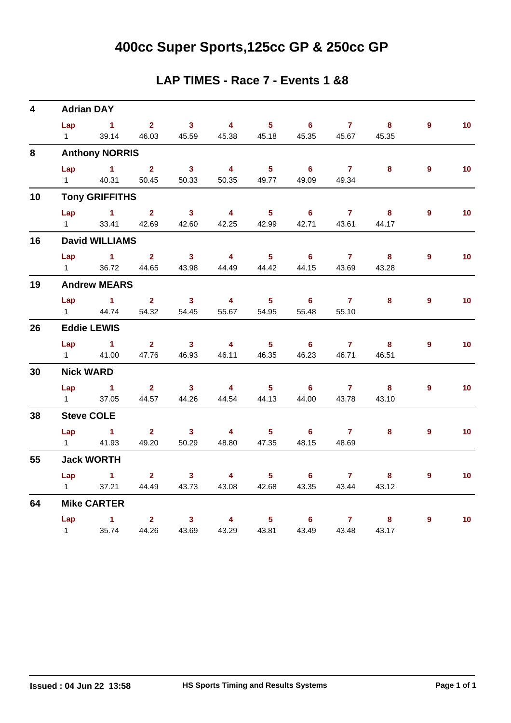# **400cc Super Sports,125cc GP & 250cc GP**

#### **LAP TIMES - Race 7 - Events 1 &8**

| $\overline{\mathbf{4}}$ |                        | <b>Adrian DAY</b>     |                                                 |                         |                         |                            |                            |                |                         |                |                 |
|-------------------------|------------------------|-----------------------|-------------------------------------------------|-------------------------|-------------------------|----------------------------|----------------------------|----------------|-------------------------|----------------|-----------------|
|                         |                        | $Lap$ 1               | $\overline{\mathbf{2}}$                         | 3 <sup>1</sup>          | $\overline{\mathbf{4}}$ | 5 <sub>1</sub>             | $6 -$                      | $\overline{7}$ | 8                       | $9^{\circ}$    | 10 <sub>1</sub> |
|                         | $1 \quad \blacksquare$ | 39.14                 | 46.03                                           | 45.59                   | 45.38                   | 45.18                      | 45.35                      | 45.67          | 45.35                   |                |                 |
| 8                       |                        | <b>Anthony NORRIS</b> |                                                 |                         |                         |                            |                            |                |                         |                |                 |
|                         | Lap                    | $\sim$ 1 $\sim$ 2     |                                                 | $\overline{\mathbf{3}}$ | $\overline{\mathbf{4}}$ | $\overline{\phantom{0}}$ 5 | $6\overline{6}$            | $\overline{7}$ | 8                       | $9^{\circ}$    | 10 <sup>°</sup> |
|                         |                        | 1 40.31               | 50.45                                           | 50.33                   | 50.35                   | 49.77                      | 49.09                      | 49.34          |                         |                |                 |
| 10                      |                        | <b>Tony GRIFFITHS</b> |                                                 |                         |                         |                            |                            |                |                         |                |                 |
|                         | Lap                    | $\sim$ 1              | 2 <sup>7</sup>                                  | $\overline{\mathbf{3}}$ | $\overline{\mathbf{4}}$ | $\overline{\phantom{1}}$ 5 | $\overline{\phantom{0}}$ 6 | $\overline{7}$ | $\bf{8}$                | $\overline{9}$ | 10 <sub>1</sub> |
|                         | $1 \quad \Box$         |                       | 33.41 42.69                                     | 42.60                   | 42.25                   | 42.99                      | 42.71                      | 43.61          | 44.17                   |                |                 |
| 16                      |                        | <b>David WILLIAMS</b> |                                                 |                         |                         |                            |                            |                |                         |                |                 |
|                         | Lap                    | $\sim$ 1 $\sim$ 2     |                                                 | $\overline{\mathbf{3}}$ | $\overline{4}$          | $\overline{\phantom{a}}$ 5 | $\overline{\phantom{a}}$ 6 | $\overline{7}$ | $\overline{\mathbf{8}}$ | $9^{\circ}$    | 10 <sub>1</sub> |
|                         | $1 \quad \Box$         | 36.72                 | 44.65                                           |                         | 43.98 44.49             |                            | 44.42 44.15                | 43.69          | 43.28                   |                |                 |
| 19                      |                        | <b>Andrew MEARS</b>   |                                                 |                         |                         |                            |                            |                |                         |                |                 |
|                         |                        | Lap 1                 | $\overline{\mathbf{2}}$ $\overline{\mathbf{3}}$ |                         | $\overline{\mathbf{4}}$ | $\overline{\phantom{0}}$ 5 | $\overline{\phantom{a}}$ 6 |                | 8                       | $\overline{9}$ | 10 <sub>1</sub> |
|                         | $1 \quad \Box$         | 44.74                 | 54.32                                           | 54.45                   | 55.67                   | 54.95                      | 55.48                      | 55.10          |                         |                |                 |
| 26                      |                        | <b>Eddie LEWIS</b>    |                                                 |                         |                         |                            |                            |                |                         |                |                 |
|                         |                        | $Lap$ 1               | $\overline{\mathbf{2}}$                         | $\overline{\mathbf{3}}$ | $\overline{4}$          | $\overline{\phantom{0}}$ 5 | $\overline{\phantom{0}}$ 6 | $\overline{7}$ | $\overline{\mathbf{8}}$ | 9              | 10 <sup>°</sup> |
|                         |                        | 1 41.00               | 47.76                                           | 46.93                   | 46.11                   | 46.35                      | 46.23                      | 46.71          | 46.51                   |                |                 |
| 30                      |                        | <b>Nick WARD</b>      |                                                 |                         |                         |                            |                            |                |                         |                |                 |
|                         | Lap                    | $\sim$ 1              | $\overline{\mathbf{2}}$                         | 3 <sup>7</sup>          | $\overline{4}$          | $\overline{5}$             | 6                          | $\overline{7}$ | 8 <sup>1</sup>          | 9              | 10 <sub>1</sub> |
|                         | $1 \quad \Box$         | 37.05                 | 44.57                                           | 44.26                   | 44.54                   | 44.13                      | 44.00                      | 43.78          | 43.10                   |                |                 |
| 38                      |                        | <b>Steve COLE</b>     |                                                 |                         |                         |                            |                            |                |                         |                |                 |
|                         | Lap                    | $\sim$ $\sim$ 1       | $2^{\circ}$                                     | $\overline{\mathbf{3}}$ | $\overline{\mathbf{4}}$ | 5 <sub>5</sub>             | $\overline{\phantom{a}}$ 6 | $\overline{7}$ | 8 <sup>°</sup>          | $9^{\circ}$    | 10 <sub>1</sub> |
|                         | $1 \quad$              | 41.93                 | 49.20                                           | 50.29                   | 48.80                   | 47.35                      | 48.15                      | 48.69          |                         |                |                 |
| 55                      |                        | <b>Jack WORTH</b>     |                                                 |                         |                         |                            |                            |                |                         |                |                 |
|                         |                        | Lap 1                 | $2^{\circ}$                                     | $\sim$ 3                | $\overline{4}$          | $5 -$                      | $6 \qquad \qquad 7$        |                | 8                       | 9              | 10              |
|                         | $1 \qquad \qquad$      | 37.21                 | 44.49                                           | 43.73                   | 43.08                   | 42.68                      | 43.35                      | 43.44          | 43.12                   |                |                 |
| 64                      |                        | <b>Mike CARTER</b>    |                                                 |                         |                         |                            |                            |                |                         |                |                 |
|                         |                        | Lap 1                 | $2^{\circ}$                                     | 3 <sub>1</sub>          | $\overline{4}$          | 5 <sub>1</sub>             | $\overline{\phantom{a}}$ 6 | $\overline{7}$ | 8                       | 9              | 10              |
|                         | $1 \quad$              | 35.74                 | 44.26                                           | 43.69                   | 43.29                   | 43.81                      | 43.49                      | 43.48          | 43.17                   |                |                 |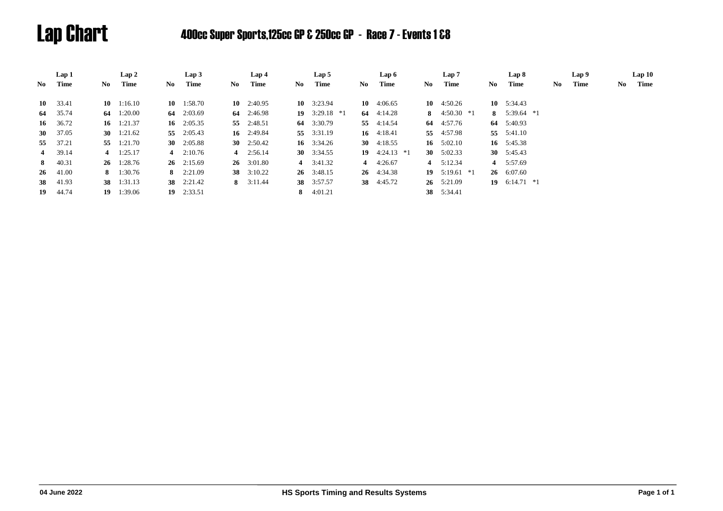# Lap Chart 400cc Super Sports,125cc GP & 250cc GP - Race 7 - Events 1 &8

|                | Lap 1            |     | Lap 2              |     | Lap3               |    | Lap 4              |    | Lap 5              |     | Lap 6           |    | Lap 7              |    | Lap 8              |    | Lap <sub>9</sub> |    | Lap10 |
|----------------|------------------|-----|--------------------|-----|--------------------|----|--------------------|----|--------------------|-----|-----------------|----|--------------------|----|--------------------|----|------------------|----|-------|
| No             | Time             | No. | Time               | No. | Time               | No | Time               | No | Time               | No. | Time            | No | Time               | No | Time               | No | Time             | No | Time  |
|                |                  |     |                    |     |                    |    |                    |    |                    |     |                 |    |                    |    |                    |    |                  |    |       |
|                | $10 \quad 33.41$ |     | $10 \quad 1:16.10$ |     | $10 \quad 1:58.70$ |    | $10 \quad 2:40.95$ |    | 10 $3:23.94$       |     | 10 $4:06.65$    |    | 10 $4:50.26$       |    | 10 $5:34.43$       |    |                  |    |       |
|                | 64 35.74         |     | 64 $1:20.00$       |     | 64 2:03.69         |    | 64 $2:46.98$       |    | 19 $3:29.18$ *1    |     | 64 $4:14.28$    |    | 8 $4:50.30 *1$     |    | 8 $5:39.64$ *1     |    |                  |    |       |
| 16             | 36.72            |     | 16 $1:21.37$       |     | 16 $2:05.35$       |    | 55 2:48.51         |    | 64 3:30.79         |     | 55 4:14.54      |    | 64 4:57.76         |    | 64 5:40.93         |    |                  |    |       |
| <b>30</b>      | 37.05            |     | 30 $1:21.62$       |     | 55 2:05.43         |    | 16 2:49.84         |    | 55 3:31.19         |     | 16 $4:18.41$    |    | 55 4:57.98         |    | 55 5:41.10         |    |                  |    |       |
|                | 55 37.21         |     | 55 1:21.70         |     | 30 $2:05.88$       |    | 30 $2:50.42$       |    | 16 $3:34.26$       |     | 30 $4:18.55$    |    | 16 $5:02.10$       |    | 16 5:45.38         |    |                  |    |       |
| $\overline{4}$ | 39.14            |     | 4 $1:25.17$        |     | 4 $2:10.76$        |    | 4 $2:56.14$        |    | 30 $3:34.55$       |     | 19 $4:24.13$ *1 |    | 30 $5:02.33$       |    | 30 $5:45.43$       |    |                  |    |       |
|                | 8 40.31          |     | $26 \quad 1:28.76$ |     | $26 \quad 2:15.69$ |    | $26 \quad 3:01.80$ |    | 4 $3:41.32$        |     | 4 $4:26.67$     |    | 4 $5:12.34$        |    | 4 5:57.69          |    |                  |    |       |
|                | $26 \quad 41.00$ |     | 8 $1:30.76$        |     | 8 $2:21.09$        |    | 38 $3:10.22$       |    | $26 \quad 3:48.15$ |     | 26 4:34.38      |    | 19 $5:19.61$ *1    |    | $26 \quad 6:07.60$ |    |                  |    |       |
|                | 38 41.93         |     | 38 1:31.13         |     | 38 2:21.42         |    | 8 $3:11.44$        |    | 38 3:57.57         |     | 38 4:45.72      |    | $26 \quad 5:21.09$ |    | 19 $6:14.71$ *1    |    |                  |    |       |
| 19             | 44.74            | 19  | 1:39.06            |     | 19 2:33.51         |    |                    |    | 8 $4:01.21$        |     |                 |    | 38 5:34.41         |    |                    |    |                  |    |       |
|                |                  |     |                    |     |                    |    |                    |    |                    |     |                 |    |                    |    |                    |    |                  |    |       |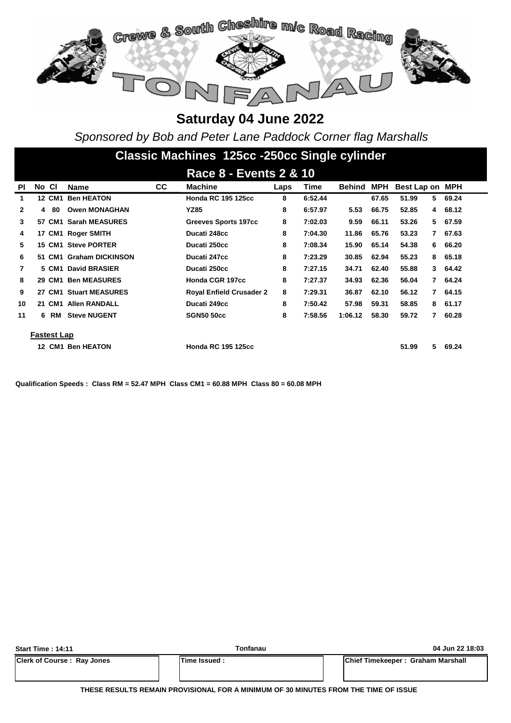

*Sponsored by Bob and Peter Lane Paddock Corner flag Marshalls*

# **Classic Machines 125cc -250cc Single cylinder**

|              |       |             |                         |           | Race 8 - Events 2 & 10          |      |         |         |       |                 |                |       |
|--------------|-------|-------------|-------------------------|-----------|---------------------------------|------|---------|---------|-------|-----------------|----------------|-------|
| <b>PI</b>    | No CI |             | <b>Name</b>             | <b>CC</b> | <b>Machine</b>                  | Laps | Time    | Behind  | MPH   | Best Lap on MPH |                |       |
| 1            |       | 12 CM1      | <b>Ben HEATON</b>       |           | <b>Honda RC 195 125cc</b>       | 8    | 6:52.44 |         | 67.65 | 51.99           | 5              | 69.24 |
| $\mathbf{2}$ | 4     | -80         | <b>Owen MONAGHAN</b>    |           | <b>YZ85</b>                     | 8    | 6:57.97 | 5.53    | 66.75 | 52.85           | 4              | 68.12 |
| 3            |       |             | 57 CM1 Sarah MEASURES   |           | Greeves Sports 197cc            | 8    | 7:02.03 | 9.59    | 66.11 | 53.26           | 5              | 67.59 |
| 4            |       |             | 17 CM1 Roger SMITH      |           | Ducati 248cc                    | 8    | 7:04.30 | 11.86   | 65.76 | 53.23           | 7              | 67.63 |
| 5.           |       |             | 15 CM1 Steve PORTER     |           | Ducati 250cc                    | 8    | 7:08.34 | 15.90   | 65.14 | 54.38           | 6              | 66.20 |
| 6            |       |             | 51 CM1 Graham DICKINSON |           | Ducati 247cc                    | 8    | 7:23.29 | 30.85   | 62.94 | 55.23           | 8              | 65.18 |
| 7            |       | 5 CM1       | <b>David BRASIER</b>    |           | Ducati 250cc                    | 8    | 7:27.15 | 34.71   | 62.40 | 55.88           | 3              | 64.42 |
| 8            |       | 29 CM1      | <b>Ben MEASURES</b>     |           | Honda CGR 197cc                 | 8    | 7:27.37 | 34.93   | 62.36 | 56.04           | $\overline{7}$ | 64.24 |
| 9            |       |             | 27 CM1 Stuart MEASURES  |           | <b>Royal Enfield Crusader 2</b> | 8    | 7:29.31 | 36.87   | 62.10 | 56.12           | $\overline{7}$ | 64.15 |
| 10           |       | 21 CM1      | <b>Allen RANDALL</b>    |           | Ducati 249cc                    | 8    | 7:50.42 | 57.98   | 59.31 | 58.85           | 8              | 61.17 |
| 11           |       | 6 RM        | <b>Steve NUGENT</b>     |           | <b>SGN50 50cc</b>               | 8    | 7:58.56 | 1:06.12 | 58.30 | 59.72<br>7      |                | 60.28 |
|              |       | Fastest Lap |                         |           |                                 |      |         |         |       |                 |                |       |
|              |       |             | 12 CM1 Ben HEATON       |           | <b>Honda RC 195 125cc</b>       |      |         |         |       | 51.99           | 5              | 69.24 |

**Qualification Speeds : Class RM = 52.47 MPH Class CM1 = 60.88 MPH Class 80 = 60.08 MPH** 

| <b>Start Time: 14:11</b>          | Tonfanau             | 04 Jun 22 18:03                           |
|-----------------------------------|----------------------|-------------------------------------------|
| <b>Clerk of Course: Ray Jones</b> | <b>ITime Issued:</b> | <b>IChief Timekeeper: Graham Marshall</b> |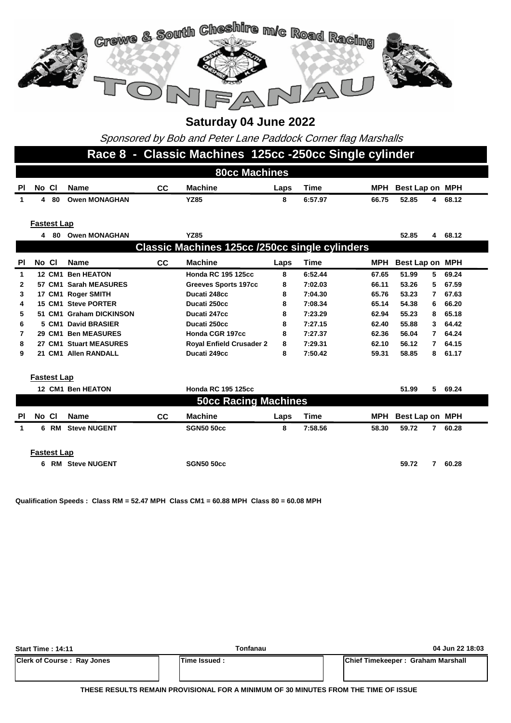

Sponsored by Bob and Peter Lane Paddock Corner flag Marshalls

#### **Race 8 - Classic Machines 125cc -250cc Single cylinder**

|                | <b>80cc Machines</b> |                    |                         |           |                                                       |      |             |            |                       |         |  |  |  |
|----------------|----------------------|--------------------|-------------------------|-----------|-------------------------------------------------------|------|-------------|------------|-----------------------|---------|--|--|--|
| PI             | No Cl                |                    | <b>Name</b>             | <b>CC</b> | <b>Machine</b>                                        | Laps | <b>Time</b> | <b>MPH</b> | Best Lap on MPH       |         |  |  |  |
| 1              | 4                    | 80                 | <b>Owen MONAGHAN</b>    |           | <b>YZ85</b>                                           | 8    | 6:57.97     | 66.75      | 52.85<br>4            | 68.12   |  |  |  |
|                |                      |                    |                         |           |                                                       |      |             |            |                       |         |  |  |  |
|                |                      | <b>Fastest Lap</b> |                         |           |                                                       |      |             |            |                       |         |  |  |  |
|                |                      |                    | 4 80 Owen MONAGHAN      |           | <b>YZ85</b>                                           |      |             |            | 52.85                 | 4 68.12 |  |  |  |
|                |                      |                    |                         |           | <b>Classic Machines 125cc /250cc single cylinders</b> |      |             |            |                       |         |  |  |  |
|                |                      |                    |                         |           |                                                       |      |             |            |                       |         |  |  |  |
| <b>PI</b>      | No CI                |                    | <b>Name</b>             | cc        | <b>Machine</b>                                        | Laps | <b>Time</b> | <b>MPH</b> | Best Lap on MPH       |         |  |  |  |
| 1              |                      |                    | 12 CM1 Ben HEATON       |           | <b>Honda RC 195 125cc</b>                             | 8    | 6:52.44     | 67.65      | 51.99<br>5            | 69.24   |  |  |  |
| $\overline{2}$ |                      |                    | 57 CM1 Sarah MEASURES   |           | <b>Greeves Sports 197cc</b>                           | 8    | 7:02.03     | 66.11      | 53.26<br>5            | 67.59   |  |  |  |
| 3              |                      |                    | 17 CM1 Roger SMITH      |           | Ducati 248cc                                          | 8    | 7:04.30     | 65.76      | 53.23<br>7            | 67.63   |  |  |  |
| 4              |                      |                    | 15 CM1 Steve PORTER     |           | Ducati 250cc                                          | 8    | 7:08.34     | 65.14      | 54.38<br>6            | 66.20   |  |  |  |
| 5              |                      |                    | 51 CM1 Graham DICKINSON |           | Ducati 247cc                                          | 8    | 7:23.29     | 62.94      | 55.23<br>8            | 65.18   |  |  |  |
| 6              |                      |                    | 5 CM1 David BRASIER     |           | Ducati 250cc                                          | 8    | 7:27.15     | 62.40      | 55.88<br>3            | 64.42   |  |  |  |
| 7              |                      |                    | 29 CM1 Ben MEASURES     |           | Honda CGR 197cc                                       | 8    | 7:27.37     | 62.36      | 56.04<br>7            | 64.24   |  |  |  |
| 8              |                      |                    | 27 CM1 Stuart MEASURES  |           | <b>Royal Enfield Crusader 2</b>                       | 8    | 7:29.31     | 62.10      | 56.12<br>7            | 64.15   |  |  |  |
| 9              |                      |                    | 21 CM1 Allen RANDALL    |           | Ducati 249cc                                          | 8    | 7:50.42     | 59.31      | 58.85<br>8            | 61.17   |  |  |  |
|                |                      |                    |                         |           |                                                       |      |             |            |                       |         |  |  |  |
|                | <b>Fastest Lap</b>   |                    |                         |           |                                                       |      |             |            |                       |         |  |  |  |
|                |                      |                    | 12 CM1 Ben HEATON       |           | <b>Honda RC 195 125cc</b>                             |      |             |            | 51.99<br>5            | 69.24   |  |  |  |
|                |                      |                    |                         |           | <b>50cc Racing Machines</b>                           |      |             |            |                       |         |  |  |  |
| PI             | No Cl                |                    | <b>Name</b>             | cc        | <b>Machine</b>                                        | Laps | <b>Time</b> | <b>MPH</b> | Best Lap on MPH       |         |  |  |  |
| $\mathbf{1}$   |                      | 6 RM               | <b>Steve NUGENT</b>     |           | <b>SGN50 50cc</b>                                     | 8    | 7:58.56     | 58.30      | 59.72                 | 7 60.28 |  |  |  |
|                |                      |                    |                         |           |                                                       |      |             |            |                       |         |  |  |  |
|                |                      |                    |                         |           |                                                       |      |             |            |                       |         |  |  |  |
|                | <b>Fastest Lap</b>   |                    |                         |           |                                                       |      |             |            |                       |         |  |  |  |
|                | 6                    |                    | <b>RM</b> Steve NUGENT  |           | <b>SGN50 50cc</b>                                     |      |             |            | 59.72<br>$\mathbf{7}$ | 60.28   |  |  |  |

**Qualification Speeds : Class RM = 52.47 MPH Class CM1 = 60.88 MPH Class 80 = 60.08 MPH** 

| <b>Start Time: 14:11</b>          | Tonfanau     | 04 Jun 22 18:03                   |
|-----------------------------------|--------------|-----------------------------------|
| <b>Clerk of Course: Ray Jones</b> | Time Issued: | Chief Timekeeper: Graham Marshall |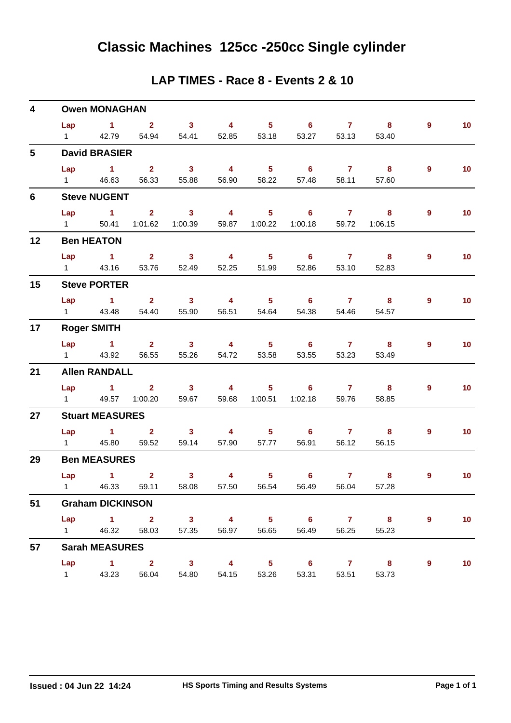#### **LAP TIMES - Race 8 - Events 2 & 10**

| 4               |                   | <b>Owen MONAGHAN</b>          |                         |                                                   |                                               |                            |                            |                                                                                                                                                                                                                                                                                                                                    |                         |                |                 |
|-----------------|-------------------|-------------------------------|-------------------------|---------------------------------------------------|-----------------------------------------------|----------------------------|----------------------------|------------------------------------------------------------------------------------------------------------------------------------------------------------------------------------------------------------------------------------------------------------------------------------------------------------------------------------|-------------------------|----------------|-----------------|
|                 |                   | Lap $1$ 2                     |                         | $\overline{\mathbf{3}}$                           | $\overline{4}$                                | $\overline{\phantom{a}}$ 5 | $\overline{\phantom{a}}$ 6 | $\sim$ 7 $\sim$                                                                                                                                                                                                                                                                                                                    | $\overline{\mathbf{8}}$ | $9^{\circ}$    | 10 <sub>1</sub> |
|                 | $1 \quad \Box$    | 42.79                         |                         | 54.94 54.41                                       | 52.85                                         | 53.18                      | 53.27                      | 53.13                                                                                                                                                                                                                                                                                                                              | 53.40                   |                |                 |
| $5\phantom{.0}$ |                   | <b>David BRASIER</b>          |                         |                                                   |                                               |                            |                            |                                                                                                                                                                                                                                                                                                                                    |                         |                |                 |
|                 | Lap               | $\sim$ 1                      | $\overline{\mathbf{2}}$ | $\sim$ 3                                          | $\overline{4}$                                |                            | $5^{\circ}$ 6              | $\overline{7}$                                                                                                                                                                                                                                                                                                                     | $\sim$ 8                | $\overline{9}$ | 10 <sub>1</sub> |
|                 | $1 \quad \Box$    | 46.63                         | 56.33                   | 55.88                                             | 56.90                                         | 58.22                      | 57.48                      | 58.11                                                                                                                                                                                                                                                                                                                              | 57.60                   |                |                 |
| $6\phantom{1}$  |                   | <b>Steve NUGENT</b>           |                         |                                                   |                                               |                            |                            |                                                                                                                                                                                                                                                                                                                                    |                         |                |                 |
|                 | Lap               | $\sim$ $\sim$ 1               | $\overline{\mathbf{2}}$ | $\overline{\textbf{3}}$ 4                         |                                               | $\overline{\phantom{1}}$ 5 | $\overline{\phantom{a}}$ 6 | $\overline{7}$ and $\overline{7}$ and $\overline{7}$ and $\overline{7}$ and $\overline{7}$ and $\overline{7}$ and $\overline{7}$ and $\overline{7}$ and $\overline{7}$ and $\overline{7}$ and $\overline{7}$ and $\overline{7}$ and $\overline{7}$ and $\overline{7}$ and $\overline{7}$ and $\overline{7}$ and $\overline{7}$ and | 8                       | 9              | 10 <sub>1</sub> |
|                 | $1 \quad \Box$    | 50.41                         | 1:01.62                 | 1:00.39                                           | 59.87                                         | 1:00.22                    | 1:00.18                    | 59.72                                                                                                                                                                                                                                                                                                                              | 1:06.15                 |                |                 |
| 12              |                   | <b>Ben HEATON</b>             |                         |                                                   |                                               |                            |                            |                                                                                                                                                                                                                                                                                                                                    |                         |                |                 |
|                 | Lap               | $\sim$ 1                      |                         | $2 \t 3$                                          | $\overline{4}$                                | $\overline{\phantom{0}}$ 5 | 6 7 8                      |                                                                                                                                                                                                                                                                                                                                    |                         | 9              | 10 <sub>1</sub> |
|                 | $1 \qquad \qquad$ | 43.16                         | 53.76                   | 52.49                                             | 52.25                                         | 51.99                      | 52.86                      | 53.10                                                                                                                                                                                                                                                                                                                              | 52.83                   |                |                 |
| 15              |                   | <b>Steve PORTER</b>           |                         |                                                   |                                               |                            |                            |                                                                                                                                                                                                                                                                                                                                    |                         |                |                 |
|                 |                   |                               | Lap 1 2                 | $\overline{\mathbf{3}}$                           | $\overline{4}$                                | $\overline{\phantom{a}}$ 5 | $\overline{\phantom{a}}$ 6 |                                                                                                                                                                                                                                                                                                                                    | 7 8                     | 9              | 10 <sub>1</sub> |
|                 | $1 \quad \Box$    | 43.48                         | 54.40                   | 55.90                                             | 56.51                                         | 54.64                      | 54.38                      | 54.46                                                                                                                                                                                                                                                                                                                              | 54.57                   |                |                 |
| 17              |                   | <b>Roger SMITH</b>            |                         |                                                   |                                               |                            |                            |                                                                                                                                                                                                                                                                                                                                    |                         |                |                 |
|                 | Lap               | $\sim$ $\sim$ 1               |                         | 2 3 4 5 6 7 8                                     |                                               |                            |                            |                                                                                                                                                                                                                                                                                                                                    |                         | 9              | 10 <sub>1</sub> |
|                 | $1 \qquad \qquad$ | 43.92                         | 56.55                   | 55.26                                             | 54.72                                         | 53.58                      | 53.55                      | 53.23                                                                                                                                                                                                                                                                                                                              | 53.49                   |                |                 |
| 21              |                   | <b>Allen RANDALL</b>          |                         |                                                   |                                               |                            |                            |                                                                                                                                                                                                                                                                                                                                    |                         |                |                 |
|                 |                   |                               |                         | Lap 1 2 3 4                                       |                                               | 5 <sub>5</sub>             | $6$ $7$ $8$                |                                                                                                                                                                                                                                                                                                                                    |                         | 9              | 10 <sub>1</sub> |
|                 | $1 \quad \Box$    | 49.57                         | 1:00.20                 | 59.67                                             | 59.68                                         | 1:00.51                    | 1:02.18                    | 59.76                                                                                                                                                                                                                                                                                                                              | 58.85                   |                |                 |
| 27              |                   | <b>Stuart MEASURES</b>        |                         |                                                   |                                               |                            |                            |                                                                                                                                                                                                                                                                                                                                    |                         |                |                 |
|                 |                   |                               | Lap 1 2 3               |                                                   | $\sim$ 4 and $\sim$ 4 and $\sim$ 4 and $\sim$ |                            | $5 \t\t 6 \t\t 7$          |                                                                                                                                                                                                                                                                                                                                    | 8                       | 9              | 10 <sub>1</sub> |
|                 | $1 \quad \Box$    | 45.80                         | 59.52                   | 59.14                                             | 57.90                                         | 57.77                      | 56.91                      | 56.12                                                                                                                                                                                                                                                                                                                              | 56.15                   |                |                 |
| 29              |                   | <b>Ben MEASURES</b>           |                         |                                                   |                                               |                            |                            |                                                                                                                                                                                                                                                                                                                                    |                         |                |                 |
|                 | Lap               | $\sim$ $\sim$ 1               | $\overline{\mathbf{2}}$ | 3 <sup>7</sup>                                    | $\overline{4}$                                | 5 <sub>1</sub>             | $\overline{\phantom{0}}$ 6 | $\overline{7}$                                                                                                                                                                                                                                                                                                                     | 8                       | 9              | 10 <sub>1</sub> |
|                 |                   |                               |                         | 1 46.33 59.11 58.08 57.50 56.54 56.49 56.04 57.28 |                                               |                            |                            |                                                                                                                                                                                                                                                                                                                                    |                         |                |                 |
| 51              |                   | <b>Graham DICKINSON</b>       |                         |                                                   |                                               |                            |                            |                                                                                                                                                                                                                                                                                                                                    |                         |                |                 |
|                 | Lap               | $\sim$ 1 2                    |                         | $\overline{\mathbf{3}}$                           | $\overline{\mathbf{4}}$                       | 5 <sub>5</sub>             | $\overline{\phantom{0}}$ 6 | $\overline{7}$                                                                                                                                                                                                                                                                                                                     | $\overline{\mathbf{8}}$ | 9              | 10              |
|                 | $1 \quad \Box$    | 46.32                         | 58.03                   | 57.35                                             | 56.97                                         | 56.65                      | 56.49                      | 56.25                                                                                                                                                                                                                                                                                                                              | 55.23                   |                |                 |
| 57              |                   | <b>Sarah MEASURES</b>         |                         |                                                   |                                               |                            |                            |                                                                                                                                                                                                                                                                                                                                    |                         |                |                 |
|                 | Lap               | $\overline{1}$ $\overline{2}$ |                         | $\overline{\mathbf{3}}$                           | $\overline{\mathbf{4}}$                       | $\overline{\mathbf{5}}$    | $\overline{\phantom{a}}$ 6 | $\overline{7}$                                                                                                                                                                                                                                                                                                                     | $\overline{\mathbf{8}}$ | 9              | 10 <sub>1</sub> |
|                 | 1                 | 43.23                         | 56.04                   | 54.80                                             | 54.15                                         | 53.26                      | 53.31                      | 53.51                                                                                                                                                                                                                                                                                                                              | 53.73                   |                |                 |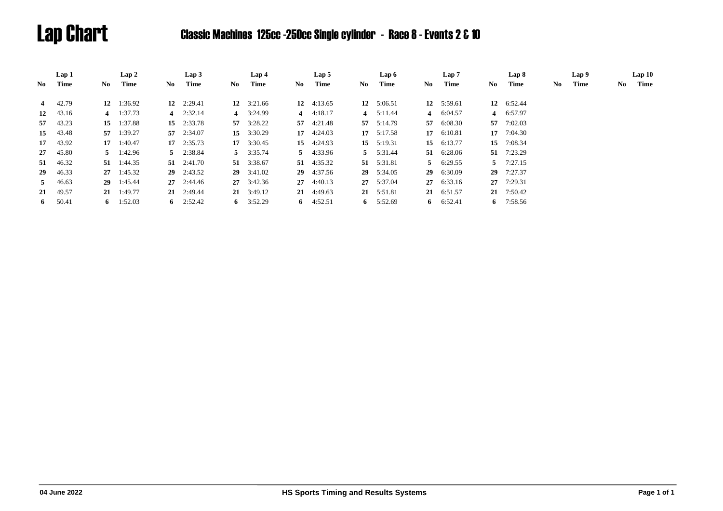# Lap Chart Classic Machines 125cc -250cc Single cylinder - Race 8 - Events 2 & 10

|             | Lap 1    |    | Lap2               |    | Lap3               |     | Lap 4              |     | Lap 5              |     | Lap 6              |     | Lap 7             |     | Lap 8             |    | Lap 9 |    | Lap10 |
|-------------|----------|----|--------------------|----|--------------------|-----|--------------------|-----|--------------------|-----|--------------------|-----|-------------------|-----|-------------------|----|-------|----|-------|
| No          | Time     | No | Time               | No | Time               | No. | Time               | No. | Time               | No. | Time               | No. | Time              | No. | Time              | No | Time  | No | Time  |
| 4           | 42.79    |    | 12 1:36.92         |    | 12 $2:29.41$       |     | 12 $3:21.66$       |     | 12 $4:13.65$       |     | 12 $5:06.51$       |     | 12 $5:59.61$      |     | 12 6:52.44        |    |       |    |       |
| 12          | 43.16    |    | 4 $1:37.73$        |    | 4 $2:32.14$        |     | 4 3:24.99          |     | 4 $4:18.17$        |     | 4 $5:11.44$        |     | 4 6:04.57         |     | 4 6:57.97         |    |       |    |       |
| 57          | 43.23    | 15 | 1:37.88            |    | 15 2:33.78         |     | 57 $3:28.22$       |     | 57 $4:21.48$       |     | $57 \quad 5:14.79$ |     | 57 6:08.30        | 57  | 7:02.03           |    |       |    |       |
| 15          | 43.48    |    | 57 1:39.27         |    | 57 2:34.07         |     | 15 $3:30.29$       |     | 17 $4:24.03$       |     | $17 \quad 5:17.58$ |     | 17 6:10.81        | 17  | 7:04.30           |    |       |    |       |
| 17          | 43.92    |    | $17 \quad 1:40.47$ |    | $17 \quad 2:35.73$ |     | 17 3:30.45         |     | 15 $4:24.93$       |     | 15 $5:19.31$       |     | 15 6:13.77        | 15  | 7:08.34           |    |       |    |       |
| 27          | 45.80    |    | $5 \t1:42.96$      |    | $5 \quad 2:38.84$  |     | $5 \quad 3:35.74$  |     | $5 \quad 4:33.96$  |     | $5 \quad 5:31.44$  |     | 51 6:28.06        | 51  | 7:23.29           |    |       |    |       |
|             | 51 46.32 |    | $51 \quad 1:44.35$ |    | $51 \quad 2:41.70$ |     | 51 3:38.67         |     | 51 $4:35.32$       |     | 51 5:31.81         |     | $5 \quad 6:29.55$ |     | $5 \quad 7:27.15$ |    |       |    |       |
| 29          | 46.33    |    | $27 \quad 1:45.32$ |    | $29$ 2:43.52       |     | $29 \quad 3:41.02$ |     | 29 4:37.56         |     | $29 \quad 5:34.05$ |     | 29 6:30.09        | 29  | 7:27.37           |    |       |    |       |
| $5^{\circ}$ | 46.63    |    | 29 1:45.44         |    | $27 \quad 2:44.46$ |     | $27 \quad 3:42.36$ |     | $27 \quad 4:40.13$ |     | 27 5:37.04         |     | 27 6:33.16        | 27  | 7:29.31           |    |       |    |       |
|             | 21 49.57 |    | $21 \quad 1:49.77$ |    | 21 2:49.44         |     | $21 \quad 3:49.12$ |     | $21 \quad 4:49.63$ |     | 21 5:51.81         |     | 21 6:51.57        |     | 21 7:50.42        |    |       |    |       |
| 6           | 50.41    |    | 6 1:52.03          |    | 6 $2:52.42$        |     | 6 $3:52.29$        |     | 6 $4:52.51$        |     | 6 $5:52.69$        |     | 6 6:52.41         |     | 6 $7:58.56$       |    |       |    |       |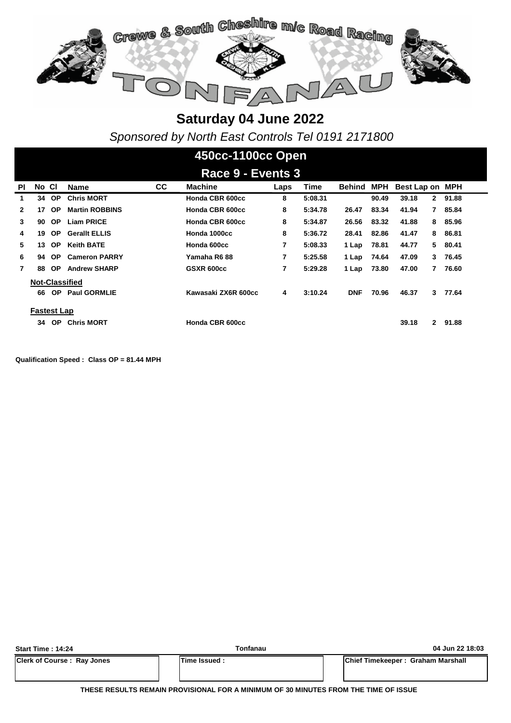

*Sponsored by North East Controls Tel 0191 2171800*

### **450cc-1100cc Open**

|              | Race 9 - Events 3  |           |                       |    |                     |      |             |            |       |                 |              |         |  |
|--------------|--------------------|-----------|-----------------------|----|---------------------|------|-------------|------------|-------|-----------------|--------------|---------|--|
| <b>PI</b>    | No Cl              |           | <b>Name</b>           | СC | <b>Machine</b>      | Laps | <b>Time</b> | Behind     | MPH   | Best Lap on MPH |              |         |  |
| 1            | 34                 | <b>OP</b> | <b>Chris MORT</b>     |    | Honda CBR 600cc     | 8    | 5:08.31     |            | 90.49 | 39.18           | $\mathbf{2}$ | 91.88   |  |
| $\mathbf{2}$ | 17                 | <b>OP</b> | <b>Martin ROBBINS</b> |    | Honda CBR 600cc     | 8    | 5:34.78     | 26.47      | 83.34 | 41.94           | $\mathbf{7}$ | 85.84   |  |
| 3            | 90                 | <b>OP</b> | <b>Liam PRICE</b>     |    | Honda CBR 600cc     | 8    | 5:34.87     | 26.56      | 83.32 | 41.88           | 8            | 85.96   |  |
| 4            | 19                 | OP.       | <b>Gerallt ELLIS</b>  |    | Honda 1000cc        | 8    | 5:36.72     | 28.41      | 82.86 | 41.47           | 8            | 86.81   |  |
| 5            | 13                 | <b>OP</b> | <b>Keith BATE</b>     |    | Honda 600cc         | 7    | 5:08.33     | 1 Lap      | 78.81 | 44.77           |              | 5 80.41 |  |
| 6            | 94                 | OP.       | <b>Cameron PARRY</b>  |    | Yamaha R688         | 7    | 5:25.58     | 1 Lap      | 74.64 | 47.09           | 3            | 76.45   |  |
| 7            | 88                 | <b>OP</b> | <b>Andrew SHARP</b>   |    | GSXR 600cc          | 7    | 5:29.28     | 1 Lap      | 73.80 | 47.00           | 7            | 76.60   |  |
|              |                    |           | <b>Not-Classified</b> |    |                     |      |             |            |       |                 |              |         |  |
|              | 66                 | OP.       | <b>Paul GORMLIE</b>   |    | Kawasaki ZX6R 600cc | 4    | 3:10.24     | <b>DNF</b> | 70.96 | 46.37           | 3            | 77.64   |  |
|              | <b>Fastest Lap</b> |           |                       |    |                     |      |             |            |       |                 |              |         |  |
|              | 34                 | <b>OP</b> | <b>Chris MORT</b>     |    | Honda CBR 600cc     |      |             |            |       | 39.18           | $\mathbf{2}$ | 91.88   |  |

**Qualification Speed : Class OP = 81.44 MPH** 

| <b>Start Time: 14:24</b>          | Tonfanau           | 04 Jun 22 18:03                           |
|-----------------------------------|--------------------|-------------------------------------------|
| <b>Clerk of Course: Ray Jones</b> | <b>Time Issued</b> | <b>IChief Timekeeper: Graham Marshall</b> |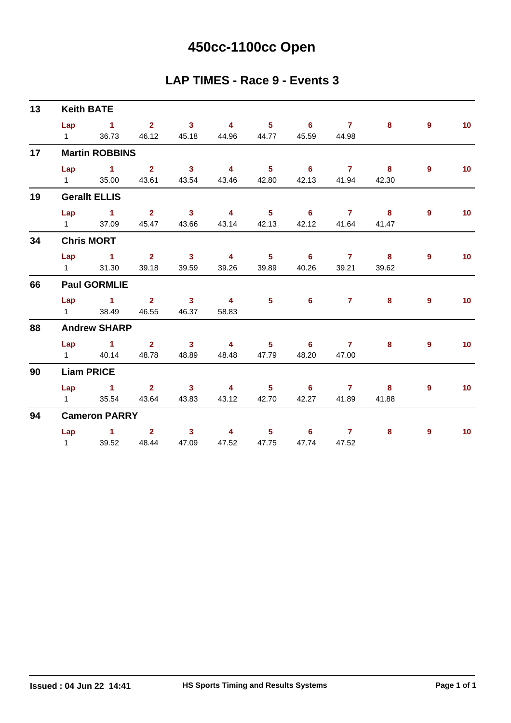# **450cc-1100cc Open**

#### **LAP TIMES - Race 9 - Events 3**

| 13 |                | <b>Keith BATE</b>     |                                           |             |       |                               |             |                |       |                |                 |
|----|----------------|-----------------------|-------------------------------------------|-------------|-------|-------------------------------|-------------|----------------|-------|----------------|-----------------|
|    |                | Lap 1 2 3 4 5 6 7     |                                           |             |       |                               |             |                | 8     | 9              | 10 <sup>°</sup> |
|    | $1 \quad \Box$ |                       | 36.73 46.12 45.18 44.96 44.77 45.59 44.98 |             |       |                               |             |                |       |                |                 |
| 17 |                | <b>Martin ROBBINS</b> |                                           |             |       |                               |             |                |       |                |                 |
|    |                | Lap 1 2 3 4 5 6 7 8   |                                           |             |       |                               |             |                |       | $\overline{9}$ | 10              |
|    |                | 1 35.00 43.61 43.54   |                                           |             |       | 43.46 42.80 42.13 41.94 42.30 |             |                |       |                |                 |
| 19 |                | <b>Gerallt ELLIS</b>  |                                           |             |       |                               |             |                |       |                |                 |
|    |                | Lap 1 2 3 4 5 6 7 8   |                                           |             |       |                               |             |                |       | 9              | 10              |
|    |                | 1 37.09               | 45.47 43.66                               |             |       | 43.14 42.13                   | 42.12       | 41.64          | 41.47 |                |                 |
| 34 |                | <b>Chris MORT</b>     |                                           |             |       |                               |             |                |       |                |                 |
|    |                | Lap 1 2 3 4 5 6 7 8   |                                           |             |       |                               |             |                |       | 9              | 10              |
|    |                | 1 31.30               |                                           | 39.18 39.59 | 39.26 |                               | 39.89 40.26 | 39.21          | 39.62 |                |                 |
| 66 |                | <b>Paul GORMLIE</b>   |                                           |             |       |                               |             |                |       |                |                 |
|    |                | Lap 1 2 3 4           |                                           |             |       | $\sim$ 5 and $\sim$           | $6 -$       | $\overline{7}$ | 8     | $\overline{9}$ | 10 <sub>1</sub> |
|    |                | 1 38.49 46.55 46.37   |                                           |             | 58.83 |                               |             |                |       |                |                 |
| 88 |                | <b>Andrew SHARP</b>   |                                           |             |       |                               |             |                |       |                |                 |
|    |                | Lap 1 2 3 4 5 6 7     |                                           |             |       |                               |             |                | 8     | 9              | 10 <sub>1</sub> |
|    |                | 1 40.14 48.78 48.89   |                                           |             | 48.48 |                               | 47.79 48.20 | 47.00          |       |                |                 |
| 90 |                | <b>Liam PRICE</b>     |                                           |             |       |                               |             |                |       |                |                 |
|    |                | Lap 1 2 3 4 5 6 7 8   |                                           |             |       |                               |             |                |       | $\mathbf{9}$   | 10              |
|    |                | 1 35.54 43.64 43.83   |                                           |             |       | 43.12 42.70                   | 42.27       | 41.89          | 41.88 |                |                 |
| 94 |                | <b>Cameron PARRY</b>  |                                           |             |       |                               |             |                |       |                |                 |
|    |                | Lap 1 2 3             |                                           |             |       | 4 5 6 7                       |             |                | 8     | 9              | 10 <sup>°</sup> |
|    |                | 1 39.52 48.44 47.09   |                                           |             | 47.52 |                               | 47.75 47.74 | 47.52          |       |                |                 |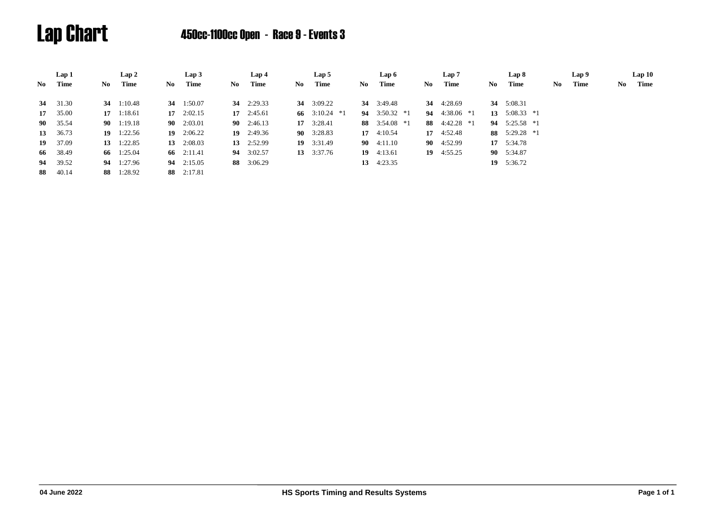# Lap Chart 450cc-1100cc Open - Race 9 - Events 3

|       | Lap 1           |     | Lap 2              |     | Lap3               |     | Lap 4              |     | Lap 5              |     | Lap 6              |    | Lap 7              |     | Lap 8           |     | Lap 9 |    | Lap10 |
|-------|-----------------|-----|--------------------|-----|--------------------|-----|--------------------|-----|--------------------|-----|--------------------|----|--------------------|-----|-----------------|-----|-------|----|-------|
| No 11 | Time            | No. | Time               | No. | Time               | No. | Time               | No. | Time               | No. | Time               | No | Time               | No. | Time            | No. | Time  | No | Time  |
|       | <b>34</b> 31.30 |     | 34 1:10.48         | 34  | 1:50.07            |     | 34 $2:29.33$       |     | 34 $3:09.22$       |     | 34 3:49.48         | 34 | 4:28.69            |     | 34 5:08.31      |     |       |    |       |
|       | 17 35.00        |     | $17 \quad 1:18.61$ |     | $17 \quad 2:02.15$ |     | $17 \quad 2:45.61$ |     | 66 3:10.24 $*1$    |     | 94 $3:50.32$ *1    | 94 | 4:38.06 *1         | 13  | $5:08.33$ *1    |     |       |    |       |
|       | <b>90</b> 35.54 |     | $90 \quad 1:19.18$ |     | $90 \quad 2:03.01$ |     | 90 $2:46.13$       |     | $17 \quad 3:28.41$ |     | 88 $3:54.08*1$     |    | 88 $4:42.28*1$     |     | 94 $5:25.58$ *1 |     |       |    |       |
|       | 13 36.73        |     | $19 \quad 1:22.56$ |     | 19 $2:06.22$       |     | $19 \quad 2:49.36$ |     | $90 \quad 3:28.83$ |     | 17 $4:10.54$       |    | 17 4:52.48         |     | 88 5:29.28 *1   |     |       |    |       |
|       | 19 37.09        |     | 13 $1:22.85$       | 13  | 2:08.03            |     | 13 $2:52.99$       |     | $19 \quad 3:31.49$ |     | $90 \quad 4:11.10$ |    | $90 \quad 4:52.99$ |     | 17 5:34.78      |     |       |    |       |
|       | 66 38.49        |     | 66 1:25.04         |     | 66 2:11.41         |     | 94 3:02.57         |     | 13 $3:37.76$       |     | 19 $4:13.61$       |    | 19 $4:55.25$       |     | 90 5:34.87      |     |       |    |       |
|       | 94 39.52        |     | 94 1:27.96         |     | 94 2:15.05         |     | 88 3:06.29         |     |                    |     | 13 $4:23.35$       |    |                    |     | 19 $5:36.72$    |     |       |    |       |
|       | 88 40.14        |     | 88 1:28.92         |     | 88 2:17.81         |     |                    |     |                    |     |                    |    |                    |     |                 |     |       |    |       |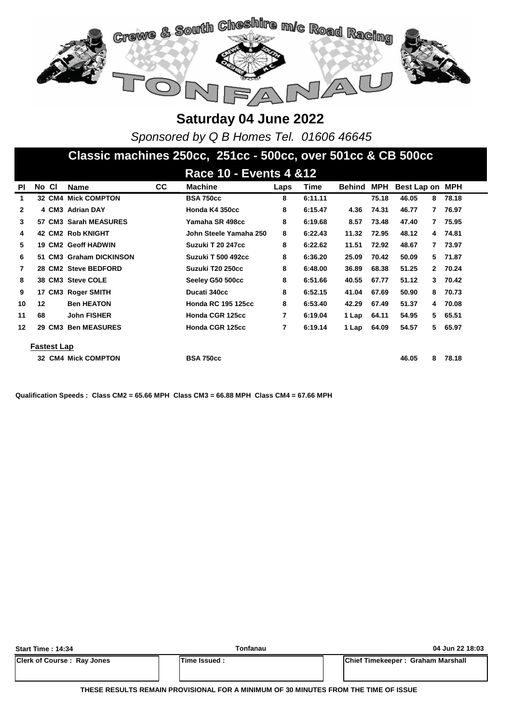

*Sponsored by Q B Homes Tel. 01606 46645*

### **Classic machines 250cc, 251cc - 500cc, over 501cc & CB 500cc**

|              | <b>Race 10 - Events 4 &amp; 12</b> |                    |                            |           |                           |      |         |               |            |             |              |       |  |
|--------------|------------------------------------|--------------------|----------------------------|-----------|---------------------------|------|---------|---------------|------------|-------------|--------------|-------|--|
| <b>PI</b>    | No CI                              |                    | Name                       | <b>CC</b> | <b>Machine</b>            | Laps | Time    | <b>Behind</b> | <b>MPH</b> | Best Lap on |              | MPH   |  |
| 1            |                                    |                    | <b>32 CM4 Mick COMPTON</b> |           | <b>BSA 750cc</b>          | 8    | 6:11.11 |               | 75.18      | 46.05       | 8            | 78.18 |  |
| $\mathbf{2}$ |                                    |                    | 4 CM3 Adrian DAY           |           | Honda K4 350cc            | 8    | 6:15.47 | 4.36          | 74.31      | 46.77       | 7.           | 76.97 |  |
| 3            |                                    |                    | 57 CM3 Sarah MEASURES      |           | Yamaha SR 498cc           | 8    | 6:19.68 | 8.57          | 73.48      | 47.40       | 7            | 75.95 |  |
| 4            |                                    |                    | <b>42 CM2 Rob KNIGHT</b>   |           | John Steele Yamaha 250    | 8    | 6:22.43 | 11.32         | 72.95      | 48.12       | 4            | 74.81 |  |
| 5            |                                    |                    | 19 CM2 Geoff HADWIN        |           | Suzuki T 20 247cc         | 8    | 6:22.62 | 11.51         | 72.92      | 48.67       | 7            | 73.97 |  |
| 6            |                                    |                    | 51 CM3 Graham DICKINSON    |           | <b>Suzuki T 500 492cc</b> | 8    | 6:36.20 | 25.09         | 70.42      | 50.09       | 5.           | 71.87 |  |
| 7            |                                    |                    | 28 CM2 Steve BEDFORD       |           | Suzuki T20 250cc          | 8    | 6:48.00 | 36.89         | 68.38      | 51.25       | $\mathbf{2}$ | 70.24 |  |
| 8            |                                    |                    | 38 CM3 Steve COLE          |           | Seeley G50 500cc          | 8    | 6:51.66 | 40.55         | 67.77      | 51.12       | 3            | 70.42 |  |
| 9            |                                    |                    | 17 CM3 Roger SMITH         |           | Ducati 340cc              | 8    | 6:52.15 | 41.04         | 67.69      | 50.90       | 8            | 70.73 |  |
| 10           | 12                                 |                    | <b>Ben HEATON</b>          |           | <b>Honda RC 195 125cc</b> | 8    | 6:53.40 | 42.29         | 67.49      | 51.37       | 4            | 70.08 |  |
| 11           | 68                                 |                    | <b>John FISHER</b>         |           | Honda CGR 125cc           | 7    | 6:19.04 | 1 Lap         | 64.11      | 54.95       | 5            | 65.51 |  |
| 12           |                                    | 29 CM3             | <b>Ben MEASURES</b>        |           | Honda CGR 125cc           | 7    | 6:19.14 | 1 Lap         | 64.09      | 54.57       | 5.           | 65.97 |  |
|              |                                    |                    |                            |           |                           |      |         |               |            |             |              |       |  |
|              |                                    | <b>Fastest Lap</b> |                            |           |                           |      |         |               |            |             |              |       |  |
|              |                                    |                    | <b>32 CM4 Mick COMPTON</b> |           | <b>BSA 750cc</b>          |      |         |               |            | 46.05       | 8            | 78.18 |  |

**Qualification Speeds : Class CM2 = 65.66 MPH Class CM3 = 66.88 MPH Class CM4 = 67.66 MPH** 

| <b>Start Time: 14:34</b>          | Tonfanau     | 04 Jun 22 18:03                   |
|-----------------------------------|--------------|-----------------------------------|
| <b>Clerk of Course: Ray Jones</b> | Time Issued: | Chief Timekeeper: Graham Marshall |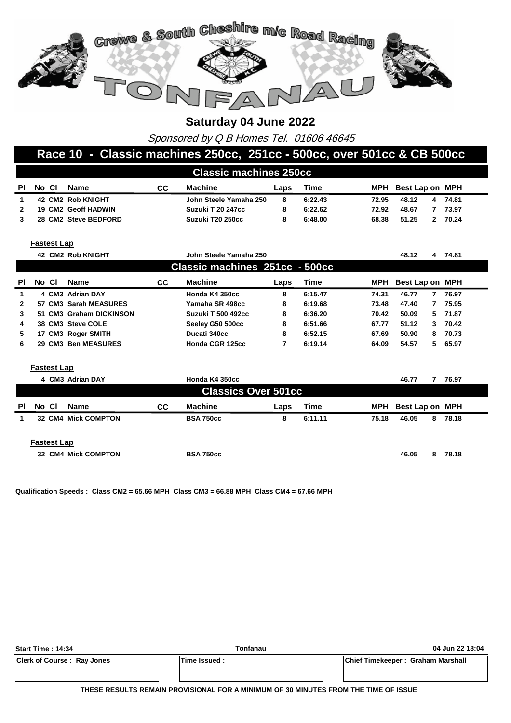

Sponsored by Q B Homes Tel. 01606 46645

#### **Race 10 - Classic machines 250cc, 251cc - 500cc, over 501cc & CB 500cc**

|    | <b>Classic machines 250cc</b> |                            |    |                        |      |         |       |                     |   |       |  |  |
|----|-------------------------------|----------------------------|----|------------------------|------|---------|-------|---------------------|---|-------|--|--|
| PI | No Cl                         | Name                       | CC | Machine                | Laps | Time    |       | MPH Best Lap on MPH |   |       |  |  |
|    |                               | 42 CM2 Rob KNIGHT          |    | John Steele Yamaha 250 | 8    | 6:22.43 | 72.95 | 48.12               | 4 | 74.81 |  |  |
|    |                               | <b>19 CM2 Geoff HADWIN</b> |    | Suzuki T 20 247cc      |      | 6:22.62 | 72.92 | 48.67               |   | 73.97 |  |  |
|    |                               | 28 CM2 Steve BEDFORD       |    | Suzuki T20 250cc       |      | 6:48.00 | 68.38 | 51.25               | 2 | 70.24 |  |  |

**Fastest Lap**

|              |       |                    | <b>42 CM2 Rob KNIGHT</b> |     | John Steele Yamaha 250         |      |         |       | 48.12           | 4  | 74.81   |
|--------------|-------|--------------------|--------------------------|-----|--------------------------------|------|---------|-------|-----------------|----|---------|
|              |       |                    |                          |     | Classic machines 251cc - 500cc |      |         |       |                 |    |         |
| <b>PI</b>    | No CI |                    | <b>Name</b>              | CC. | <b>Machine</b>                 | Laps | Time    | MPH   | Best Lap on MPH |    |         |
| 1.           |       |                    | 4 CM3 Adrian DAY         |     | Honda K4 350cc                 | 8    | 6:15.47 | 74.31 | 46.77           | 7  | 76.97   |
| $\mathbf{2}$ |       |                    | 57 CM3 Sarah MEASURES    |     | Yamaha SR 498cc                | 8    | 6:19.68 | 73.48 | 47.40           | 7  | 75.95   |
| 3            |       |                    | 51 CM3 Graham DICKINSON  |     | <b>Suzuki T 500 492cc</b>      | 8    | 6:36.20 | 70.42 | 50.09           | 5. | 71.87   |
| 4            |       |                    | 38 CM3 Steve COLE        |     | Seeley G50 500cc               | 8    | 6:51.66 | 67.77 | 51.12           | 3. | 70.42   |
| 5.           |       |                    | 17 CM3 Roger SMITH       |     | Ducati 340cc                   | 8    | 6:52.15 | 67.69 | 50.90           | 8  | 70.73   |
| 6            |       |                    | 29 CM3 Ben MEASURES      |     | Honda CGR 125cc                | 7    | 6:19.14 | 64.09 | 54.57           |    | 5 65.97 |
|              |       | <b>Fastest Lap</b> |                          |     |                                |      |         |       |                 |    |         |
|              |       |                    | 4 CM3 Adrian DAY         |     | Honda K4 350cc                 |      |         |       | 46.77           |    | 76.97   |
|              |       |                    |                          |     | <b>Classics Over 501cc</b>     |      |         |       |                 |    |         |
| <b>PI</b>    | No CI |                    | <b>Name</b>              | CC. | <b>Machine</b>                 | Laps | Time    | MPH   | Best Lap on MPH |    |         |
| 1            |       | 32 CM4             | <b>Mick COMPTON</b>      |     | <b>BSA 750cc</b>               | 8    | 6:11.11 | 75.18 | 46.05           | 8  | 78.18   |
|              |       | <b>Fastest Lap</b> |                          |     |                                |      |         |       |                 |    |         |

**32 BSA 750cc CM4 Mick COMPTON 46.05 8 78.18**

**Qualification Speeds : Class CM2 = 65.66 MPH Class CM3 = 66.88 MPH Class CM4 = 67.66 MPH** 

| <b>Start Time: 14:34</b>          | Tonfanau             | 04 Jun 22 18:04                   |
|-----------------------------------|----------------------|-----------------------------------|
| <b>Clerk of Course: Ray Jones</b> | <b>ITime Issued:</b> | Chief Timekeeper: Graham Marshall |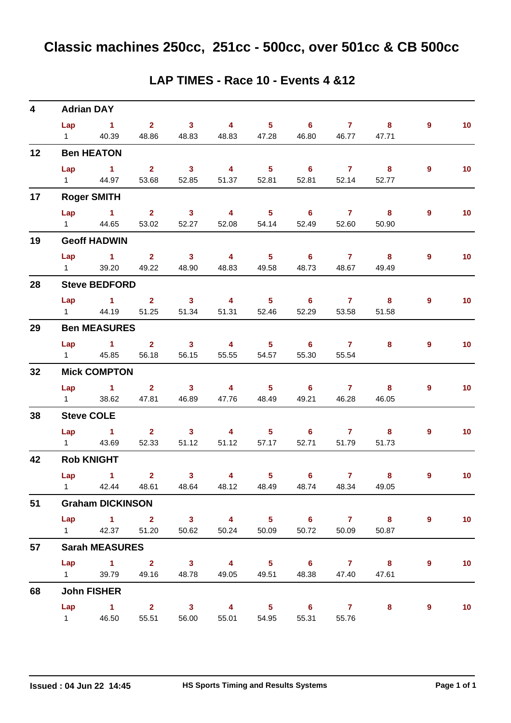| 4  | <b>Adrian DAY</b>        |                                                                      |                                  |                                  |                                  |                                     |                                     |                         |                                  |                |                 |
|----|--------------------------|----------------------------------------------------------------------|----------------------------------|----------------------------------|----------------------------------|-------------------------------------|-------------------------------------|-------------------------|----------------------------------|----------------|-----------------|
|    | Lap                      | $\sim$ 1<br>1 40.39                                                  | $\overline{\mathbf{2}}$<br>48.86 | $\overline{\mathbf{3}}$<br>48.83 | $\overline{4}$<br>48.83          | 5 <sub>5</sub><br>47.28             | 6<br>46.80                          | $\mathbf{7}$<br>46.77   | 8<br>47.71                       | $\overline{9}$ | 10 <sub>1</sub> |
| 12 |                          | <b>Ben HEATON</b>                                                    |                                  |                                  |                                  |                                     |                                     |                         |                                  |                |                 |
|    | Lap<br>$1 \quad \Box$    | $\sim$ 1.1<br>44.97                                                  | $\overline{\mathbf{2}}$<br>53.68 | $\overline{\mathbf{3}}$<br>52.85 | $\overline{4}$<br>51.37          | 5 <sub>1</sub><br>52.81             | $\overline{\phantom{0}}$ 6<br>52.81 | $\overline{7}$<br>52.14 | $\overline{\mathbf{8}}$<br>52.77 | $\overline{9}$ | 10 <sub>1</sub> |
| 17 |                          | <b>Roger SMITH</b>                                                   |                                  |                                  |                                  |                                     |                                     |                         |                                  |                |                 |
|    | Lap                      | $\sim$ 1<br>1 44.65                                                  | $2^{\circ}$<br>53.02             | $\overline{\mathbf{3}}$<br>52.27 | $\overline{\mathbf{4}}$<br>52.08 | 5 <sub>1</sub><br>54.14             | 6<br>52.49                          | $\mathbf{7}$<br>52.60   | $\overline{\mathbf{8}}$<br>50.90 | $\overline{9}$ | 10 <sub>1</sub> |
| 19 |                          | <b>Geoff HADWIN</b>                                                  |                                  |                                  |                                  |                                     |                                     |                         |                                  |                |                 |
|    | Lap<br>$1 \quad \Box$    | $\sim$ $\sim$ 1<br>39.20                                             | $\sim$ 2<br>49.22                | $\overline{\mathbf{3}}$<br>48.90 | $\overline{4}$<br>48.83          | $5 -$<br>49.58                      | $\overline{\phantom{0}}$ 6<br>48.73 | $\overline{7}$<br>48.67 | $\overline{\mathbf{8}}$<br>49.49 | 9              | 10 <sub>1</sub> |
| 28 |                          | <b>Steve BEDFORD</b>                                                 |                                  |                                  |                                  |                                     |                                     |                         |                                  |                |                 |
|    |                          | Lap 1<br>1 44.19                                                     | 2 <sup>7</sup><br>51.25          | $\sim$ 3<br>51.34                | $\overline{4}$<br>51.31          | $5 -$<br>52.46                      | $\overline{\phantom{0}}$ 6<br>52.29 | $\mathbf{7}$<br>53.58   | 8<br>51.58                       | 9              | 10 <sub>1</sub> |
| 29 |                          | <b>Ben MEASURES</b>                                                  |                                  |                                  |                                  |                                     |                                     |                         |                                  |                |                 |
|    | $1 \qquad \qquad$        | $Lap$ 1<br>45.85                                                     | $2^{\circ}$<br>56.18             | $\overline{\mathbf{3}}$<br>56.15 | $\overline{4}$<br>55.55          | 5 <sub>1</sub><br>54.57             | 6<br>55.30                          | $\overline{7}$<br>55.54 | 8                                | 9              | 10 <sub>1</sub> |
| 32 |                          | <b>Mick COMPTON</b>                                                  |                                  |                                  |                                  |                                     |                                     |                         |                                  |                |                 |
|    | Lap<br>$1 \qquad \qquad$ | $\sim$ 1<br>38.62                                                    | 2 <sup>1</sup><br>47.81          | $\overline{\mathbf{3}}$<br>46.89 | $\overline{\mathbf{4}}$<br>47.76 | $5 -$<br>48.49                      | 6<br>49.21                          | 7 <sup>7</sup><br>46.28 | 8<br>46.05                       | $\mathbf{9}$   | 10 <sub>1</sub> |
| 38 |                          | <b>Steve COLE</b>                                                    |                                  |                                  |                                  |                                     |                                     |                         |                                  |                |                 |
|    | $1 \qquad \qquad$        | Lap 1<br>43.69                                                       | $\sim$ 2<br>52.33                | $\sim$ 3<br>51.12                | 4 <sup>1</sup><br>51.12          | $5 -$<br>57.17                      | $\overline{\phantom{0}}$ 6<br>52.71 | $\overline{7}$<br>51.79 | 8<br>51.73                       | 9              | 10 <sub>1</sub> |
| 42 |                          | <b>Rob KNIGHT</b>                                                    |                                  |                                  |                                  |                                     |                                     |                         |                                  |                |                 |
|    | Lap                      | $\sim$ $\sim$ 1<br>1 42.44 48.61 48.64 48.12 48.49 48.74 48.34 49.05 | $\overline{2}$                   | 3 <sup>1</sup>                   | 4                                | 5 <sub>1</sub>                      | $6\phantom{1}$                      | $\mathbf{7}$            | 8                                | 9              | 10              |
| 51 |                          | <b>Graham DICKINSON</b>                                              |                                  |                                  |                                  |                                     |                                     |                         |                                  |                |                 |
|    |                          | Lap $1$ 2<br>1 42.37 51.20                                           |                                  | 50.62                            | 50.24                            | 50.09                               | 3 4 5 6 7 8<br>50.72                | 50.09                   | 50.87                            | 9              | 10 <sub>1</sub> |
| 57 |                          | <b>Sarah MEASURES</b>                                                |                                  |                                  |                                  |                                     |                                     |                         |                                  |                |                 |
|    |                          | Lap 1 2 3 4 5 6 7 8<br>1 39.79 49.16 48.78                           |                                  |                                  | 49.05                            |                                     | 49.51 48.38 47.40                   |                         | 47.61                            | 9              | 10              |
| 68 |                          | <b>John FISHER</b>                                                   |                                  |                                  |                                  |                                     |                                     |                         |                                  |                |                 |
|    | $1 \quad \blacksquare$   | $Lap$ 1 2<br>46.50                                                   | 55.51                            | $\overline{\mathbf{3}}$<br>56.00 | $\overline{4}$<br>55.01          | $\overline{\phantom{0}}$ 5<br>54.95 | $\overline{\phantom{a}}$ 6<br>55.31 | $\overline{7}$<br>55.76 | 8                                | 9              | 10 <sub>1</sub> |

#### **LAP TIMES - Race 10 - Events 4 &12**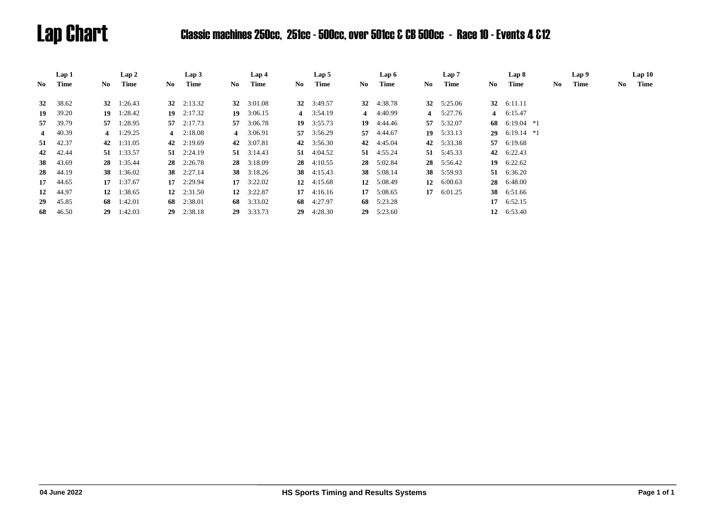# Lap Chart Classic machines 250cc, 251cc - 500cc, over 501cc & CB 500cc - Race 10 - Events 4 &12

|                | Lap 1    |     | Lap2               |     | Lap3               |     | Lap 4              |    | Lap 5              |     | Lap 6              |    | Lap 7              |      | Lap 8              |    | Lap 9 |     | Lap10 |
|----------------|----------|-----|--------------------|-----|--------------------|-----|--------------------|----|--------------------|-----|--------------------|----|--------------------|------|--------------------|----|-------|-----|-------|
| No             | Time     | No. | Time               | No. | Time               | No. | Time               | No | Time               | No. | Time               | No | Time               | No - | Time               | No | Time  | No. | Time  |
| 32             | 38.62    |     | 32 $1:26.43$       |     | 32 $2:13.32$       |     | 32 3:01.08         |    | 32 3:49.57         |     | 32 4:38.78         |    | 32 $5:25.06$       |      | 32 6:11.11         |    |       |     |       |
|                |          |     |                    |     |                    |     |                    |    |                    |     |                    |    |                    |      |                    |    |       |     |       |
| 19             | 39.20    | 19  | 1:28.42            |     | 19 $2:17.32$       |     | 19 $3:06.15$       |    | 4 3:54.19          |     | 4 $4:40.99$        |    | 4 5:27.76          |      | 4 6:15.47          |    |       |     |       |
| 57             | 39.79    |     | 57 1:28.95         |     | 57 $2:17.73$       |     | 57 3:06.78         |    | $19 \quad 3:55.73$ |     | $19 \quad 4:44.46$ |    | 57 5:32.07         | 68   | $6:19.04$ *1       |    |       |     |       |
| $\overline{4}$ | 40.39    |     | 4 $1:29.25$        |     | 4 $2:18.08$        |     | 4 3:06.91          |    | 57 3:56.29         |     | 57 4:44.67         |    | $19 \quad 5:33.13$ | 29   | $6:19.14$ *1       |    |       |     |       |
|                | 51 42.37 |     | 42 1:31.05         |     | 42 $2:19.69$       |     | 42 3:07.81         |    | 42 3:56.30         |     | 42 4:45.04         |    | 42 5:33.38         | 57   | 6:19.68            |    |       |     |       |
| 42             | 42.44    |     | 51 1:33.57         |     | $51 \quad 2:24.19$ |     | 51 $3:14.43$       |    | 51 4:04.52         |     | $51 \quad 4:55.24$ |    | 51 5:45.33         | 42   | 6:22.43            |    |       |     |       |
| <b>38</b>      | 43.69    |     | 28 1:35.44         |     | 28 2:26.78         |     | 28 3:18.09         |    | $28 \quad 4:10.55$ |     | 28 5:02.84         |    | 28 5:56.42         |      | 19 $6:22.62$       |    |       |     |       |
| 28             | 44.19    |     | 38 1:36.02         |     | 38 2:27.14         |     | 38 3:18.26         |    | 38 4:15.43         |     | 38 5:08.14         |    | 38 5:59.93         |      | 51 6:36.20         |    |       |     |       |
| 17             | 44.65    |     | $17 \quad 1:37.67$ |     | $17 \quad 2:29.94$ |     | $17 \quad 3:22.02$ |    | 12 $4:15.68$       | 12  | 5:08.49            | 12 | 6:00.63            | 28   | 6:48.00            |    |       |     |       |
| 12             | 44.97    |     | 12 $1:38.65$       |     | 12 $2:31.50$       |     | 12 $3:22.87$       |    | $17 \quad 4:16.16$ |     | 17 5:08.65         |    | 17 $6:01.25$       | 38   | 6:51.66            |    |       |     |       |
| 29             | 45.85    |     | 68 $1:42.01$       | 68  | 2:38.01            |     | 68 3:33.02         |    | 68 4:27.97         |     | 68 5:23.28         |    |                    |      | $17 \quad 6:52.15$ |    |       |     |       |
| 68             | 46.50    |     | $29 \quad 1:42.03$ | 29  | 2:38.18            |     | $29 \quad 3:33.73$ | 29 | 4:28.30            | 29  | 5:23.60            |    |                    |      | 12 6:53.40         |    |       |     |       |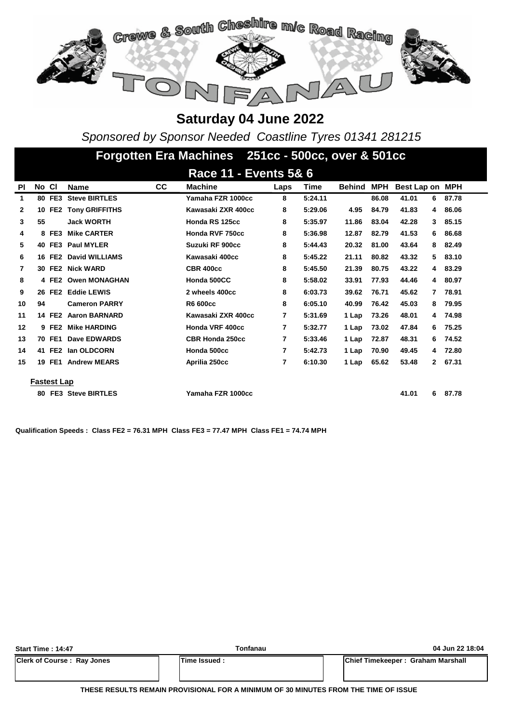

*Sponsored by Sponsor Needed Coastline Tyres 01341 281215*

|              | Forgotten Era Machines 251cc - 500cc, over & 501cc |                    |                          |    |                       |      |             |               |            |                 |   |       |  |  |
|--------------|----------------------------------------------------|--------------------|--------------------------|----|-----------------------|------|-------------|---------------|------------|-----------------|---|-------|--|--|
|              |                                                    |                    |                          |    | Race 11 - Events 5& 6 |      |             |               |            |                 |   |       |  |  |
| PI           | No Cl                                              |                    | <b>Name</b>              | СC | <b>Machine</b>        | Laps | <b>Time</b> | <b>Behind</b> | <b>MPH</b> | Best Lap on MPH |   |       |  |  |
| 1            |                                                    | 80 FE3             | <b>Steve BIRTLES</b>     |    | Yamaha FZR 1000cc     | 8    | 5:24.11     |               | 86.08      | 41.01           | 6 | 87.78 |  |  |
| $\mathbf{2}$ | 10                                                 | FE <sub>2</sub>    | <b>Tony GRIFFITHS</b>    |    | Kawasaki ZXR 400cc    | 8    | 5:29.06     | 4.95          | 84.79      | 41.83           | 4 | 86.06 |  |  |
| 3            | 55                                                 |                    | <b>Jack WORTH</b>        |    | Honda RS 125cc        | 8    | 5:35.97     | 11.86         | 83.04      | 42.28           | 3 | 85.15 |  |  |
| 4            |                                                    | 8 FE3              | <b>Mike CARTER</b>       |    | Honda RVF 750cc       | 8    | 5:36.98     | 12.87         | 82.79      | 41.53           | 6 | 86.68 |  |  |
| 5            |                                                    | 40 FE3             | <b>Paul MYLER</b>        |    | Suzuki RF 900cc       | 8    | 5:44.43     | 20.32         | 81.00      | 43.64           | 8 | 82.49 |  |  |
| 6            |                                                    | 16 FE2             | David WILLIAMS           |    | Kawasaki 400cc        | 8    | 5:45.22     | 21.11         | 80.82      | 43.32           | 5 | 83.10 |  |  |
| 7            |                                                    | 30 FE2             | <b>Nick WARD</b>         |    | <b>CBR 400cc</b>      | 8    | 5:45.50     | 21.39         | 80.75      | 43.22           | 4 | 83.29 |  |  |
| 8            |                                                    | 4 FE2              | <b>Owen MONAGHAN</b>     |    | Honda 500CC           | 8    | 5:58.02     | 33.91         | 77.93      | 44.46           | 4 | 80.97 |  |  |
| 9            |                                                    | 26 FE2             | <b>Eddie LEWIS</b>       |    | 2 wheels 400cc        | 8    | 6:03.73     | 39.62         | 76.71      | 45.62           | 7 | 78.91 |  |  |
| 10           | 94                                                 |                    | <b>Cameron PARRY</b>     |    | R6 600cc              | 8    | 6:05.10     | 40.99         | 76.42      | 45.03           | 8 | 79.95 |  |  |
| 11           |                                                    | 14 FE2             | <b>Aaron BARNARD</b>     |    | Kawasaki ZXR 400cc    | 7    | 5:31.69     | 1 Lap         | 73.26      | 48.01           | 4 | 74.98 |  |  |
| 12           |                                                    | 9 FE2              | <b>Mike HARDING</b>      |    | Honda VRF 400cc       | 7    | 5:32.77     | 1 Lap         | 73.02      | 47.84           | 6 | 75.25 |  |  |
| 13           |                                                    | 70 FE1             | Dave EDWARDS             |    | CBR Honda 250cc       | 7    | 5:33.46     | 1 Lap         | 72.87      | 48.31           | 6 | 74.52 |  |  |
| 14           |                                                    | 41 FE2             | lan OLDCORN              |    | Honda 500cc           | 7    | 5:42.73     | 1 Lap         | 70.90      | 49.45           | 4 | 72.80 |  |  |
| 15           | 19                                                 | FE1                | <b>Andrew MEARS</b>      |    | Aprilia 250cc         | 7    | 6:10.30     | 1 Lap         | 65.62      | 53.48           | 2 | 67.31 |  |  |
|              |                                                    |                    |                          |    |                       |      |             |               |            |                 |   |       |  |  |
|              |                                                    | <b>Fastest Lap</b> |                          |    |                       |      |             |               |            |                 |   |       |  |  |
|              | 80                                                 |                    | <b>FE3 Steve BIRTLES</b> |    | Yamaha FZR 1000cc     |      |             |               |            | 41.01           | 6 | 87.78 |  |  |

**Qualification Speeds : Class FE2 = 76.31 MPH Class FE3 = 77.47 MPH Class FE1 = 74.74 MPH** 

| <b>Start Time: 14:47</b>          | Tonfanau             | 04 Jun 22 18:04                   |
|-----------------------------------|----------------------|-----------------------------------|
| <b>Clerk of Course: Ray Jones</b> | <b>ITime Issued:</b> | Chief Timekeeper: Graham Marshall |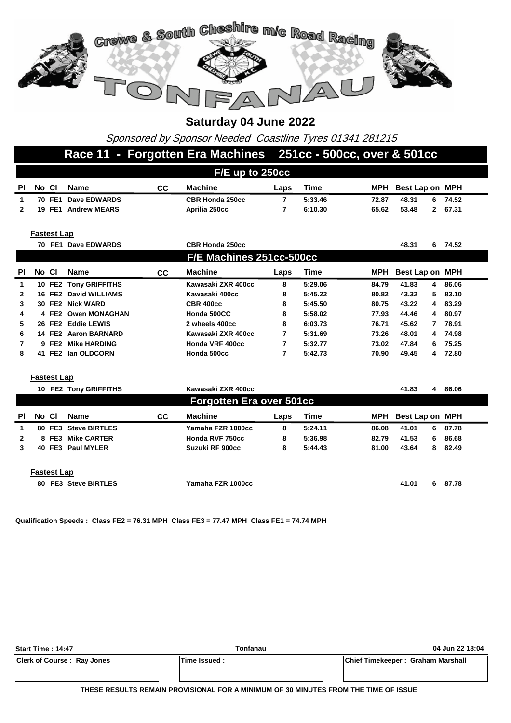

Sponsored by Sponsor Needed Coastline Tyres 01341 281215

#### **Race 11 - Forgotten Era Machines 251cc - 500cc, over & 501cc**

|                         | F/E up to 250cc          |                    |                       |           |                                 |                |             |       |                       |         |  |  |  |  |
|-------------------------|--------------------------|--------------------|-----------------------|-----------|---------------------------------|----------------|-------------|-------|-----------------------|---------|--|--|--|--|
| <b>PI</b>               | No Cl                    |                    | <b>Name</b>           | cc        | <b>Machine</b>                  | Laps           | <b>Time</b> | MPH   | Best Lap on MPH       |         |  |  |  |  |
| 1                       |                          | 70 FE1             | Dave EDWARDS          |           | <b>CBR Honda 250cc</b>          | $\overline{7}$ | 5:33.46     | 72.87 | 48.31<br>6            | 74.52   |  |  |  |  |
| 2                       |                          |                    | 19 FE1 Andrew MEARS   |           | Aprilia 250cc                   | $\overline{7}$ | 6:10.30     | 65.62 | 53.48<br>$\mathbf{2}$ | 67.31   |  |  |  |  |
|                         |                          |                    |                       |           |                                 |                |             |       |                       |         |  |  |  |  |
|                         |                          | <b>Fastest Lap</b> |                       |           |                                 |                |             |       |                       |         |  |  |  |  |
|                         |                          |                    | 70 FE1 Dave EDWARDS   |           | <b>CBR Honda 250cc</b>          |                |             |       | 48.31                 | 6 74.52 |  |  |  |  |
|                         | F/E Machines 251cc-500cc |                    |                       |           |                                 |                |             |       |                       |         |  |  |  |  |
| PI                      | No Cl                    |                    | <b>Name</b>           | CC        | <b>Machine</b>                  | Laps           | Time        | MPH   | Best Lap on MPH       |         |  |  |  |  |
| 1                       |                          |                    | 10 FE2 Tony GRIFFITHS |           | Kawasaki ZXR 400cc              | 8              | 5:29.06     | 84.79 | 41.83<br>4            | 86.06   |  |  |  |  |
| $\overline{\mathbf{2}}$ |                          |                    | 16 FE2 David WILLIAMS |           | Kawasaki 400cc                  | 8              | 5:45.22     | 80.82 | 43.32<br>5            | 83.10   |  |  |  |  |
| 3                       |                          |                    | 30 FE2 Nick WARD      |           | <b>CBR 400cc</b>                | 8              | 5:45.50     | 80.75 | 43.22<br>4            | 83.29   |  |  |  |  |
| 4                       |                          |                    | 4 FE2 Owen MONAGHAN   |           | Honda 500CC                     | 8              | 5:58.02     | 77.93 | 44.46<br>4            | 80.97   |  |  |  |  |
| 5                       |                          |                    | 26 FE2 Eddie LEWIS    |           | 2 wheels 400cc                  | 8              | 6:03.73     | 76.71 | 45.62<br>7            | 78.91   |  |  |  |  |
| 6                       |                          |                    | 14 FE2 Aaron BARNARD  |           | Kawasaki ZXR 400cc              | 7              | 5:31.69     | 73.26 | 48.01<br>4            | 74.98   |  |  |  |  |
| 7                       |                          |                    | 9 FE2 Mike HARDING    |           | Honda VRF 400cc                 | $\overline{7}$ | 5:32.77     | 73.02 | 47.84<br>6            | 75.25   |  |  |  |  |
| 8                       |                          |                    | 41 FE2 Ian OLDCORN    |           | Honda 500cc                     | 7              | 5:42.73     | 70.90 | 49.45<br>4            | 72.80   |  |  |  |  |
|                         |                          |                    |                       |           |                                 |                |             |       |                       |         |  |  |  |  |
|                         |                          | <b>Fastest Lap</b> |                       |           |                                 |                |             |       |                       |         |  |  |  |  |
|                         |                          |                    | 10 FE2 Tony GRIFFITHS |           | Kawasaki ZXR 400cc              |                |             |       | 41.83<br>4            | 86.06   |  |  |  |  |
|                         |                          |                    |                       |           | <b>Forgotten Era over 501cc</b> |                |             |       |                       |         |  |  |  |  |
| PI                      | No Cl                    |                    | <b>Name</b>           | <b>CC</b> | <b>Machine</b>                  | Laps           | <b>Time</b> | MPH   | Best Lap on MPH       |         |  |  |  |  |
| 1                       |                          | 80 FE3             | <b>Steve BIRTLES</b>  |           | Yamaha FZR 1000cc               | 8              | 5:24.11     | 86.08 | 41.01<br>6            | 87.78   |  |  |  |  |
| 2                       |                          | 8 FE3              | <b>Mike CARTER</b>    |           | Honda RVF 750cc                 | 8              | 5:36.98     | 82.79 | 41.53<br>6            | 86.68   |  |  |  |  |
| 3                       |                          |                    | 40 FE3 Paul MYLER     |           | Suzuki RF 900cc                 | 8              | 5:44.43     | 81.00 | 43.64<br>8            | 82.49   |  |  |  |  |
|                         |                          |                    |                       |           |                                 |                |             |       |                       |         |  |  |  |  |
|                         |                          | <b>Fastest Lap</b> |                       |           |                                 |                |             |       |                       |         |  |  |  |  |
|                         |                          |                    | 80 FE3 Steve BIRTLES  |           | Yamaha FZR 1000cc               |                |             |       | 41.01<br>6            | 87.78   |  |  |  |  |
|                         |                          |                    |                       |           |                                 |                |             |       |                       |         |  |  |  |  |

**Qualification Speeds : Class FE2 = 76.31 MPH Class FE3 = 77.47 MPH Class FE1 = 74.74 MPH** 

| <b>Start Time: 14:47</b>          | Tonfanau       | 04 Jun 22 18:04                   |
|-----------------------------------|----------------|-----------------------------------|
| <b>Clerk of Course: Ray Jones</b> | lTime Issued : | Chief Timekeeper: Graham Marshall |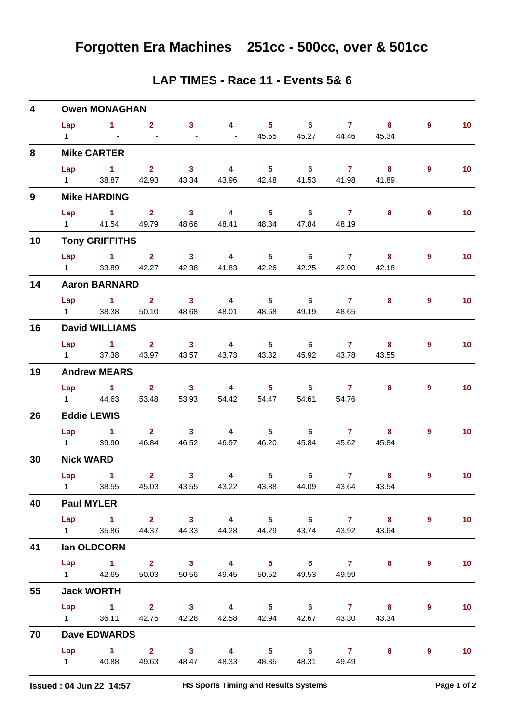|  |  |  |  |  | LAP TIMES - Race 11 - Events 5& 6 |  |  |
|--|--|--|--|--|-----------------------------------|--|--|
|--|--|--|--|--|-----------------------------------|--|--|

| 4           |                        | <b>Owen MONAGHAN</b>               |                   |                         |                         |                            |                            |                |                                                   |                |                 |
|-------------|------------------------|------------------------------------|-------------------|-------------------------|-------------------------|----------------------------|----------------------------|----------------|---------------------------------------------------|----------------|-----------------|
|             | Lap                    | $\sim$ $\sim$ $\sim$ $\sim$ $\sim$ | $\overline{2}$    | 3 <sup>7</sup>          | 4 <sup>1</sup>          | $\overline{\phantom{1}}$ 5 |                            | 6 7 8          |                                                   | 9              | 10              |
|             | $1 \quad$              | $\sim 100$                         | $\sim$            | $\omega$                | $\sim$                  | 45.55                      | 45.27                      | 44.46          | 45.34                                             |                |                 |
| 8           |                        | <b>Mike CARTER</b>                 |                   |                         |                         |                            |                            |                |                                                   |                |                 |
|             | Lap                    | $1 \t 2 \t 3$                      |                   |                         | $\overline{4}$          | $\overline{\phantom{0}}$ 5 | $\overline{\phantom{a}}$ 6 | $\overline{7}$ | $\overline{\phantom{a}}$ 8                        | $\overline{9}$ | 10 <sub>1</sub> |
|             | $1 \quad \Box$         | 38.87                              |                   | 42.93 43.34             | 43.96                   | 42.48                      | 41.53                      | 41.98          | 41.89                                             |                |                 |
| $9^{\circ}$ |                        | <b>Mike HARDING</b>                |                   |                         |                         |                            |                            |                |                                                   |                |                 |
|             | Lap                    | $\sim$ 1 $\sim$ 2                  |                   | $\overline{\mathbf{3}}$ | $\overline{\mathbf{4}}$ | $\overline{\phantom{0}}$ 5 | $\overline{\phantom{a}}$ 6 | $\overline{7}$ | 8                                                 | 9              | 10 <sub>1</sub> |
|             |                        | 1 41.54 49.79                      |                   | 48.66                   | 48.41                   |                            | 48.34 47.84 48.19          |                |                                                   |                |                 |
| 10          |                        | <b>Tony GRIFFITHS</b>              |                   |                         |                         |                            |                            |                |                                                   |                |                 |
|             |                        | $Lap$ 1 2                          |                   | $\overline{\mathbf{3}}$ | $\overline{\mathbf{4}}$ |                            | $5 \t\t 6 \t\t 7$          |                | $\overline{\mathbf{8}}$                           | 9              | 10              |
|             | $1 \qquad \qquad$      |                                    | 33.89 42.27       | 42.38                   | 41.83                   | 42.26                      | 42.25                      | 42.00          | 42.18                                             |                |                 |
| 14          |                        | <b>Aaron BARNARD</b>               |                   |                         |                         |                            |                            |                |                                                   |                |                 |
|             |                        | Lap 1 2                            |                   | $\overline{\mathbf{3}}$ | $\overline{\mathbf{4}}$ | $\overline{\phantom{0}}$ 5 |                            | $6\qquad 7$    | 8                                                 | $\overline{9}$ | 10 <sub>1</sub> |
|             | $1 \quad \Box$         | 38.38                              | 50.10             | 48.68                   | 48.01                   | 48.68                      | 49.19                      | 48.65          |                                                   |                |                 |
| 16          |                        | <b>David WILLIAMS</b>              |                   |                         |                         |                            |                            |                |                                                   |                |                 |
|             | Lap                    | 1 2 3 4 5 6 7 8                    |                   |                         |                         |                            |                            |                |                                                   | $\overline{9}$ | 10 <sub>1</sub> |
|             | $1 \quad \Box$         |                                    | 37.38 43.97 43.57 |                         | 43.73                   | 43.32                      | 45.92                      | 43.78          | 43.55                                             |                |                 |
| 19          |                        | <b>Andrew MEARS</b>                |                   |                         |                         |                            |                            |                |                                                   |                |                 |
|             |                        | $Lap$ 1 2                          |                   | $3 \t 4$                |                         |                            | 5 6 7                      |                | 8                                                 | 9              | 10              |
|             |                        | 1 44.63                            |                   | 53.48 53.93             | 54.42                   | 54.47                      | 54.61                      | 54.76          |                                                   |                |                 |
| 26          |                        | <b>Eddie LEWIS</b>                 |                   |                         |                         |                            |                            |                |                                                   |                |                 |
|             |                        | Lap 1 2 3                          |                   |                         | $\overline{4}$          |                            | 5 6 7 8                    |                |                                                   | 9              | 10 <sup>°</sup> |
|             | $1 \qquad \qquad$      | 39.90                              |                   | 46.84 46.52             | 46.97                   | 46.20                      | 45.84                      | 45.62          | 45.84                                             |                |                 |
| 30          | <b>Nick WARD</b>       |                                    |                   |                         |                         |                            |                            |                |                                                   |                |                 |
|             | Lap                    | $\sim$ $\sim$ 1                    | $\overline{2}$    | 3 <sup>7</sup>          | $\overline{\mathbf{4}}$ | 5 <sub>1</sub>             | $6^{\circ}$                | $\overline{7}$ | 8                                                 | 9              | 10 <sub>1</sub> |
|             |                        |                                    |                   |                         |                         |                            |                            |                | 1 38.55 45.03 43.55 43.22 43.88 44.09 43.64 43.54 |                |                 |
| 40          |                        | <b>Paul MYLER</b>                  |                   |                         |                         |                            |                            |                |                                                   |                |                 |
|             |                        | Lap 1 2 3 4 5 6 7 8                |                   |                         |                         |                            |                            |                |                                                   | 9              | 10              |
|             | $1 \quad \Box$         | 35.86                              |                   | 44.37 44.33             | 44.28                   |                            | 44.29 43.74                | 43.92          | 43.64                                             |                |                 |
| 41          |                        | lan OLDCORN                        |                   |                         |                         |                            |                            |                |                                                   |                |                 |
|             |                        | Lap 1 2 3                          |                   |                         | $\overline{\mathbf{4}}$ |                            | $5 \t\t 6 \t\t 7$          |                | 8                                                 | 9              | 10 <sub>1</sub> |
|             |                        | 1 42.65                            | 50.03             | 50.56                   | 49.45                   |                            | 50.52 49.53                | 49.99          |                                                   |                |                 |
| 55          |                        | <b>Jack WORTH</b>                  |                   |                         |                         |                            |                            |                |                                                   |                |                 |
|             |                        | Lap 1 2 3                          |                   |                         | $\sim$ 4                | $5^{\circ}$ 6              |                            | 7 8            |                                                   | 9              | 10 <sub>1</sub> |
|             | $1 \quad \blacksquare$ | 36.11                              | 42.75             | 42.28                   |                         | 42.58 42.94                | 42.67                      | 43.30          | 43.34                                             |                |                 |
| 70          |                        | <b>Dave EDWARDS</b>                |                   |                         |                         |                            |                            |                |                                                   |                |                 |
|             | Lap                    | $\overline{1}$ $\overline{2}$      |                   | $\overline{\mathbf{3}}$ | $\overline{\mathbf{4}}$ | $\overline{\phantom{0}}$ 5 | $\overline{\phantom{0}}$ 6 | $\overline{7}$ | $8 -$                                             | 9              | 10              |
|             | $1 \quad \Box$         | 40.88                              | 49.63             | 48.47                   | 48.33                   | 48.35                      | 48.31                      | 49.49          |                                                   |                |                 |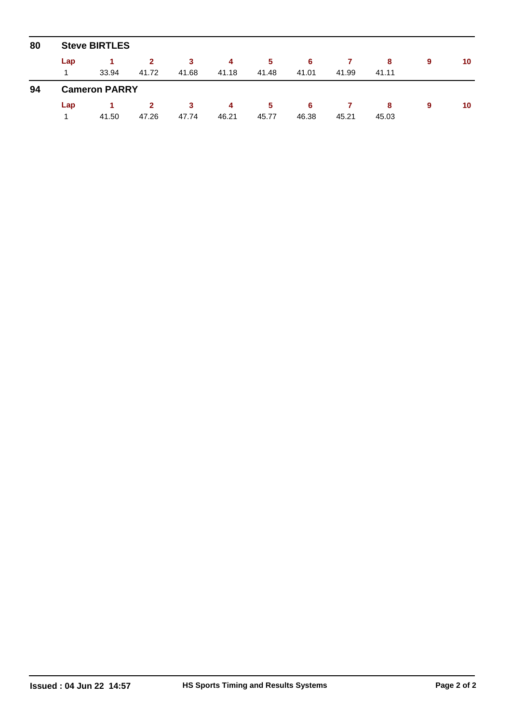| 80 | <b>Steve BIRTLES</b> |                      |                       |            |            |             |            |       |            |   |    |  |  |  |
|----|----------------------|----------------------|-----------------------|------------|------------|-------------|------------|-------|------------|---|----|--|--|--|
|    | Lap<br>1             | 33.94                | $\mathbf{2}$<br>41.72 | 3<br>41.68 | 4<br>41.18 | 5<br>41.48  | 6<br>41.01 | 41.99 | 8<br>41.11 | 9 | 10 |  |  |  |
| 94 |                      | <b>Cameron PARRY</b> |                       |            |            |             |            |       |            |   |    |  |  |  |
|    | Lap                  | 41.50                | $\mathbf{2}$<br>47.26 | 3<br>47.74 | 4<br>46.21 | 5.<br>45.77 | 6<br>46.38 | 45.21 | 8<br>45.03 | 9 | 10 |  |  |  |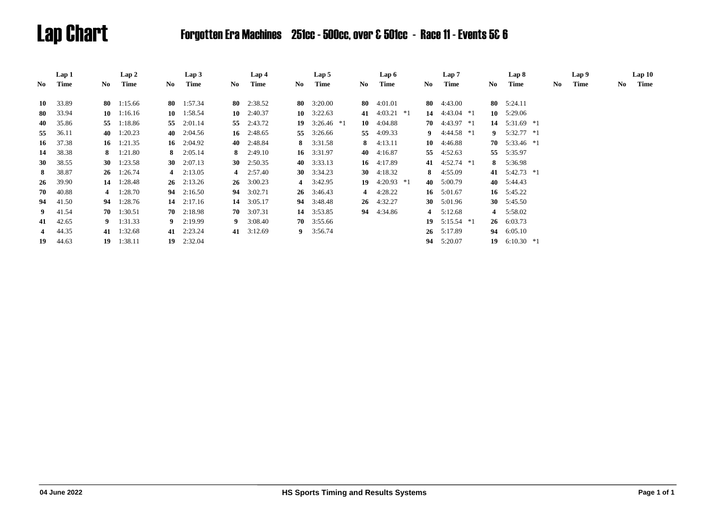# Lap Chart Forgotten Era Machines 251cc - 500cc, over & 501cc - Race 11 - Events 5& 6

|                | Lap 1 |      | Lap 2              |           | Lap3               |           | Lap 4              |      | Lap 5              |     | Lap 6              |     | Lap 7           |    | Lap 8           |     | Lap 9 |     | Lap10 |
|----------------|-------|------|--------------------|-----------|--------------------|-----------|--------------------|------|--------------------|-----|--------------------|-----|-----------------|----|-----------------|-----|-------|-----|-------|
| No.            | Time  | No.  | Time               | No        | Time               | No        | Time               | No.  | Time               | No. | Time               | No. | Time            | No | Time            | No. | Time  | No. | Time  |
|                |       |      |                    |           |                    |           |                    |      |                    |     |                    |     |                 |    |                 |     |       |     |       |
| 10             | 33.89 | 80 - | 1:15.66            |           | 80 $1:57.34$       |           | 80 $2:38.52$       | 80 — | 3:20.00            | 80  | 4:01.01            | 80  | 4:43.00         |    | 80 $5:24.11$    |     |       |     |       |
| -80            | 33.94 | 10   | 1:16.16            | 10        | 1:58.54            | 10        | 2:40.37            |      | 10 $3:22.63$       | 41  | $4:03.21$ *1       |     | 14 $4:43.04$ *1 | 10 | 5:29.06         |     |       |     |       |
| 40             | 35.86 | 55   | 1:18.86            | 55        | 2:01.14            |           | 55 2:43.72         | 19   | $3:26.46*1$        |     | 10 $4:04.88$       |     | 70 $4:43.97 *1$ | 14 | 5:31.69 *1      |     |       |     |       |
| 55             | 36.11 |      | 40 $1:20.23$       |           | 40 $2:04.56$       |           | 16 $2:48.65$       | 55   | 3:26.66            | 55  | 4:09.33            |     | 9 $4:44.58*1$   | 9  | 5:32.77 *1      |     |       |     |       |
| 16             | 37.38 |      | 16 $1:21.35$       |           | 16 $2:04.92$       |           | 40 $2:48.84$       | 8    | 3:31.58            |     | 8 $4:13.11$        | 10  | 4:46.88         |    | 70 $5:33.46$ *1 |     |       |     |       |
| 14             | 38.38 | 8.   | 1:21.80            | 8.        | 2:05.14            | 8         | 2:49.10            |      | 16 3:31.97         | 40  | 4:16.87            | 55  | 4:52.63         | 55 | 5:35.97         |     |       |     |       |
| 30             | 38.55 |      | 30 1:23.58         | <b>30</b> | 2:07.13            | <b>30</b> | 2:50.35            |      | 40 $3:33.13$       |     | 16 4:17.89         |     | 41 $4:52.74$ *1 |    | 8 5:36.98       |     |       |     |       |
| 8              | 38.87 | 26   | 1:26.74            |           | 4 $2:13.05$        |           | 4 $2:57.40$        |      | 30 $3:34.23$       |     | 30 $4:18.32$       |     | 8 $4:55.09$     |    | 41 5:42.73 *1   |     |       |     |       |
| 26             | 39.90 |      | 14 1:28.48         |           | $26 \quad 2:13.26$ |           | $26 \quad 3:00.23$ |      | 4 $3:42.95$        | 19  | $4:20.93$ *1       |     | 40 5:00.79      |    | 40 5:44.43      |     |       |     |       |
| 70             | 40.88 |      | 4 $1:28.70$        |           | 94 2:16.50         |           | 94 3:02.71         |      | $26 \quad 3:46.43$ |     | 4 $4:28.22$        |     | 16 $5:01.67$    |    | 16 $5:45.22$    |     |       |     |       |
| 94             | 41.50 | 94   | 1:28.76            |           | 14 $2:17.16$       |           | 14 3:05.17         |      | 94 3:48.48         |     | $26 \quad 4:32.27$ |     | 30 $5:01.96$    |    | 30 $5:45.50$    |     |       |     |       |
| 9 <sup>1</sup> | 41.54 |      | $70 \quad 1:30.51$ |           | $70 \quad 2:18.98$ |           | $70 \quad 3:07.31$ |      | 14 3:53.85         |     | 94 4:34.86         | 4   | 5:12.68         |    | 4 5:58.02       |     |       |     |       |
| 41             | 42.65 |      | 9 $1:31.33$        |           | $9$ 2:19.99        |           | 9 $3:08.40$        |      | $70 \quad 3:55.66$ |     |                    |     | 19 $5:15.54$ *1 | 26 | 6:03.73         |     |       |     |       |
| 4              | 44.35 | 41   | 1:32.68            |           | 41 2:23.24         |           | 41 3:12.69         |      | 9 $3:56.74$        |     |                    | 26  | 5:17.89         | 94 | 6:05.10         |     |       |     |       |
| 19             | 44.63 | 19   | 1:38.11            | 19        | 2:32.04            |           |                    |      |                    |     |                    | 94  | 5:20.07         | 19 | $6:10.30*1$     |     |       |     |       |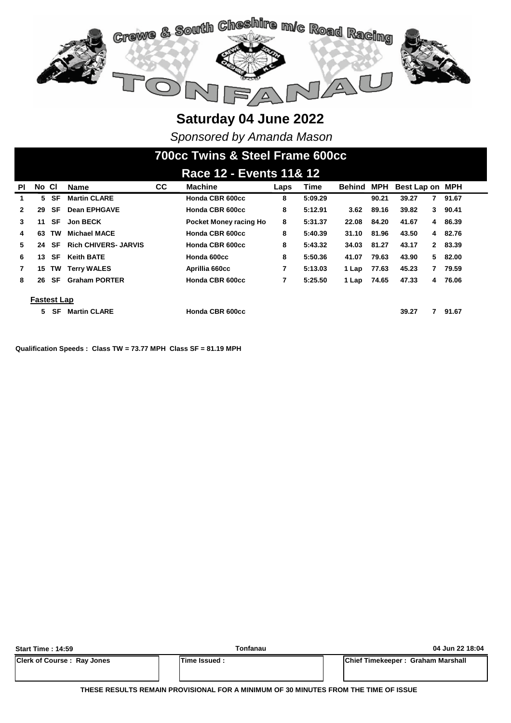

*Sponsored by Amanda Mason*

# **700cc Twins & Steel Frame 600cc**

|              | Race 12 - Events 11& 12 |           |                             |           |                        |      |             |        |            |                 |            |  |  |  |
|--------------|-------------------------|-----------|-----------------------------|-----------|------------------------|------|-------------|--------|------------|-----------------|------------|--|--|--|
| PL           | No CI                   |           | <b>Name</b>                 | <b>CC</b> | <b>Machine</b>         | Laps | <b>Time</b> | Behind | <b>MPH</b> | Best Lap on MPH |            |  |  |  |
| 1            | 5                       | SF        | <b>Martin CLARE</b>         |           | Honda CBR 600cc        | 8    | 5:09.29     |        | 90.21      | 39.27<br>7      | 91.67      |  |  |  |
| $\mathbf{2}$ | 29                      | SF        | <b>Dean EPHGAVE</b>         |           | Honda CBR 600cc        | 8    | 5:12.91     | 3.62   | 89.16      | 39.82           | 90.41<br>3 |  |  |  |
| 3            | 11                      | SF        | <b>Jon BECK</b>             |           | Pocket Money racing Ho | 8    | 5:31.37     | 22.08  | 84.20      | 41.67           | 4 86.39    |  |  |  |
| 4            | 63                      | TW        | <b>Michael MACE</b>         |           | Honda CBR 600cc        | 8    | 5:40.39     | 31.10  | 81.96      | 43.50           | 4 82.76    |  |  |  |
| 5.           | 24                      | <b>SF</b> | <b>Rich CHIVERS- JARVIS</b> |           | Honda CBR 600cc        | 8    | 5:43.32     | 34.03  | 81.27      | 43.17           | 2 83.39    |  |  |  |
| 6            | 13                      | SF        | <b>Keith BATE</b>           |           | Honda 600cc            | 8    | 5:50.36     | 41.07  | 79.63      | 43.90           | 82.00<br>5 |  |  |  |
| $\mathbf{7}$ | 15                      |           | <b>TW Terry WALES</b>       |           | Aprillia 660cc         | 7    | 5:13.03     | 1 Lap  | 77.63      | 45.23<br>7      | 79.59      |  |  |  |
| 8            | 26                      | SF        | <b>Graham PORTER</b>        |           | Honda CBR 600cc        | 7    | 5:25.50     | 1 Lap  | 74.65      | 47.33<br>4      | 76.06      |  |  |  |
|              | <b>Fastest Lap</b>      |           |                             |           |                        |      |             |        |            |                 |            |  |  |  |
|              | 5.                      | SF        | <b>Martin CLARE</b>         |           | Honda CBR 600cc        |      |             |        |            | 39.27           | 91.67      |  |  |  |

**Qualification Speeds : Class TW = 73.77 MPH Class SF = 81.19 MPH** 

| <b>Start Time: 14:59</b>          | Tonfanau            | 04 Jun 22 18:04                           |
|-----------------------------------|---------------------|-------------------------------------------|
| <b>Clerk of Course: Ray Jones</b> | <b>Time Issued:</b> | <b>IChief Timekeeper: Graham Marshall</b> |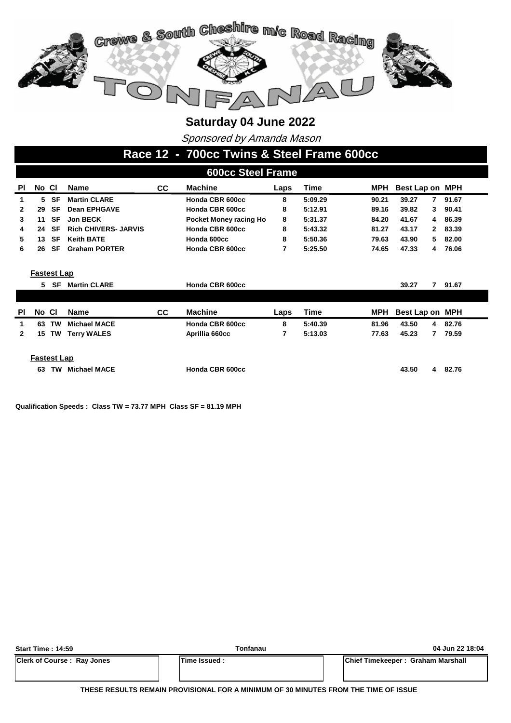

Sponsored by Amanda Mason

#### **Race 12 - 700cc Twins & Steel Frame 600cc**

|              | <b>600cc Steel Frame</b> |           |                             |     |                        |      |         |            |                 |                         |  |  |
|--------------|--------------------------|-----------|-----------------------------|-----|------------------------|------|---------|------------|-----------------|-------------------------|--|--|
| PI           | No CI                    |           | <b>Name</b>                 | CC. | <b>Machine</b>         | Laps | Time    | MPH        | Best Lap on MPH |                         |  |  |
| 1            | 5.                       | SF        | <b>Martin CLARE</b>         |     | Honda CBR 600cc        | 8    | 5:09.29 | 90.21      | 39.27           | 91.67<br>$\overline{7}$ |  |  |
| $\mathbf{2}$ | 29                       | <b>SF</b> | <b>Dean EPHGAVE</b>         |     | Honda CBR 600cc        | 8    | 5:12.91 | 89.16      | 39.82           | 90.41<br>3              |  |  |
| 3            | 11                       | <b>SF</b> | <b>Jon BECK</b>             |     | Pocket Money racing Ho | 8    | 5:31.37 | 84.20      | 41.67           | 86.39<br>4              |  |  |
| 4            | 24                       | <b>SF</b> | <b>Rich CHIVERS- JARVIS</b> |     | Honda CBR 600cc        | 8    | 5:43.32 | 81.27      | 43.17           | 83.39<br>2              |  |  |
| 5            | 13                       | <b>SF</b> | <b>Keith BATE</b>           |     | Honda 600cc            | 8    | 5:50.36 | 79.63      | 43.90           | 82.00<br>5.             |  |  |
| 6            | 26                       | SF        | <b>Graham PORTER</b>        |     | Honda CBR 600cc        | 7    | 5:25.50 | 74.65      | 47.33           | 76.06<br>4              |  |  |
|              | <b>Fastest Lap</b>       | 5 SF      | <b>Martin CLARE</b>         |     | Honda CBR 600cc        |      |         |            | 39.27           | 7<br>91.67              |  |  |
| <b>PI</b>    | No CI                    |           | <b>Name</b>                 | CC. | <b>Machine</b>         | Laps | Time    | <b>MPH</b> | Best Lap on MPH |                         |  |  |
| 1            | 63                       | <b>TW</b> | <b>Michael MACE</b>         |     | Honda CBR 600cc        | 8    | 5:40.39 | 81.96      | 43.50           | 82.76<br>4              |  |  |
| $\mathbf{2}$ | 15                       | TW        | <b>Terry WALES</b>          |     | Aprillia 660cc         | 7    | 5:13.03 | 77.63      | 45.23           | 79.59<br>7              |  |  |
|              | <b>Fastest Lap</b><br>63 | <b>TW</b> | <b>Michael MACE</b>         |     | Honda CBR 600cc        |      |         |            | 43.50           | 4<br>82.76              |  |  |

**Qualification Speeds : Class TW = 73.77 MPH Class SF = 81.19 MPH** 

| <b>Start Time: 14:59</b>          | Tonfanau            | 04 Jun 22 18:04                          |  |  |  |  |  |
|-----------------------------------|---------------------|------------------------------------------|--|--|--|--|--|
| <b>Clerk of Course: Ray Jones</b> | <b>Time Issued:</b> | <b>Chief Timekeeper: Graham Marshall</b> |  |  |  |  |  |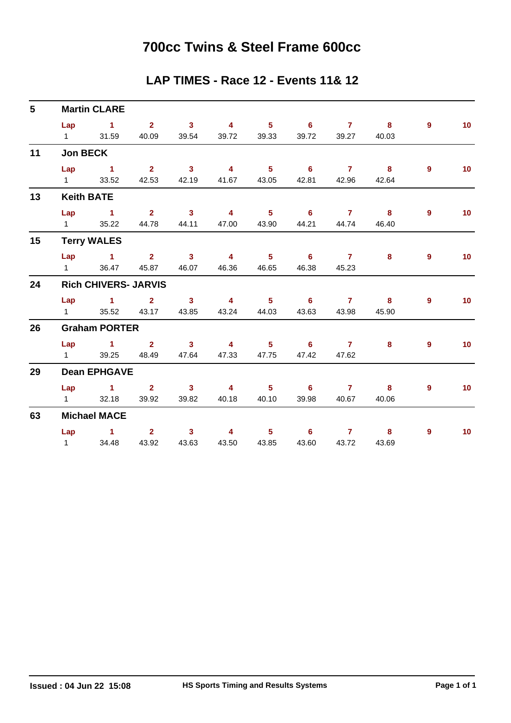### **700cc Twins & Steel Frame 600cc**

#### **LAP TIMES - Race 12 - Events 11& 12**

| $5\phantom{.0}$ |                        | <b>Martin CLARE</b>                                        |                         |                            |                         |                            |                            |                 |                         |                |                 |
|-----------------|------------------------|------------------------------------------------------------|-------------------------|----------------------------|-------------------------|----------------------------|----------------------------|-----------------|-------------------------|----------------|-----------------|
|                 | Lap                    | $\sim$ 1                                                   | $\overline{\mathbf{2}}$ | $\sim$ 3                   | $\overline{\mathbf{4}}$ | $\overline{\phantom{0}}$ 5 | $\overline{\phantom{0}}$ 6 |                 | $7 \quad 8$             | $\overline{9}$ | 10 <sup>°</sup> |
|                 | $1 \quad \blacksquare$ | 31.59                                                      | 40.09                   | 39.54                      | 39.72                   | 39.33                      | 39.72                      | 39.27           | 40.03                   |                |                 |
| 11              | <b>Jon BECK</b>        |                                                            |                         |                            |                         |                            |                            |                 |                         |                |                 |
|                 | Lap                    | $\sim$ $\sim$ 1                                            | $\overline{\mathbf{2}}$ | $\overline{\mathbf{3}}$    | $\overline{4}$          | $\overline{\phantom{0}}$ 5 | $\overline{\phantom{0}}$ 6 | $\overline{7}$  | $\overline{\mathbf{8}}$ | $\overline{9}$ | 10 <sub>1</sub> |
|                 | $1 \quad \Box$         | 33.52                                                      | 42.53                   | 42.19                      | 41.67                   | 43.05                      | 42.81                      | 42.96           | 42.64                   |                |                 |
| 13              |                        | <b>Keith BATE</b>                                          |                         |                            |                         |                            |                            |                 |                         |                |                 |
|                 | Lap                    | $\sim$ $\sim$ 1                                            | $\overline{\mathbf{2}}$ | $\overline{\phantom{a}}$ 3 | $\overline{\mathbf{4}}$ | $-5$                       | $-6$                       | $\overline{7}$  | 8                       | 9              | 10 <sub>1</sub> |
|                 | $1 \quad \Box$         | 35.22                                                      | 44.78                   | 44.11                      | 47.00                   | 43.90                      | 44.21                      | 44.74           | 46.40                   |                |                 |
| 15              |                        | <b>Terry WALES</b>                                         |                         |                            |                         |                            |                            |                 |                         |                |                 |
|                 |                        | Lap 1 2 3                                                  |                         |                            | $\overline{\mathbf{4}}$ | 5 <sub>1</sub>             | $\overline{\phantom{0}}$ 6 | $\overline{7}$  | 8                       | 9              | 10 <sub>1</sub> |
|                 | $1 \quad \Box$         | 36.47                                                      | 45.87                   | 46.07                      | 46.36                   | 46.65                      | 46.38                      | 45.23           |                         |                |                 |
| 24              |                        | <b>Rich CHIVERS- JARVIS</b>                                |                         |                            |                         |                            |                            |                 |                         |                |                 |
|                 | Lap                    | $\sim$ 1.000 $\sim$ 1.000 $\sim$ 1.000 $\sim$ 1.000 $\sim$ | $2^{\circ}$             | 3 <sup>7</sup>             | $\overline{4}$          | $\overline{\phantom{0}}$ 5 | $\overline{\phantom{a}}$ 6 | $\sim$ 7 $\sim$ | $\overline{\mathbf{8}}$ | $9^{\circ}$    | 10 <sup>°</sup> |
|                 | $1 \quad \Box$         | 35.52                                                      | 43.17                   | 43.85                      | 43.24                   | 44.03                      | 43.63                      | 43.98           | 45.90                   |                |                 |
| 26              |                        | <b>Graham PORTER</b>                                       |                         |                            |                         |                            |                            |                 |                         |                |                 |
|                 |                        | $Lap$ 1 2                                                  |                         | $\sim$ 3                   | $\overline{\mathbf{4}}$ |                            | $5 \t\t 6 \t\t 7$          |                 | 8                       | $9^{\circ}$    | 10 <sub>1</sub> |
|                 | $1 \quad \Box$         | 39.25                                                      | 48.49                   | 47.64                      | 47.33                   | 47.75                      | 47.42                      | 47.62           |                         |                |                 |
| 29              |                        | <b>Dean EPHGAVE</b>                                        |                         |                            |                         |                            |                            |                 |                         |                |                 |
|                 |                        | Lap 1 2 3                                                  |                         |                            | $\overline{4}$          | $-5$                       | $\overline{\phantom{a}}$ 6 | $\overline{7}$  | $\overline{\mathbf{8}}$ | 9              | 10 <sub>1</sub> |
|                 | $1 \quad \Box$         | 32.18                                                      | 39.92                   | 39.82                      | 40.18                   | 40.10                      | 39.98                      | 40.67           | 40.06                   |                |                 |
| 63              |                        | <b>Michael MACE</b>                                        |                         |                            |                         |                            |                            |                 |                         |                |                 |
|                 | Lap                    | $\sim$ 1                                                   | $2^{\circ}$             | $\mathbf{3}$               | $\overline{4}$          | $5 -$                      | 6                          | 7 <sup>7</sup>  | 8                       | 9              | 10              |
|                 | $1 \quad \blacksquare$ | 34.48                                                      | 43.92                   | 43.63                      | 43.50                   | 43.85                      | 43.60                      | 43.72           | 43.69                   |                |                 |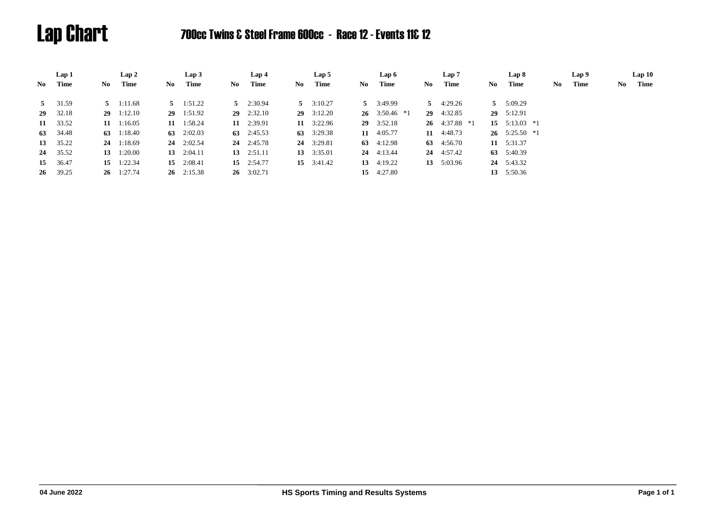# Lap Chart 700cc Twins & Steel Frame 600cc - Race 12 - Events 11& 12

|     | Lap 1    |    | Lap 2              |    | Lap <sub>3</sub>   |      | Lap 4              |    | Lap 5              |    | Lap 6              |    | Lap 7              |     | Lap 8                       |     | Lap 9 |    | Lap10 |
|-----|----------|----|--------------------|----|--------------------|------|--------------------|----|--------------------|----|--------------------|----|--------------------|-----|-----------------------------|-----|-------|----|-------|
| No. | Time     | No | Time               | No | Time               | No - | Time               | No | Time               | No | Time               | No | Time               | No. | Time                        | No. | Time  | No | Time  |
|     | 5 31.59  |    | $5 \quad 1:11.68$  |    | $5 \quad 1:51.22$  |      | $5 \quad 2:30.94$  |    | $5 \quad 3:10.27$  |    | $5 \quad 3:49.99$  |    | $5 \quad 4:29.26$  |     | $5 \quad 5:09.29$           |     |       |    |       |
|     | 29 32.18 |    | $29 \quad 1:12.10$ |    | 29 1:51.92         |      | $29 \quad 2:32.10$ |    | $29 \quad 3:12.20$ |    | 26 3:50.46 $*1$    |    | $29 \quad 4:32.85$ |     | $29 \quad 5:12.91$          |     |       |    |       |
|     | 11 33.52 |    | $11 \quad 1:16.05$ | 11 | 1:58.24            |      | 11 2:39.91         |    | $11 \quad 3:22.96$ |    | $29 \quad 3:52.18$ |    | 26 $4:37.88$ *1    |     | 15 $5:13.03$ *1             |     |       |    |       |
|     | 63 34.48 |    | 63 $1:18.40$       |    | 63 $2:02.03$       |      | 63 $2:45.53$       |    | 63 $3:29.38$       |    | 11 $4:05.77$       |    | 11 4:48.73         |     | $26 \quad 5:25.50 \quad *1$ |     |       |    |       |
|     | 13 35.22 |    | $24 \quad 1:18.69$ |    | $24 \quad 2:02.54$ |      | $24 \quad 2:45.78$ |    | 24 3:29.81         |    | 63 $4:12.98$       |    | 63 4:56.70         |     | 11 5:31.37                  |     |       |    |       |
|     | 24 35.52 |    | 13 $1:20.00$       |    | 13 $2:04.11$       |      | 13 $2:51.11$       |    | 13 $3:35.01$       |    | $24 \quad 4:13.44$ |    | 24 4:57.42         |     | 63 5:40.39                  |     |       |    |       |
|     | 15 36.47 |    | 15 $1:22.34$       |    | 15 $2:08.41$       |      | 15 $2:54.77$       |    | $15 \quad 3:41.42$ |    | 13 $4:19.22$       |    | 13 5:03.96         |     | 24 5:43.32                  |     |       |    |       |
|     | 26 39.25 |    | $26 \quad 1:27.74$ |    | $26 \quad 2:15.38$ |      | $26 \quad 3:02.71$ |    |                    |    | 15 4:27.80         |    |                    |     | 13 5:50.36                  |     |       |    |       |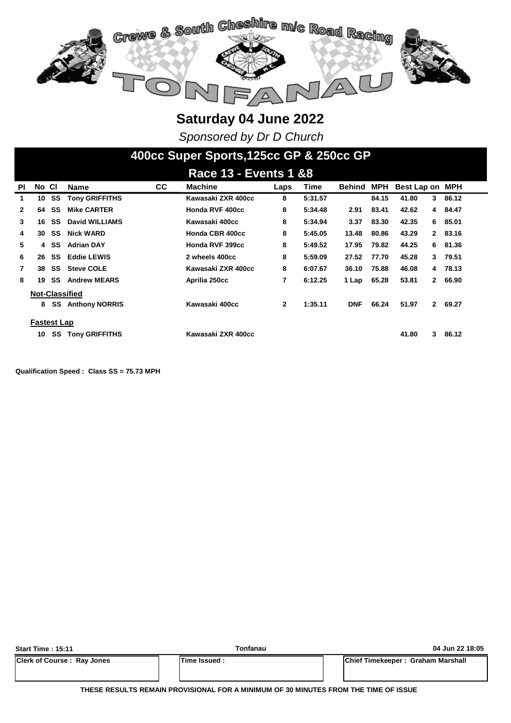

*Sponsored by Dr D Church*

### **400cc Super Sports,125cc GP & 250cc GP**

|              | <b>Race 13 - Events 1 &amp;8</b> |      |                       |           |                    |              |         |            |            |                 |              |       |  |
|--------------|----------------------------------|------|-----------------------|-----------|--------------------|--------------|---------|------------|------------|-----------------|--------------|-------|--|
| ΡI           | No CI                            |      | <b>Name</b>           | <b>CC</b> | <b>Machine</b>     | Laps         | Time    | Behind     | <b>MPH</b> | Best Lap on MPH |              |       |  |
| 1            | 10                               | SS   | <b>Tony GRIFFITHS</b> |           | Kawasaki ZXR 400cc | 8            | 5:31.57 |            | 84.15      | 41.80           | 3            | 86.12 |  |
| $\mathbf{2}$ | 64                               | SS   | <b>Mike CARTER</b>    |           | Honda RVF 400cc    | 8            | 5:34.48 | 2.91       | 83.41      | 42.62           | 4            | 84.47 |  |
| 3            | 16                               | SS   | David WILLIAMS        |           | Kawasaki 400cc     | 8            | 5:34.94 | 3.37       | 83.30      | 42.35           | 6            | 85.01 |  |
| 4            | 30                               | SS   | <b>Nick WARD</b>      |           | Honda CBR 400cc    | 8            | 5:45.05 | 13.48      | 80.86      | 43.29           | $\mathbf{2}$ | 83.16 |  |
| 5            |                                  | 4 SS | <b>Adrian DAY</b>     |           | Honda RVF 399cc    | 8            | 5:49.52 | 17.95      | 79.82      | 44.25           | 6.           | 81.36 |  |
| 6            | 26                               | SS   | <b>Eddie LEWIS</b>    |           | 2 wheels 400cc     | 8            | 5:59.09 | 27.52      | 77.70      | 45.28           | 3            | 79.51 |  |
| 7            | 38                               | SS   | <b>Steve COLE</b>     |           | Kawasaki ZXR 400cc | 8            | 6:07.67 | 36.10      | 75.88      | 46.08           | 4            | 78.13 |  |
| 8            | 19                               | SS   | <b>Andrew MEARS</b>   |           | Aprilia 250cc      | 7            | 6:12.25 | 1 Lap      | 65.28      | 53.81           | $\mathbf{2}$ | 66.90 |  |
|              | Not-Classified                   |      |                       |           |                    |              |         |            |            |                 |              |       |  |
|              | 8                                | SS   | <b>Anthony NORRIS</b> |           | Kawasaki 400cc     | $\mathbf{2}$ | 1:35.11 | <b>DNF</b> | 66.24      | 51.97           | $\mathbf{2}$ | 69.27 |  |
|              | <b>Fastest Lap</b>               |      |                       |           |                    |              |         |            |            |                 |              |       |  |
|              | 10                               | SS   | <b>Tony GRIFFITHS</b> |           | Kawasaki ZXR 400cc |              |         |            |            | 41.80           | 3            | 86.12 |  |

**Qualification Speed : Class SS = 75.73 MPH** 

| <b>Start Time: 15:11</b>          | Tonfanau       | 04 Jun 22 18:05                   |  |  |  |  |  |
|-----------------------------------|----------------|-----------------------------------|--|--|--|--|--|
| <b>Clerk of Course: Ray Jones</b> | lTime Issued : | Chief Timekeeper: Graham Marshall |  |  |  |  |  |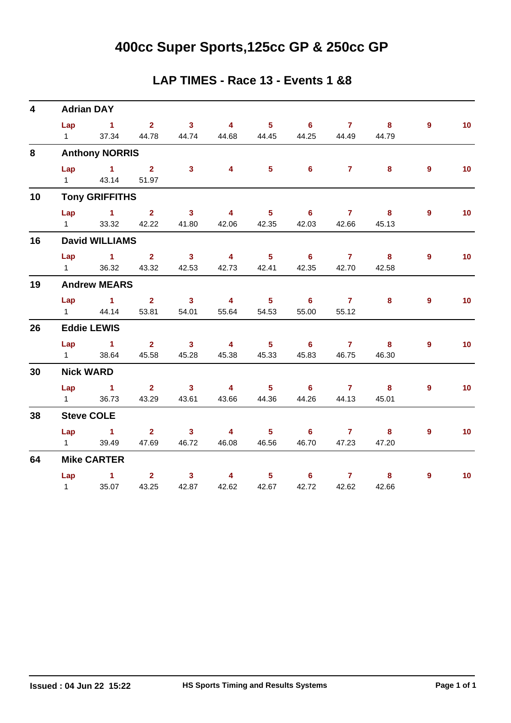# **400cc Super Sports,125cc GP & 250cc GP**

#### **LAP TIMES - Race 13 - Events 1 &8**

| $\overline{\mathbf{4}}$ |                       | <b>Adrian DAY</b>                           |                         |                                  |                                  |                                     |                                     |                         |                                  |                |                 |
|-------------------------|-----------------------|---------------------------------------------|-------------------------|----------------------------------|----------------------------------|-------------------------------------|-------------------------------------|-------------------------|----------------------------------|----------------|-----------------|
|                         | Lap                   | $\sim$ $\sim$ 1                             | $\overline{\mathbf{2}}$ | $\overline{\mathbf{3}}$          | $\overline{\mathbf{4}}$          | $-5$                                | $6\overline{6}$                     | $\overline{7}$          | $\overline{\mathbf{8}}$          | $9^{\circ}$    | 10 <sub>1</sub> |
|                         | $1 \quad \Box$        | 37.34                                       | 44.78                   | 44.74                            | 44.68                            | 44.45                               | 44.25                               | 44.49                   | 44.79                            |                |                 |
| 8                       |                       | <b>Anthony NORRIS</b>                       |                         |                                  |                                  |                                     |                                     |                         |                                  |                |                 |
|                         | Lap<br>$1 \quad \Box$ | $\sim$ 1.000 $\sim$ 1.000 $\sim$<br>43.14   | 2 <sup>1</sup><br>51.97 | 3 <sup>1</sup>                   | $\overline{4}$                   | 5 <sub>1</sub>                      | 6 <sup>1</sup>                      | $\overline{7}$          | 8                                | $\overline{9}$ | 10 <sub>1</sub> |
| 10                      |                       | <b>Tony GRIFFITHS</b>                       |                         |                                  |                                  |                                     |                                     |                         |                                  |                |                 |
|                         | Lap<br>$1 \quad \Box$ | $\sim$ 1<br>33.32                           | 2 <sup>1</sup><br>42.22 | 3 <sup>1</sup><br>41.80          | $\overline{4}$<br>42.06          | $5 -$                               | $6^{\circ}$<br>42.35 42.03          | $\overline{7}$<br>42.66 | 8<br>45.13                       | $\overline{9}$ | 10 <sub>1</sub> |
| 16                      |                       | <b>David WILLIAMS</b>                       |                         |                                  |                                  |                                     |                                     |                         |                                  |                |                 |
|                         | Lap<br>$1 \quad \Box$ | <b>Contract of the State State</b><br>36.32 | 2 <sup>7</sup><br>43.32 | $\overline{\mathbf{3}}$<br>42.53 | $\overline{4}$<br>42.73          | $-5$<br>42.41                       | $-6$<br>42.35                       | $\overline{7}$<br>42.70 | $\bf{8}$<br>42.58                | $\overline{9}$ | 10 <sub>1</sub> |
| 19                      |                       | <b>Andrew MEARS</b>                         |                         |                                  |                                  |                                     |                                     |                         |                                  |                |                 |
|                         | $1 \qquad \qquad$     | $Lap$ 1<br>44.14                            | $2^{\circ}$<br>53.81    | $\overline{\mathbf{3}}$<br>54.01 | $\overline{4}$<br>55.64          | $-5$<br>54.53                       | $\overline{\phantom{0}}$ 6<br>55.00 | $\overline{7}$<br>55.12 | 8                                | 9              | 10              |
| 26                      |                       | <b>Eddie LEWIS</b>                          |                         |                                  |                                  |                                     |                                     |                         |                                  |                |                 |
|                         | $1 \quad \Box$        | $Lap$ 1<br>38.64                            | 2 <sup>7</sup><br>45.58 | $\overline{\mathbf{3}}$<br>45.28 | $\overline{\mathbf{4}}$<br>45.38 | $\overline{\phantom{a}}$ 5<br>45.33 | $\overline{\phantom{a}}$ 6<br>45.83 | $\overline{7}$<br>46.75 | $\overline{\mathbf{8}}$<br>46.30 | $9^{\circ}$    | 10 <sub>1</sub> |
| 30                      |                       | <b>Nick WARD</b>                            |                         |                                  |                                  |                                     |                                     |                         |                                  |                |                 |
|                         | Lap<br>$1 \quad \Box$ | $\sim$ $\sim$ 1<br>36.73                    | 2 <sup>7</sup><br>43.29 | 3 <sup>7</sup><br>43.61          | $\overline{\mathbf{4}}$<br>43.66 | 5 <sub>1</sub><br>44.36             | $6^{\circ}$<br>44.26                | $\overline{7}$<br>44.13 | 8<br>45.01                       | $9^{\circ}$    | 10 <sub>1</sub> |
| 38                      |                       | <b>Steve COLE</b>                           |                         |                                  |                                  |                                     |                                     |                         |                                  |                |                 |
|                         | Lap<br>$1 \quad \Box$ | $\sim$ 1<br>39.49                           | 2 <sup>7</sup><br>47.69 | 3 <sup>1</sup><br>46.72          | $\overline{4}$<br>46.08          | 5 <sub>1</sub><br>46.56             | 6 <sup>1</sup><br>46.70             | 7 <sup>7</sup><br>47.23 | 8<br>47.20                       | $\overline{9}$ | 10 <sub>1</sub> |
| 64                      |                       | <b>Mike CARTER</b>                          |                         |                                  |                                  |                                     |                                     |                         |                                  |                |                 |
|                         | $1 \quad$             | Lap 1<br>35.07                              | $2^{\circ}$<br>43.25    | 3 <sup>1</sup><br>42.87          | $\overline{\mathbf{4}}$<br>42.62 | $5 -$<br>42.67                      | $6^{\circ}$<br>42.72                | $\mathbf{7}$<br>42.62   | 8<br>42.66                       | $\overline{9}$ | 10 <sub>1</sub> |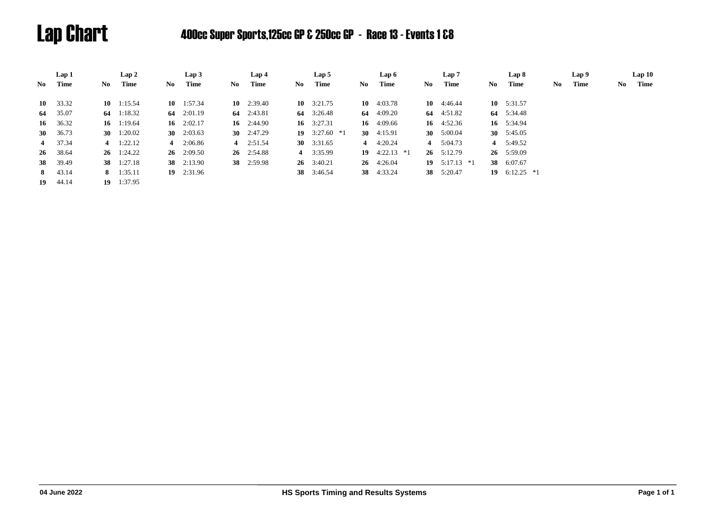# Lap Chart 400cc Super Sports,125cc GP & 250cc GP - Race 13 - Events 1 &8

|    | Lap 1      |     | Lap2               |     | Lap3               |    | Lap 4              |     | Lap 5              |    | Lap 6              |     | Lap 7              |              | Lap 8        |     | Lap 9 |    | Lap10 |
|----|------------|-----|--------------------|-----|--------------------|----|--------------------|-----|--------------------|----|--------------------|-----|--------------------|--------------|--------------|-----|-------|----|-------|
| No | Time       | No. | Time               | No. | Time               | No | Time               | No. | Time               | No | Time               | No. | Time               | No.          | Time         | No. | Time  | No | Time  |
| 10 | 33.32      |     | $10 \quad 1:15.54$ |     | $10 \quad 1:57.34$ |    | $10 \quad 2:39.40$ |     | 10 $3:21.75$       |    | 10 $4:03.78$       |     | $10 \quad 4:46.44$ | 10 $5:31.57$ |              |     |       |    |       |
|    | 64 35.07   |     | 64 1:18.32         |     | 64 2:01.19         |    | 64 2:43.81         |     | 64 3:26.48         |    | 64 $4:09.20$       |     | 64 4:51.82         | 64 5:34.48   |              |     |       |    |       |
| 16 | 36.32      |     | 16 $1:19.64$       |     | 16 $2:02.17$       |    | 16 $2:44.90$       |     | 16 $3:27.31$       |    | 16 $4:09.66$       |     | 16 $4:52.36$       | 16 5:34.94   |              |     |       |    |       |
|    | 30 $36.73$ |     | 30 $1:20.02$       |     | 30 $2:03.63$       |    | 30 $2:47.29$       |     | 19 $3:27.60$ *1    |    | 30 $4:15.91$       |     | 30 $5:00.04$       | 30 $5:45.05$ |              |     |       |    |       |
|    | 4 37.34    |     | 4 $1:22.12$        |     | 4 $2:06.86$        |    | 4 $2:51.54$        |     | 30 $3:31.65$       |    | 4 $4:20.24$        |     | 4 $5:04.73$        | 4 5:49.52    |              |     |       |    |       |
|    | 26 38.64   |     | $26 \quad 1:24.22$ |     | $26 \quad 2:09.50$ |    | $26 \quad 2:54.88$ |     | 4 3:35.99          |    | 19 $4:22.13$ *1    |     | $26 \quad 5:12.79$ | 26 5:59.09   |              |     |       |    |       |
|    | 38 39.49   |     | 38 1:27.18         |     | 38 2:13.90         |    | 38 2:59.98         |     | $26 \quad 3:40.21$ |    | $26 \quad 4:26.04$ |     | 19 $5:17.13$ *1    | 38 6:07.67   |              |     |       |    |       |
|    | 8 43.14    |     | 8 $1:35.11$        |     | $19$ 2:31.96       |    |                    |     | 38 3:46.54         |    | <b>38</b> 4:33.24  |     | 38 5:20.47         | 19           | $6:12.25$ *1 |     |       |    |       |
|    | 19 44.14   |     | $19 \quad 1:37.95$ |     |                    |    |                    |     |                    |    |                    |     |                    |              |              |     |       |    |       |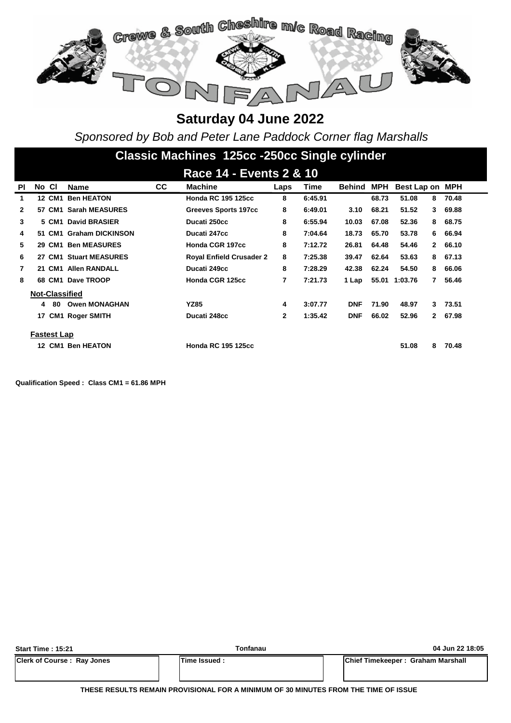

*Sponsored by Bob and Peter Lane Paddock Corner flag Marshalls*

|           | Classic Machines 125cc -250cc Single cylinder |                    |                          |     |                                 |              |         |            |       |                 |              |         |
|-----------|-----------------------------------------------|--------------------|--------------------------|-----|---------------------------------|--------------|---------|------------|-------|-----------------|--------------|---------|
|           |                                               |                    |                          |     |                                 |              |         |            |       |                 |              |         |
|           |                                               |                    |                          |     | Race 14 - Events 2 & 10         |              |         |            |       |                 |              |         |
| <b>PI</b> | No CI                                         |                    | Name                     | CC. | <b>Machine</b>                  | Laps         | Time    | Behind     | MPH   | Best Lap on MPH |              |         |
| 1         |                                               |                    | <b>12 CM1 Ben HEATON</b> |     | <b>Honda RC 195 125cc</b>       | 8            | 6:45.91 |            | 68.73 | 51.08           | 8            | 70.48   |
| 2         |                                               |                    | 57 CM1 Sarah MEASURES    |     | <b>Greeves Sports 197cc</b>     | 8            | 6:49.01 | 3.10       | 68.21 | 51.52           | 3            | 69.88   |
| 3         |                                               |                    | 5 CM1 David BRASIER      |     | Ducati 250cc                    | 8            | 6:55.94 | 10.03      | 67.08 | 52.36           | 8            | 68.75   |
| 4         |                                               |                    | 51 CM1 Graham DICKINSON  |     | Ducati 247cc                    | 8            | 7:04.64 | 18.73      | 65.70 | 53.78           | 6.           | 66.94   |
| 5         |                                               |                    | 29 CM1 Ben MEASURES      |     | Honda CGR 197cc                 | 8            | 7:12.72 | 26.81      | 64.48 | 54.46           |              | 2 66.10 |
| 6         |                                               |                    | 27 CM1 Stuart MEASURES   |     | <b>Royal Enfield Crusader 2</b> | 8            | 7:25.38 | 39.47      | 62.64 | 53.63           |              | 8 67.13 |
| 7         |                                               |                    | 21 CM1 Allen RANDALL     |     | Ducati 249cc                    | 8            | 7:28.29 | 42.38      | 62.24 | 54.50           | 8            | 66.06   |
| 8         |                                               |                    | 68 CM1 Dave TROOP        |     | Honda CGR 125cc                 | 7            | 7:21.73 | 1 Lap      |       | 55.01 1:03.76   | 7            | 56.46   |
|           |                                               |                    | <b>Not-Classified</b>    |     |                                 |              |         |            |       |                 |              |         |
|           | 4                                             | 80                 | <b>Owen MONAGHAN</b>     |     | <b>YZ85</b>                     | 4            | 3:07.77 | <b>DNF</b> | 71.90 | 48.97           | 3            | 73.51   |
|           |                                               |                    | 17 CM1 Roger SMITH       |     | Ducati 248cc                    | $\mathbf{2}$ | 1:35.42 | <b>DNF</b> | 66.02 | 52.96           | $\mathbf{2}$ | 67.98   |
|           |                                               | <b>Fastest Lap</b> |                          |     |                                 |              |         |            |       |                 |              |         |
|           |                                               |                    | 12 CM1 Ben HEATON        |     | <b>Honda RC 195 125cc</b>       |              |         |            |       | 51.08           | 8            | 70.48   |

**Qualification Speed : Class CM1 = 61.86 MPH** 

| <b>Start Time: 15:21</b>          | Tonfanau            | 04 Jun 22 18:05                   |
|-----------------------------------|---------------------|-----------------------------------|
| <b>Clerk of Course: Ray Jones</b> | <b>Time Issued:</b> | Chief Timekeeper: Graham Marshall |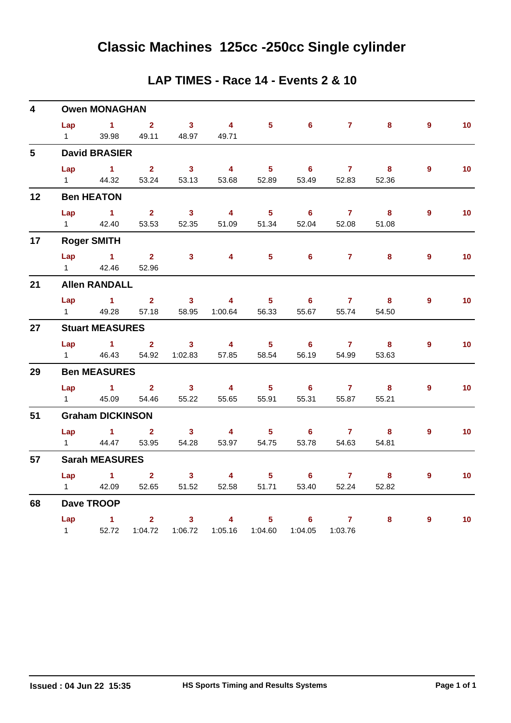| LAP TIMES - Race 14 - Events 2 & 10 |  |  |  |
|-------------------------------------|--|--|--|
|-------------------------------------|--|--|--|

| $\overline{\mathbf{4}}$ |                | <b>Owen MONAGHAN</b>                      |                         |                         |                         |                  |                              |                                   |                  |                |                 |
|-------------------------|----------------|-------------------------------------------|-------------------------|-------------------------|-------------------------|------------------|------------------------------|-----------------------------------|------------------|----------------|-----------------|
|                         | Lap            | $\sim$ 1                                  | $\mathbf{2}$            | 3 <sup>1</sup>          | $\overline{4}$          | $5^{\circ}$      | 6                            | 7 <sup>7</sup>                    | 8                | 9              | 10              |
|                         | $1 \quad$      | 39.98                                     | 49.11                   | 48.97                   | 49.71                   |                  |                              |                                   |                  |                |                 |
| $5\overline{)}$         |                | <b>David BRASIER</b>                      |                         |                         |                         |                  |                              |                                   |                  |                |                 |
|                         | Lap            | $\sim$ 1                                  | 2 <sup>1</sup>          | 3 <sup>1</sup>          | $\overline{4}$          | 5 <sub>1</sub>   | 6                            | $\mathbf{7}$                      | 8                | 9              | 10 <sup>°</sup> |
|                         | $1 \quad$      | 44.32                                     | 53.24                   | 53.13                   | 53.68                   | 52.89            | 53.49                        | 52.83                             | 52.36            |                |                 |
| 12                      |                | <b>Ben HEATON</b>                         |                         |                         |                         |                  |                              |                                   |                  |                |                 |
|                         | Lap            | $\sim$ 1                                  | 2 <sup>1</sup>          | 3 <sup>1</sup>          | $\overline{4}$          | 5 <sup>1</sup>   | 6 <sup>1</sup>               | $\mathbf{7}$                      | $\bf{8}$         | $\overline{9}$ | 10 <sub>1</sub> |
|                         | $1 \quad$      | 42.40                                     | 53.53                   | 52.35                   | 51.09                   | 51.34            | 52.04                        | 52.08                             | 51.08            |                |                 |
| 17                      |                | <b>Roger SMITH</b>                        |                         |                         |                         |                  |                              |                                   |                  |                |                 |
|                         | Lap            | $\sim$ 1                                  | $\overline{\mathbf{2}}$ | $\overline{\mathbf{3}}$ | 4 <sup>1</sup>          |                  | $5 - 1$<br>$6 \qquad \qquad$ | $\overline{7}$ and $\overline{7}$ | $\boldsymbol{8}$ | $\overline{9}$ | 10 <sub>1</sub> |
|                         | $1 \quad$      | 42.46                                     | 52.96                   |                         |                         |                  |                              |                                   |                  |                |                 |
| 21                      |                | <b>Allen RANDALL</b>                      |                         |                         |                         |                  |                              |                                   |                  |                |                 |
|                         | Lap            | $\sim$ 1                                  | 2 <sup>1</sup>          | 3 <sup>1</sup>          | $\overline{4}$          | 5 <sup>1</sup>   | 6                            | $\mathbf{7}$                      | 8                | 9              | 10 <sub>1</sub> |
|                         | $1 \quad \Box$ | 49.28                                     | 57.18                   | 58.95                   | 1:00.64                 | 56.33            | 55.67                        | 55.74                             | 54.50            |                |                 |
| 27                      |                | <b>Stuart MEASURES</b>                    |                         |                         |                         |                  |                              |                                   |                  |                |                 |
|                         | Lap            | $\sim$ $\sim$ $\sim$ $\sim$ $\sim$ $\sim$ | $\overline{\mathbf{2}}$ | 3 <sup>1</sup>          | $\overline{4}$          | 5 <sub>1</sub>   | 6                            | $\overline{7}$                    | 8                | $9^{\circ}$    | 10 <sub>1</sub> |
|                         | $1 \quad \Box$ | 46.43                                     | 54.92                   | 1:02.83                 | 57.85                   | 58.54            | 56.19                        | 54.99                             | 53.63            |                |                 |
| 29                      |                | <b>Ben MEASURES</b>                       |                         |                         |                         |                  |                              |                                   |                  |                |                 |
|                         | Lap            | $\sim$ 1                                  | $2^{\circ}$             | 3 <sup>1</sup>          | $\overline{4}$          | 5 <sup>1</sup>   | 6                            | $\mathbf{7}$                      | 8                | 9              | 10 <sub>1</sub> |
|                         | $1 \quad \Box$ | 45.09                                     | 54.46                   | 55.22                   | 55.65                   | 55.91            | 55.31                        | 55.87                             | 55.21            |                |                 |
| 51                      |                | <b>Graham DICKINSON</b>                   |                         |                         |                         |                  |                              |                                   |                  |                |                 |
|                         | Lap            | $\blacksquare$ 1                          | 2 <sup>1</sup>          | 3 <sup>7</sup>          | $\overline{\mathbf{4}}$ | 5 <sub>1</sub>   | 6                            | $\overline{7}$                    | 8                | $9^{\circ}$    | 10 <sub>1</sub> |
|                         | $1 \quad$      | 44.47                                     | 53.95                   | 54.28                   | 53.97                   | 54.75            | 53.78                        | 54.63                             | 54.81            |                |                 |
| 57                      |                | <b>Sarah MEASURES</b>                     |                         |                         |                         |                  |                              |                                   |                  |                |                 |
|                         | Lap            | $\sim$ 1                                  | 2 <sup>1</sup>          | 3 <sup>7</sup>          | $\overline{4}$          | 5 <sup>1</sup>   | 6                            | 7 <sup>7</sup>                    | 8                | 9              | 10              |
|                         | $1 \quad$      | 42.09                                     | 52.65                   | 51.52                   | 52.58                   | 51.71            | 53.40                        | 52.24                             | 52.82            |                |                 |
| 68                      |                | Dave TROOP                                |                         |                         |                         |                  |                              |                                   |                  |                |                 |
|                         |                | Lap 1                                     | $\mathbf{2}$            | 3 <sup>7</sup>          | 4                       | 5                | 6                            | $\mathbf{7}$                      | 8                | 9              | 10 <sub>1</sub> |
|                         | $1 \quad$      | 52.72                                     | 1:04.72                 | 1:06.72                 |                         | 1:05.16  1:04.60 | 1:04.05                      | 1:03.76                           |                  |                |                 |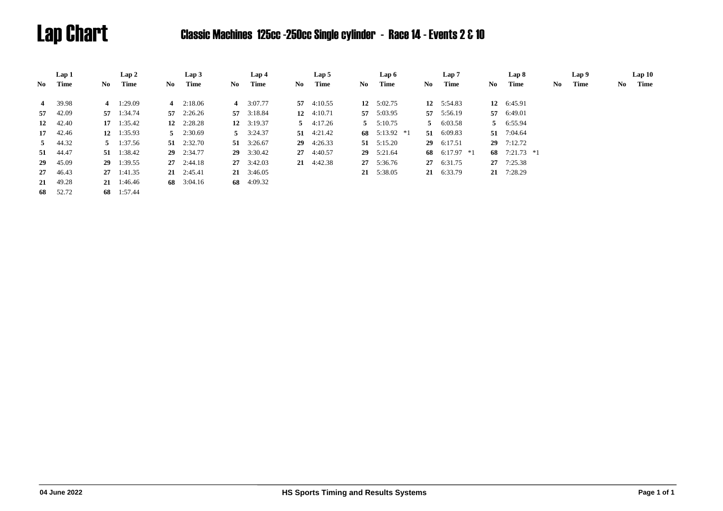# Lap Chart Classic Machines 125cc -250cc Single cylinder - Race 14 - Events 2 & 10

|                | Lap 1        |    | Lap 2              |     | Lap3               |      | Lap 4              |      | Lap 5              |    | Lap 6              |     | Lap <sub>7</sub> |     | Lap 8           |     | Lap 9 |     | Lap10 |
|----------------|--------------|----|--------------------|-----|--------------------|------|--------------------|------|--------------------|----|--------------------|-----|------------------|-----|-----------------|-----|-------|-----|-------|
| No.            | Time         | No | Time               | No. | Time               | No 1 | Time               | No - | Time               | No | Time               | No. | Time             | No. | Time            | No. | Time  | No. | Time  |
| $\overline{4}$ | 39.98        |    | 4 $1:29.09$        |     | 4 $2:18.06$        |      | 4 $3:07.77$        |      | 57 $4:10.55$       |    | 12 $5:02.75$       |     | 12 $5:54.83$     |     | 12 6:45.91      |     |       |     |       |
|                | 57 42.09     |    | 57 1:34.74         |     | $57 \quad 2:26.26$ |      | 57 3:18.84         |      | 12 $4:10.71$       |    | 57 5:03.95         |     | 57 5:56.19       |     | 57 6:49.01      |     |       |     |       |
|                | 12 42.40     |    | $17 \quad 1:35.42$ |     | 12 $2:28.28$       |      | 12 $3:19.37$       |      | $5 \quad 4:17.26$  |    | $5 \t 5:10.75$     |     | 5 6:03.58        |     | 5 6:55.94       |     |       |     |       |
|                | 17 42.46     |    | 12 $1:35.93$       |     | $5 \quad 2:30.69$  |      | $5 \quad 3:24.37$  |      | $51 \quad 4:21.42$ |    | 68 $5:13.92$ *1    |     | 51 6:09.83       | 51  | 7:04.64         |     |       |     |       |
|                | $5 \t 44.32$ |    | $5 \t1:37.56$      |     | $51 \quad 2:32.70$ |      | 51 $3:26.67$       |      | $29 \quad 4:26.33$ |    | $51 \quad 5:15.20$ | 29  | 6:17.51          |     | $29$ 7:12.72    |     |       |     |       |
|                | 51 44.47     |    | 51 1:38.42         |     | 29 2:34.77         |      | 29 3:30.42         |      | 27 4:40.57         |    | 29 5:21.64         | 68  | $6:17.97$ *1     |     | 68 $7:21.73$ *1 |     |       |     |       |
| 29             | 45.09        |    | 29 1:39.55         |     | $27 \quad 2:44.18$ |      | 27 3:42.03         |      | 21 4:42.38         |    | 27 5:36.76         |     | 27 6:31.75       |     | 27 7:25.38      |     |       |     |       |
|                | 27 46.43     |    | $27 \quad 1:41.35$ |     | $21 \quad 2:45.41$ |      | $21 \quad 3:46.05$ |      |                    |    | 21 5:38.05         |     | 21 6:33.79       |     | 21 7:28.29      |     |       |     |       |
|                | 21 49.28     |    | $21 \quad 1:46.46$ |     | 68 3:04.16         |      | 68 4:09.32         |      |                    |    |                    |     |                  |     |                 |     |       |     |       |
| 68             | 52.72        |    | 68 1:57.44         |     |                    |      |                    |      |                    |    |                    |     |                  |     |                 |     |       |     |       |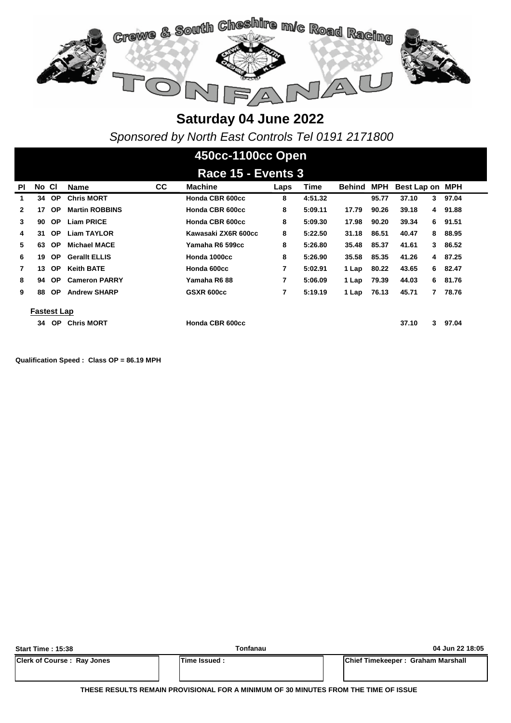

*Sponsored by North East Controls Tel 0191 2171800*

### **450cc-1100cc Open**

|    | Race 15 - Events 3 |           |                       |    |                     |      |         |        |            |                 |   |       |  |  |
|----|--------------------|-----------|-----------------------|----|---------------------|------|---------|--------|------------|-----------------|---|-------|--|--|
| ΡI | No CI              |           | Name                  | СC | <b>Machine</b>      | Laps | Time    | Behind | <b>MPH</b> | Best Lap on MPH |   |       |  |  |
| 1  | 34                 | <b>OP</b> | <b>Chris MORT</b>     |    | Honda CBR 600cc     | 8    | 4:51.32 |        | 95.77      | 37.10           | 3 | 97.04 |  |  |
| 2  | 17                 | <b>OP</b> | <b>Martin ROBBINS</b> |    | Honda CBR 600cc     | 8    | 5:09.11 | 17.79  | 90.26      | 39.18           | 4 | 91.88 |  |  |
| 3  | 90                 | <b>OP</b> | <b>Liam PRICE</b>     |    | Honda CBR 600cc     | 8    | 5:09.30 | 17.98  | 90.20      | 39.34           | 6 | 91.51 |  |  |
| 4  | 31                 | <b>OP</b> | <b>Liam TAYLOR</b>    |    | Kawasaki ZX6R 600cc | 8    | 5:22.50 | 31.18  | 86.51      | 40.47           | 8 | 88.95 |  |  |
| 5. | 63                 | <b>OP</b> | <b>Michael MACE</b>   |    | Yamaha R6 599cc     | 8    | 5:26.80 | 35.48  | 85.37      | 41.61           | 3 | 86.52 |  |  |
| 6  | 19                 | OP.       | <b>Gerallt ELLIS</b>  |    | Honda 1000cc        | 8    | 5:26.90 | 35.58  | 85.35      | 41.26           | 4 | 87.25 |  |  |
|    | 13                 | OP.       | <b>Keith BATE</b>     |    | Honda 600cc         | 7    | 5:02.91 | 1 Lap  | 80.22      | 43.65           | 6 | 82.47 |  |  |
| 8  | 94                 | OP.       | <b>Cameron PARRY</b>  |    | Yamaha R6 88        | 7    | 5:06.09 | 1 Lap  | 79.39      | 44.03           | 6 | 81.76 |  |  |
| 9  | 88                 | <b>OP</b> | <b>Andrew SHARP</b>   |    | GSXR 600cc          | 7    | 5:19.19 | 1 Lap  | 76.13      | 45.71           | 7 | 78.76 |  |  |
|    |                    |           |                       |    |                     |      |         |        |            |                 |   |       |  |  |
|    | <b>Fastest Lap</b> |           |                       |    |                     |      |         |        |            |                 |   |       |  |  |
|    | 34                 | <b>OP</b> | <b>Chris MORT</b>     |    | Honda CBR 600cc     |      |         |        |            | 37.10           | 3 | 97.04 |  |  |

**Qualification Speed : Class OP = 86.19 MPH** 

| <b>Start Time: 15:38</b>          | Tonfanau             | 04 Jun 22 18:05                   |
|-----------------------------------|----------------------|-----------------------------------|
| <b>Clerk of Course: Ray Jones</b> | <b>ITime Issued:</b> | Chief Timekeeper: Graham Marshall |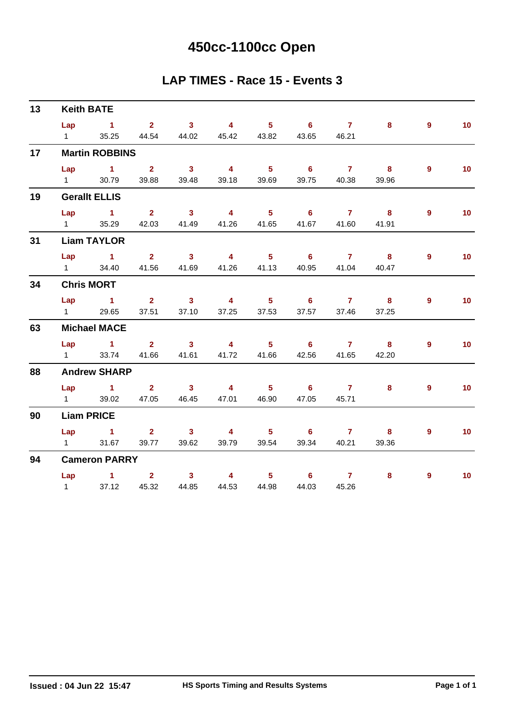# **450cc-1100cc Open**

#### **LAP TIMES - Race 15 - Events 3**

| 13 |                        | <b>Keith BATE</b>     |                               |                         |                               |                            |                            |                |          |                |                 |
|----|------------------------|-----------------------|-------------------------------|-------------------------|-------------------------------|----------------------------|----------------------------|----------------|----------|----------------|-----------------|
|    |                        | Lap 1                 | $2 \t 3 \t 4$                 |                         |                               |                            | $5 \t 6 \t 7$              |                | $\bf{8}$ | $9^{\circ}$    | 10 <sub>1</sub> |
|    | $1 \quad \Box$         | 35.25                 |                               |                         | 44.54 44.02 45.42 43.82 43.65 |                            |                            | 46.21          |          |                |                 |
| 17 |                        | <b>Martin ROBBINS</b> |                               |                         |                               |                            |                            |                |          |                |                 |
|    |                        | $Lap$ 1 2             |                               | $\overline{\mathbf{3}}$ | $\overline{4}$                | $\overline{\phantom{0}}$ 5 | $\overline{\phantom{a}}$ 6 | 7 8            |          | $9^{\circ}$    | 10 <sub>1</sub> |
|    |                        | 1 30.79               | 39.88                         | 39.48                   | 39.18                         | 39.69                      | 39.75                      | 40.38          | 39.96    |                |                 |
| 19 |                        | <b>Gerallt ELLIS</b>  |                               |                         |                               |                            |                            |                |          |                |                 |
|    | Lap                    | $\sim$ $\sim$ 1       | $\overline{2}$ $\overline{3}$ |                         | 4 5 6 7 8                     |                            |                            |                |          | $\overline{9}$ | 10              |
|    |                        | 1 35.29 42.03 41.49   |                               |                         | 41.26                         |                            | 41.65 41.67                | 41.60          | 41.91    |                |                 |
| 31 |                        | <b>Liam TAYLOR</b>    |                               |                         |                               |                            |                            |                |          |                |                 |
|    |                        | $Lap$ $1$ $2$         |                               | $3 \t 4$                |                               |                            | $5^{\circ}$ 6              | $7 \t 8$       |          | 9              | 10              |
|    |                        | 1 34.40 41.56 41.69   |                               |                         | 41.26                         | 41.13                      | 40.95                      | 41.04          | 40.47    |                |                 |
| 34 |                        | <b>Chris MORT</b>     |                               |                         |                               |                            |                            |                |          |                |                 |
|    |                        | $Lap$ 1               | $2 \t 3$                      |                         |                               |                            | 4 5 6 7 8                  |                |          | 9              | 10 <sub>1</sub> |
|    | $1 \quad \blacksquare$ | 29.65                 | 37.51                         | 37.10                   | 37.25                         | 37.53                      | 37.57                      | 37.46          | 37.25    |                |                 |
| 63 |                        | <b>Michael MACE</b>   |                               |                         |                               |                            |                            |                |          |                |                 |
|    |                        | Lap 1 2 3 4 5 6 7 8   |                               |                         |                               |                            |                            |                |          | $9^{\circ}$    | 10 <sub>1</sub> |
|    | $1 \qquad \qquad$      | 33.74                 |                               | 41.66 41.61             |                               |                            | 41.72 41.66 42.56          | 41.65          | 42.20    |                |                 |
| 88 |                        | <b>Andrew SHARP</b>   |                               |                         |                               |                            |                            |                |          |                |                 |
|    |                        | $Lap$ $1$ $2$         |                               | $\sim$ 3                | $4 \qquad 5$                  |                            | $\overline{\phantom{a}}$ 6 | $\overline{7}$ | 8        | $\overline{9}$ | 10 <sub>1</sub> |
|    | $1 \quad \Box$         |                       | 39.02 47.05 46.45             |                         |                               | 47.01 46.90                | 47.05                      | 45.71          |          |                |                 |
| 90 |                        | <b>Liam PRICE</b>     |                               |                         |                               |                            |                            |                |          |                |                 |
|    |                        | Lap 1 2 3 4 5 6 7 8   |                               |                         |                               |                            |                            |                |          | 9              | 10              |
|    | $1 \quad \Box$         | 31.67                 |                               | 39.77 39.62             | 39.79                         | 39.54                      | 39.34                      | 40.21          | 39.36    |                |                 |
| 94 |                        | <b>Cameron PARRY</b>  |                               |                         |                               |                            |                            |                |          |                |                 |
|    |                        | Lap $1$ 2             |                               | $\overline{\mathbf{3}}$ | $\sim$ 4                      |                            | $5^{\circ}$ 6              | $\overline{7}$ | 8        | $\overline{9}$ | 10 <sup>°</sup> |
|    | $1 \quad$              | 37.12                 | 45.32                         | 44.85                   | 44.53                         | 44.98                      | 44.03                      | 45.26          |          |                |                 |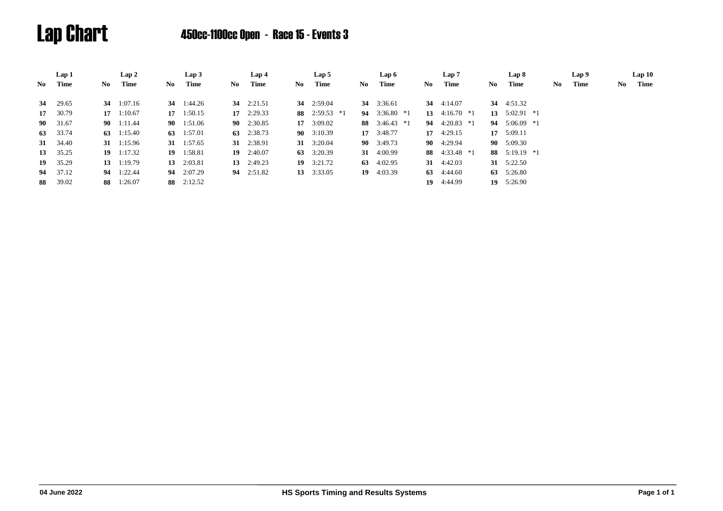

# Lap Chart 450cc-1100cc Open - Race 15 - Events 3

|      | Lap 1        |    | Lap 2              |      | Lap3               |      | Lap 4              |     | Lap 5              |      | Lap 6              |     | Lap 7           |     | Lap 8              |     | Lap 9 |     | Lap10 |
|------|--------------|----|--------------------|------|--------------------|------|--------------------|-----|--------------------|------|--------------------|-----|-----------------|-----|--------------------|-----|-------|-----|-------|
| No   | Time         | No | Time               | No . | Time               | No - | Time               | No. | Time               | No.  | Time               | No. | Time            | No. | Time               | No. | Time  | No. | Time  |
|      |              |    |                    |      |                    |      |                    |     |                    |      |                    |     |                 |     |                    |     |       |     |       |
|      | 34 29.65     |    | 34 $1:07.16$       |      | 34 1:44.26         |      | 34 $2:21.51$       |     | <b>34</b> 2:59.04  |      | 34 3:36.61         |     | 34 $4:14.07$    |     | 34 4:51.32         |     |       |     |       |
| 17   | 30.79        |    | $17 \quad 1:10.67$ |      | $17 \quad 1:50.15$ |      | $17 \quad 2:29.33$ |     | 88 2:59.53 $*1$    | 94   | $3:36.80*1$        |     | 13 $4:16.70$ *1 |     | 13 $5:02.91$ *1    |     |       |     |       |
| 90 — | 31.67        |    | 90 1:11.44         |      | 90 1:51.06         |      | 90 2:30.85         |     | 17 3:09.02         |      | 88 $3:46.43*1$     |     | 94 $4:20.83$ *1 |     | 94 $5:06.09$ *1    |     |       |     |       |
| 63   | 33.74        |    | 63 $1:15.40$       |      | 63 $1:57.01$       |      | 63 2:38.73         |     | $90 \quad 3:10.39$ |      | $17 \quad 3:48.77$ |     | 17 $4:29.15$    |     | $17 \quad 5:09.11$ |     |       |     |       |
|      | 31 34.40     |    | 31 $1:15.96$       |      | 31 $1:57.65$       |      | 31 2:38.91         |     | 31 3:20.04         |      | 90 3:49.73         |     | 90 4:29.94      |     | 90 5:09.30         |     |       |     |       |
|      | 13 35.25     |    | $19 \quad 1:17.32$ |      | 19 1:58.81         |      | $19 \quad 2:40.07$ |     | 63 $3:20.39$       |      | 31 $4:00.99$       |     | 88 4:33.48 *1   |     | 88 $5:19.19$ *1    |     |       |     |       |
|      | $19 \t35.29$ |    | $13 \quad 1:19.79$ |      | 13 $2:03.81$       |      | 13 $2:49.23$       |     | $19 \quad 3:21.72$ |      | 63 $4:02.95$       |     | 31 $4:42.03$    |     | 31 $5:22.50$       |     |       |     |       |
| 94   | 37.12        |    | 94 1:22.44         |      | 94 2:07.29         |      | 94 $2:51.82$       |     | 13 3:33.05         | - 19 | 4:03.39            | 63  | 4:44.60         | 63  | 5:26.80            |     |       |     |       |
| 88   | 39.02        |    | 88 1:26.07         |      | 88 2:12.52         |      |                    |     |                    |      |                    | 19  | 4:44.99         |     | 19 5:26.90         |     |       |     |       |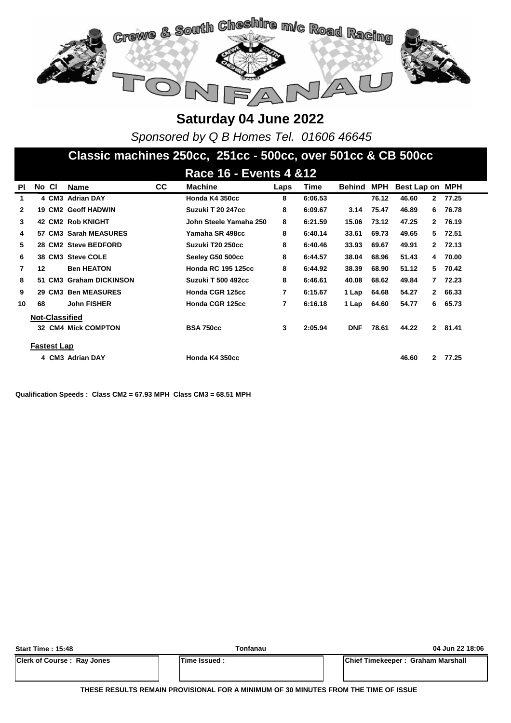

*Sponsored by Q B Homes Tel. 01606 46645*

#### **Classic machines 250cc, 251cc - 500cc, over 501cc & CB 500cc**

|              |       |                    |                            |           | <b>Race 16 - Events 4 &amp; 12</b> |      |         |            |            |             |              |       |
|--------------|-------|--------------------|----------------------------|-----------|------------------------------------|------|---------|------------|------------|-------------|--------------|-------|
| <b>PI</b>    | No CI |                    | <b>Name</b>                | <b>CC</b> | <b>Machine</b>                     | Laps | Time    | Behind     | <b>MPH</b> | Best Lap on |              | MPH   |
| 1            |       |                    | 4 CM3 Adrian DAY           |           | Honda K4 350cc                     | 8    | 6:06.53 |            | 76.12      | 46.60       | $\mathbf{2}$ | 77.25 |
| $\mathbf{2}$ |       |                    | <b>19 CM2 Geoff HADWIN</b> |           | Suzuki T 20 247cc                  | 8    | 6:09.67 | 3.14       | 75.47      | 46.89       | 6.           | 76.78 |
| 3            |       |                    | <b>42 CM2 Rob KNIGHT</b>   |           | John Steele Yamaha 250             | 8    | 6:21.59 | 15.06      | 73.12      | 47.25       | $\mathbf{2}$ | 76.19 |
| 4            |       |                    | 57 CM3 Sarah MEASURES      |           | Yamaha SR 498cc                    | 8    | 6:40.14 | 33.61      | 69.73      | 49.65       | 5.           | 72.51 |
| 5            |       |                    | 28 CM2 Steve BEDFORD       |           | Suzuki T20 250cc                   | 8    | 6:40.46 | 33.93      | 69.67      | 49.91       | $\mathbf{2}$ | 72.13 |
| 6            |       |                    | 38 CM3 Steve COLE          |           | Seeley G50 500cc                   | 8    | 6:44.57 | 38.04      | 68.96      | 51.43       | 4            | 70.00 |
| 7            | 12    |                    | <b>Ben HEATON</b>          |           | <b>Honda RC 195 125cc</b>          | 8    | 6:44.92 | 38.39      | 68.90      | 51.12       | 5            | 70.42 |
| 8            |       |                    | 51 CM3 Graham DICKINSON    |           | <b>Suzuki T 500 492cc</b>          | 8    | 6:46.61 | 40.08      | 68.62      | 49.84       | 7            | 72.23 |
| 9            |       |                    | 29 CM3 Ben MEASURES        |           | Honda CGR 125cc                    | 7    | 6:15.67 | 1 Lap      | 64.68      | 54.27       | $\mathbf{2}$ | 66.33 |
| 10           | 68    |                    | <b>John FISHER</b>         |           | Honda CGR 125cc                    | 7    | 6:16.18 | 1 Lap      | 64.60      | 54.77       | 6            | 65.73 |
|              |       |                    | <b>Not-Classified</b>      |           |                                    |      |         |            |            |             |              |       |
|              |       |                    | <b>32 CM4 Mick COMPTON</b> |           | <b>BSA 750cc</b>                   | 3    | 2:05.94 | <b>DNF</b> | 78.61      | 44.22       | $\mathbf{2}$ | 81.41 |
|              |       | <b>Fastest Lap</b> |                            |           |                                    |      |         |            |            |             |              |       |
|              |       |                    | 4 CM3 Adrian DAY           |           | Honda K4 350cc                     |      |         |            |            | 46.60       | 2            | 77.25 |

**Qualification Speeds : Class CM2 = 67.93 MPH Class CM3 = 68.51 MPH** 

| Start Time: 15:48                 | Tonfanau      | 04 Jun 22 18:06                   |
|-----------------------------------|---------------|-----------------------------------|
| <b>Clerk of Course: Ray Jones</b> | lTime Issued: | Chief Timekeeper: Graham Marshall |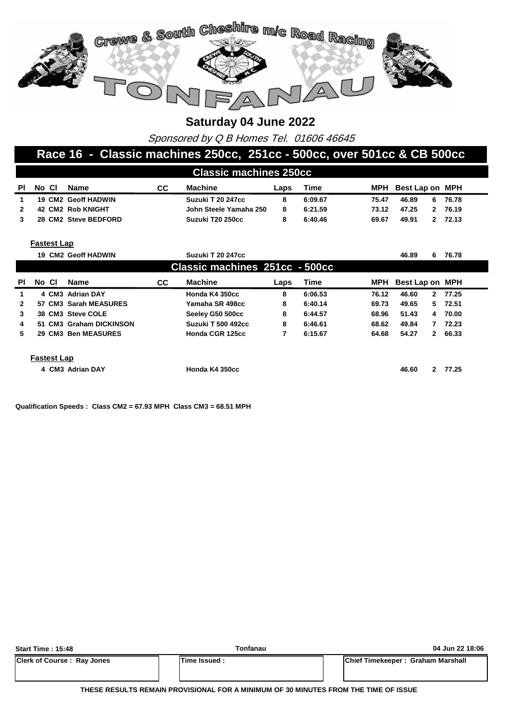

Sponsored by Q B Homes Tel. 01606 46645

#### **Race 16 - Classic machines 250cc, 251cc - 500cc, over 501cc & CB 500cc**

|    | <b>Classic machines 250cc</b> |  |                      |    |                        |      |         |       |                     |    |         |  |  |
|----|-------------------------------|--|----------------------|----|------------------------|------|---------|-------|---------------------|----|---------|--|--|
| ΡI | No Cl                         |  | Name                 | СC | Machine                | Laps | Time    |       | MPH Best Lap on MPH |    |         |  |  |
|    |                               |  | 19 CM2 Geoff HADWIN  |    | Suzuki T 20 247cc      |      | 6:09.67 | 75.47 | 46.89               | 6. | 76.78   |  |  |
|    |                               |  | 42 CM2 Rob KNIGHT    |    | John Steele Yamaha 250 | 8    | 6:21.59 | 73.12 | 47.25               |    | 2 76.19 |  |  |
|    |                               |  | 28 CM2 Steve BEDFORD |    | Suzuki T20 250cc       |      | 6:40.46 | 69.67 | 49.91               |    | 2 72.13 |  |  |

#### **Fastest Lap**

|              |                    | <b>19 CM2 Geoff HADWIN</b> |           | Suzuki T 20 247cc              |      |             |       | 46.89           | 6            | 76.78   |
|--------------|--------------------|----------------------------|-----------|--------------------------------|------|-------------|-------|-----------------|--------------|---------|
|              |                    |                            |           | Classic machines 251cc - 500cc |      |             |       |                 |              |         |
| PI.          | No Cl              | <b>Name</b>                | <b>CC</b> | <b>Machine</b>                 | Laps | <b>Time</b> | MPH   | Best Lap on MPH |              |         |
| 1.           |                    | 4 CM3 Adrian DAY           |           | Honda K4 350cc                 | 8    | 6:06.53     | 76.12 | 46.60           |              | 2 77.25 |
| $\mathbf{2}$ |                    | 57 CM3 Sarah MEASURES      |           | Yamaha SR 498cc                | 8    | 6:40.14     | 69.73 | 49.65           |              | 5 72.51 |
| 3            |                    | 38 CM3 Steve COLE          |           | Seeley G50 500cc               | 8    | 6:44.57     | 68.96 | 51.43           |              | 4 70.00 |
| 4            |                    | 51 CM3 Graham DICKINSON    |           | <b>Suzuki T 500 492cc</b>      | 8    | 6:46.61     | 68.62 | 49.84           | 7            | 72.23   |
| 5.           |                    | 29 CM3 Ben MEASURES        |           | Honda CGR 125cc                | 7    | 6:15.67     | 64.68 | 54.27           |              | 2 66.33 |
|              | <b>Fastest Lap</b> |                            |           |                                |      |             |       |                 |              |         |
|              |                    | 4 CM3 Adrian DAY           |           | Honda K4 350cc                 |      |             |       | 46.60           | $\mathbf{2}$ | 77.25   |

**Qualification Speeds : Class CM2 = 67.93 MPH Class CM3 = 68.51 MPH** 

| Start Time: 15:48                 | Tonfanau            | 04 Jun 22 18:06                   |
|-----------------------------------|---------------------|-----------------------------------|
| <b>Clerk of Course: Ray Jones</b> | <b>Time Issued:</b> | Chief Timekeeper: Graham Marshall |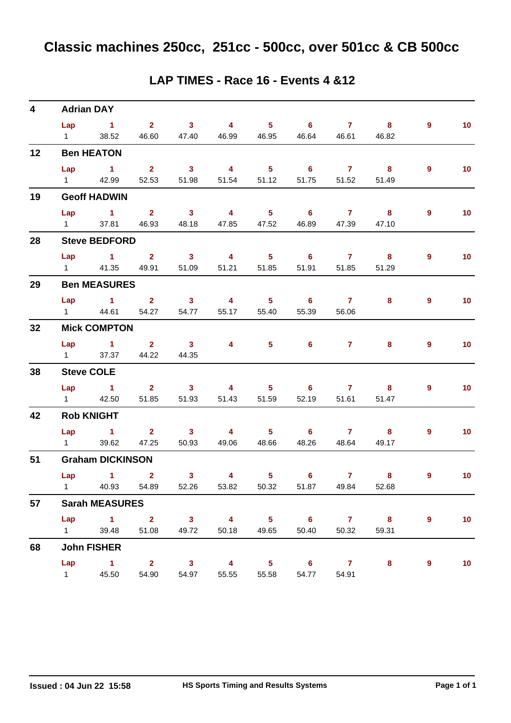| 4  |                               | <b>Adrian DAY</b>                                          |                                              |                                  |                                |                         |                                                 |                         |                                       |                |                 |
|----|-------------------------------|------------------------------------------------------------|----------------------------------------------|----------------------------------|--------------------------------|-------------------------|-------------------------------------------------|-------------------------|---------------------------------------|----------------|-----------------|
|    | Lap<br>$1 \quad \Box$         | $\sim$ 1<br>38.52                                          | $\overline{\mathbf{2}}$                      | $\sim$ 3<br>46.60 47.40          | $\overline{4}$<br>46.99        | $5 -$                   | $\overline{\phantom{0}}$ 6<br>46.95 46.64       | $\overline{7}$<br>46.61 | $\overline{\phantom{a}}$ 8<br>46.82   | $\overline{9}$ | 10 <sub>1</sub> |
| 12 |                               | <b>Ben HEATON</b>                                          |                                              |                                  |                                |                         |                                                 |                         |                                       |                |                 |
|    | $1 \quad \Box$                | $Lap$ 1<br>42.99                                           | $\overline{\mathbf{2}}$<br>52.53             | $\overline{\mathbf{3}}$<br>51.98 | $\overline{4}$<br>51.54        | 5 <sub>5</sub><br>51.12 | $\overline{\phantom{0}}$ 6<br>51.75             | $\overline{7}$<br>51.52 | $\overline{\mathbf{8}}$<br>51.49      | 9              | 10 <sup>°</sup> |
| 19 |                               | <b>Geoff HADWIN</b>                                        |                                              |                                  |                                |                         |                                                 |                         |                                       |                |                 |
|    | Lap<br>$1 \quad \blacksquare$ | $\sim$ 1                                                   | $\overline{\mathbf{2}}$<br>37.81 46.93 48.18 | $\sim$ 3                         | $\overline{4}$<br>47.85        | $5 -$                   | $\overline{\phantom{0}}$ 6<br>47.52 46.89 47.39 | $\sim$ 7                | $\overline{\phantom{a}}$ 8<br>47.10   | 9              | 10 <sub>1</sub> |
| 28 |                               | <b>Steve BEDFORD</b>                                       |                                              |                                  |                                |                         |                                                 |                         |                                       |                |                 |
|    |                               | $Lap$ 1 2<br>1 41.35                                       | 49.91                                        | $\overline{\mathbf{3}}$<br>51.09 | $\overline{4}$<br>51.21        | 5 <sub>5</sub><br>51.85 | $\overline{\phantom{0}}$ 6<br>51.91             | $\overline{7}$<br>51.85 | $\overline{\mathbf{8}}$<br>51.29      | 9              | 10 <sub>1</sub> |
| 29 |                               | <b>Ben MEASURES</b>                                        |                                              |                                  |                                |                         |                                                 |                         |                                       |                |                 |
|    |                               | Lap 1 2 3<br>1 44.61                                       | 54.27                                        | 54.77                            | $\overline{4}$<br>55.17        | $5 -$<br>55.40          | $\overline{\phantom{a}}$ 6<br>55.39             | $\overline{7}$<br>56.06 | 8                                     | 9              | 10 <sub>1</sub> |
| 32 |                               | <b>Mick COMPTON</b>                                        |                                              |                                  |                                |                         |                                                 |                         |                                       |                |                 |
|    | $1 \qquad \qquad$             | $Lap$ 1 2                                                  | 37.37 44.22                                  | $\sim$ 3<br>44.35                | $\overline{4}$                 |                         | $6^{\circ}$<br>$5^{\circ}$                      | $\overline{7}$          | 8                                     | 9              | 10 <sup>°</sup> |
| 38 |                               | <b>Steve COLE</b>                                          |                                              |                                  |                                |                         |                                                 |                         |                                       |                |                 |
|    | Lap                           | $\sim$ 1<br>1 42.50                                        | $2 \t 3$<br>51.85                            | 51.93                            | $\overline{4}$<br>51.43        | 51.59                   | $5 \t\t 6$<br>52.19                             | $7$ 8<br>51.61          | 51.47                                 | 9              | 10 <sub>1</sub> |
| 42 |                               | <b>Rob KNIGHT</b>                                          |                                              |                                  |                                |                         |                                                 |                         |                                       |                |                 |
|    | $1 \quad \blacksquare$        | $Lap$ 1<br>39.62                                           | $\overline{2}$ $\overline{3}$<br>47.25       | 50.93                            | $\overline{4}$<br>49.06        | $5 -$<br>48.66          | 48.26                                           | 67<br>48.64             | $\overline{\mathbf{8}}$<br>49.17      | $\overline{9}$ | 10 <sub>1</sub> |
| 51 |                               | <b>Graham DICKINSON</b>                                    |                                              |                                  |                                |                         |                                                 |                         |                                       |                |                 |
|    |                               | Lap 1<br>1 40.93 54.89 52.26 53.82 50.32 51.87 49.84 52.68 | $\mathbf{2}$                                 | $\mathbf{3}$                     | 4                              | 5 <sub>1</sub>          | $6^{\circ}$                                     |                         | $7 \quad \overline{\phantom{1}}$<br>8 | 9              | 10              |
| 57 |                               | <b>Sarah MEASURES</b>                                      |                                              |                                  |                                |                         |                                                 |                         |                                       |                |                 |
|    |                               | Lap $1$ 2<br>1 39.48                                       | 51.08                                        | 49.72                            | $3 \qquad 4 \qquad 5$<br>50.18 | 49.65                   | $\overline{\phantom{a}}$ 6<br>50.40             | 7 8<br>50.32            | 59.31                                 | 9              | 10 <sub>1</sub> |
| 68 |                               | <b>John FISHER</b>                                         |                                              |                                  |                                |                         |                                                 |                         |                                       |                |                 |
|    | $1 \quad \blacksquare$        | Lap 1 2 3 4<br>45.50                                       | 54.90                                        | 54.97                            | 55.55                          | 55.58                   | 5 6 7<br>54.77                                  | 54.91                   | 8                                     | 9              | 10              |

#### **LAP TIMES - Race 16 - Events 4 &12**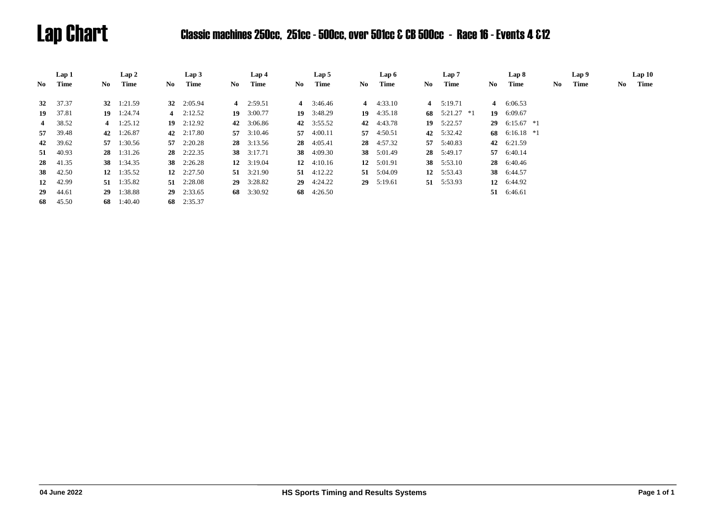# Lap Chart Classic machines 250cc, 251cc - 500cc, over 501cc & CB 500cc - Race 16 - Events 4 &12

|      | Lap 1    |      | Lap2               |    | Lap3         |    | Lap 4              |    | Lap 5              |     | Lap 6              |    | Lap 7              |     | Lap 8           |    | Lap 9 |     | Lap10 |
|------|----------|------|--------------------|----|--------------|----|--------------------|----|--------------------|-----|--------------------|----|--------------------|-----|-----------------|----|-------|-----|-------|
| No - | Time     | No - | Time               | No | Time         | No | Time               | No | Time               | No. | Time               | No | Time               | No. | Time            | No | Time  | No. | Time  |
| 32   | 37.37    |      | 32 $1:21.59$       |    | 32 $2:05.94$ |    | 4 $2:59.51$        |    | 4 $3:46.46$        |     | 4 $4:33.10$        |    | 4 $5:19.71$        |     | 4 $6:06.53$     |    |       |     |       |
| 19   | 37.81    |      | $19 \quad 1:24.74$ |    | 4 $2:12.52$  |    | $19 \quad 3:00.77$ |    | $19 \quad 3:48.29$ |     | 19 $4:35.18$       |    | 68 $5:21.27$ *1    | 19  | 6:09.67         |    |       |     |       |
|      | 4 38.52  |      | 4 $1:25.12$        |    | 19 $2:12.92$ |    | 42 3:06.86         |    | 42 3:55.52         |     | 42 4:43.78         |    | $19 \quad 5:22.57$ |     | 29 $6:15.67$ *1 |    |       |     |       |
|      | 57 39.48 |      | 42 1:26.87         |    | 42 $2:17.80$ |    | 57 3:10.46         |    | 57 4:00.11         |     | 57 4:50.51         |    | 42 5:32.42         |     | 68 6:16.18 $*1$ |    |       |     |       |
| 42   | 39.62    |      | 57 1:30.56         |    | 57 $2:20.28$ |    | $28 \quad 3:13.56$ |    | 28 4:05.41         |     | 28 4:57.32         |    | 57 5:40.83         |     | 42 6:21.59      |    |       |     |       |
|      | 51 40.93 |      | 28 1:31.26         |    | $28$ 2:22.35 |    | 38 3:17.71         |    | 38 4:09.30         |     | 38 5:01.49         |    | 28 5:49.17         |     | 57 6:40.14      |    |       |     |       |
|      | 28 41.35 |      | 38 1:34.35         |    | 38 2:26.28   |    | 12 $3:19.04$       |    | 12 $4:10.16$       |     | 12 5:01.91         |    | 38 5:53.10         |     | 28 6:40.46      |    |       |     |       |
| 38   | 42.50    |      | 12 $1:35.52$       |    | 12 $2:27.50$ |    | 51 3:21.90         |    | 51 $4:12.22$       |     | 51 5:04.09         |    | 12 $5:53.43$       |     | 38 6:44.57      |    |       |     |       |
|      | 12 42.99 |      | $51 \quad 1:35.82$ |    | 51 $2:28.08$ |    | $29 \quad 3:28.82$ |    | $29 \quad 4:24.22$ |     | $29 \quad 5:19.61$ |    | 51 5:53.93         |     | 12 6:44.92      |    |       |     |       |
| 29   | 44.61    |      | 29 1:38.88         |    | 29 2:33.65   |    | 68 3:30.92         |    | 68 4:26.50         |     |                    |    |                    |     | 51 6:46.61      |    |       |     |       |
|      | 68 45.50 |      | 68 1:40.40         |    | 68 2:35.37   |    |                    |    |                    |     |                    |    |                    |     |                 |    |       |     |       |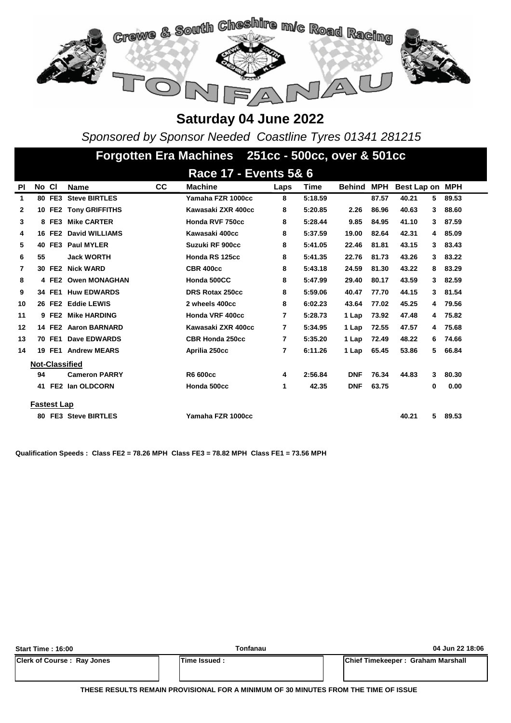

*Sponsored by Sponsor Needed Coastline Tyres 01341 281215*

|              |       |                    |                        |           | Forgotten Era Machines 251cc - 500cc, over & 501cc |      |             |            |       |                 |   |       |
|--------------|-------|--------------------|------------------------|-----------|----------------------------------------------------|------|-------------|------------|-------|-----------------|---|-------|
|              |       |                    |                        |           | Race 17 - Events 5& 6                              |      |             |            |       |                 |   |       |
| <b>PI</b>    | No Cl |                    | <b>Name</b>            | <b>CC</b> | <b>Machine</b>                                     | Laps | <b>Time</b> | Behind     | MPH   | Best Lap on MPH |   |       |
| 1            |       | 80 FE3             | <b>Steve BIRTLES</b>   |           | Yamaha FZR 1000cc                                  | 8    | 5:18.59     |            | 87.57 | 40.21           | 5 | 89.53 |
| $\mathbf{2}$ |       |                    | 10 FE2 Tony GRIFFITHS  |           | Kawasaki ZXR 400cc                                 | 8    | 5:20.85     | 2.26       | 86.96 | 40.63           | 3 | 88.60 |
| 3            |       | 8 FE3              | <b>Mike CARTER</b>     |           | Honda RVF 750cc                                    | 8    | 5:28.44     | 9.85       | 84.95 | 41.10           | 3 | 87.59 |
| 4            |       | 16 FE2             | <b>David WILLIAMS</b>  |           | Kawasaki 400cc                                     | 8    | 5:37.59     | 19.00      | 82.64 | 42.31           | 4 | 85.09 |
| 5            | 40    | FE3                | <b>Paul MYLER</b>      |           | Suzuki RF 900cc                                    | 8    | 5:41.05     | 22.46      | 81.81 | 43.15           | 3 | 83.43 |
| 6            | 55    |                    | <b>Jack WORTH</b>      |           | Honda RS 125cc                                     | 8    | 5:41.35     | 22.76      | 81.73 | 43.26           | 3 | 83.22 |
| 7            |       | 30 FE2             | <b>Nick WARD</b>       |           | <b>CBR 400cc</b>                                   | 8    | 5:43.18     | 24.59      | 81.30 | 43.22           | 8 | 83.29 |
| 8            |       | 4 FE2              | <b>Owen MONAGHAN</b>   |           | Honda 500CC                                        | 8    | 5:47.99     | 29.40      | 80.17 | 43.59           | 3 | 82.59 |
| 9            |       | 34 FE1             | <b>Huw EDWARDS</b>     |           | DRS Rotax 250cc                                    | 8    | 5:59.06     | 40.47      | 77.70 | 44.15           | 3 | 81.54 |
| 10           |       |                    | 26 FE2 Eddie LEWIS     |           | 2 wheels 400cc                                     | 8    | 6:02.23     | 43.64      | 77.02 | 45.25           | 4 | 79.56 |
| 11           |       | 9 FE2              | <b>Mike HARDING</b>    |           | Honda VRF 400cc                                    | 7    | 5:28.73     | 1 Lap      | 73.92 | 47.48           | 4 | 75.82 |
| 12           |       |                    | 14 FE2 Aaron BARNARD   |           | Kawasaki ZXR 400cc                                 | 7    | 5:34.95     | 1 Lap      | 72.55 | 47.57           | 4 | 75.68 |
| 13           |       | 70 FE1             | Dave EDWARDS           |           | <b>CBR Honda 250cc</b>                             | 7    | 5:35.20     | 1 Lap      | 72.49 | 48.22           | 6 | 74.66 |
| 14           |       | 19 FE1             | <b>Andrew MEARS</b>    |           | Aprilia 250cc                                      | 7    | 6:11.26     | 1 Lap      | 65.45 | 53.86           | 5 | 66.84 |
|              |       |                    | <b>Not-Classified</b>  |           |                                                    |      |             |            |       |                 |   |       |
|              | 94    |                    | <b>Cameron PARRY</b>   |           | R6 600cc                                           | 4    | 2:56.84     | <b>DNF</b> | 76.34 | 44.83           | 3 | 80.30 |
|              | 41    |                    | <b>FE2 Ian OLDCORN</b> |           | Honda 500cc                                        | 1    | 42.35       | <b>DNF</b> | 63.75 |                 | 0 | 0.00  |
|              |       | <b>Fastest Lap</b> |                        |           |                                                    |      |             |            |       |                 |   |       |
|              |       |                    | 80 FE3 Steve BIRTLES   |           | Yamaha FZR 1000cc                                  |      |             |            |       | 40.21           | 5 | 89.53 |

**Qualification Speeds : Class FE2 = 78.26 MPH Class FE3 = 78.82 MPH Class FE1 = 73.56 MPH** 

| Start Time: 16:00                 | Tonfanau            | 04 Jun 22 18:06                           |
|-----------------------------------|---------------------|-------------------------------------------|
| <b>Clerk of Course: Ray Jones</b> | <b>Time Issued:</b> | <b>IChief Timekeeper: Graham Marshall</b> |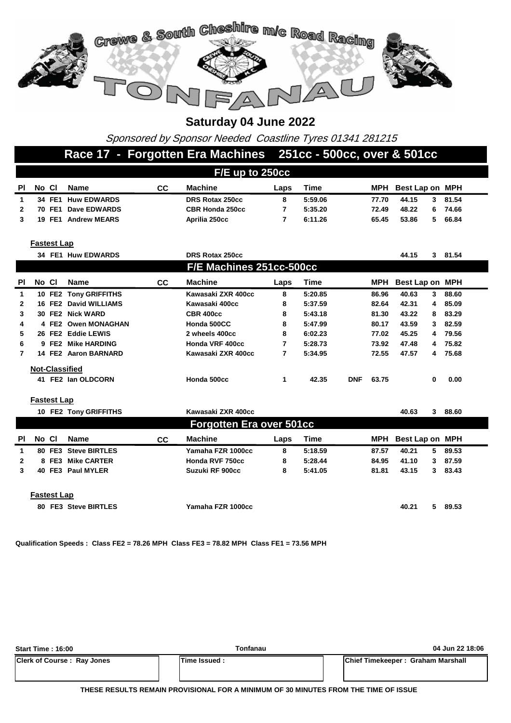

Sponsored by Sponsor Needed Coastline Tyres 01341 281215

### **Race 17 - Forgotten Era Machines 251cc - 500cc, over & 501cc**

|     | $F/E$ up to 250cc |        |                     |    |                        |      |         |       |                 |    |       |
|-----|-------------------|--------|---------------------|----|------------------------|------|---------|-------|-----------------|----|-------|
| PI. | No Cl             |        | Name                | СC | <b>Machine</b>         | Laps | Time    | MPH   | Best Lap on MPH |    |       |
|     |                   |        | 34 FE1 Huw EDWARDS  |    | <b>DRS Rotax 250cc</b> | 8    | 5:59.06 | 77.70 | 44.15           |    | 81.54 |
|     | 70.               | FE1    | <b>Dave EDWARDS</b> |    | <b>CBR Honda 250cc</b> |      | 5:35.20 | 72.49 | 48.22           | 6. | 74.66 |
|     |                   | 19 FE1 | <b>Andrew MEARS</b> |    | Aprilia 250cc          |      | 6:11.26 | 65.45 | 53.86           |    | 66.84 |
|     |                   |        |                     |    |                        |      |         |       |                 |    |       |

**Fastest Lap**

|              |       |       | 34 FE1 Huw EDWARDS    |           | DRS Rotax 250cc<br>44.15<br>3. |      |         |            |       |                 |   | 81.54 |
|--------------|-------|-------|-----------------------|-----------|--------------------------------|------|---------|------------|-------|-----------------|---|-------|
|              |       |       |                       |           | F/E Machines 251cc-500cc       |      |         |            |       |                 |   |       |
| <b>PI</b>    | No CI |       | Name                  | <b>CC</b> | <b>Machine</b>                 | Laps | Time    |            | MPH   | Best Lap on MPH |   |       |
| 1            |       |       | 10 FE2 Tony GRIFFITHS |           | Kawasaki ZXR 400cc             | 8    | 5:20.85 |            | 86.96 | 40.63           | 3 | 88.60 |
| $\mathbf{2}$ |       |       | 16 FE2 David WILLIAMS |           | Kawasaki 400cc                 | 8    | 5:37.59 |            | 82.64 | 42.31           | 4 | 85.09 |
| 3            |       |       | 30 FE2 Nick WARD      |           | <b>CBR 400cc</b>               | 8    | 5:43.18 |            | 81.30 | 43.22           | 8 | 83.29 |
| 4            |       |       | 4 FE2 Owen MONAGHAN   |           | Honda 500CC                    | 8    | 5:47.99 |            | 80.17 | 43.59           | 3 | 82.59 |
| 5.           |       |       | 26 FE2 Eddie LEWIS    |           | 2 wheels 400cc                 | 8    | 6:02.23 |            | 77.02 | 45.25           | 4 | 79.56 |
| 6            |       | 9 FE2 | <b>Mike HARDING</b>   |           | Honda VRF 400cc                | 7    | 5:28.73 |            | 73.92 | 47.48           | 4 | 75.82 |
|              |       |       | 14 FE2 Aaron BARNARD  |           | Kawasaki ZXR 400cc             | 7    | 5:34.95 |            | 72.55 | 47.57           | 4 | 75.68 |
|              |       |       | <b>Not-Classified</b> |           |                                |      |         |            |       |                 |   |       |
|              |       |       | 41 FE2 Ian OLDCORN    |           | Honda 500cc                    | 1    | 42.35   | <b>DNF</b> | 63.75 |                 | 0 | 0.00  |

#### **Fastest Lap**

| 10 FE2 Tony GRIFFITHS<br>Kawasaki ZXR 400cc |       |                    |                        |           |                          |      |         |       | 40.63               | 3. | 88.60 |
|---------------------------------------------|-------|--------------------|------------------------|-----------|--------------------------|------|---------|-------|---------------------|----|-------|
|                                             |       |                    |                        |           | Forgotten Era over 501cc |      |         |       |                     |    |       |
| PI.                                         | No Cl |                    | <b>Name</b>            | <b>CC</b> | <b>Machine</b>           | Laps | Time    |       | MPH Best Lap on MPH |    |       |
| 1                                           |       |                    | 80 FE3 Steve BIRTLES   |           | Yamaha FZR 1000cc        | 8    | 5:18.59 | 87.57 | 40.21               | 5. | 89.53 |
| $\mathbf{2}$                                | 8     |                    | <b>FE3 Mike CARTER</b> |           | Honda RVF 750cc          | 8    | 5:28.44 | 84.95 | 41.10               | 3  | 87.59 |
| 3                                           |       |                    | 40 FE3 Paul MYLER      |           | Suzuki RF 900cc          | 8    | 5:41.05 | 81.81 | 43.15               | 3  | 83.43 |
|                                             |       | <b>Fastest Lap</b> |                        |           |                          |      |         |       |                     |    |       |
|                                             |       |                    | 80 FE3 Steve BIRTLES   |           | Yamaha FZR 1000cc        |      |         |       | 40.21               | 5. | 89.53 |

**Qualification Speeds : Class FE2 = 78.26 MPH Class FE3 = 78.82 MPH Class FE1 = 73.56 MPH** 

| <b>Start Time: 16:00</b>          | Tonfanau     | 04 Jun 22 18:06                   |
|-----------------------------------|--------------|-----------------------------------|
| <b>Clerk of Course: Ray Jones</b> | Time Issued: | Chief Timekeeper: Graham Marshall |

**THESE RESULTS REMAIN PROVISIONAL FOR A MINIMUM OF 30 MINUTES FROM THE TIME OF ISSUE**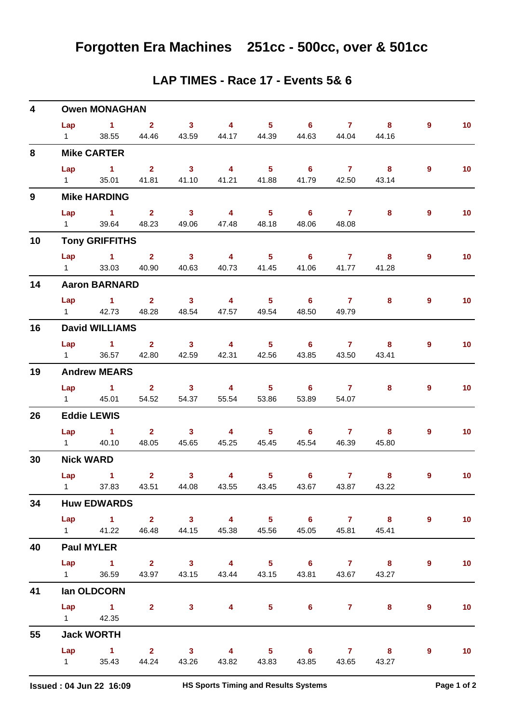| 4            |                        | <b>Owen MONAGHAN</b>                              |                         |                            |                         |                   |                            |                |                         |                |                   |
|--------------|------------------------|---------------------------------------------------|-------------------------|----------------------------|-------------------------|-------------------|----------------------------|----------------|-------------------------|----------------|-------------------|
|              | Lap                    | $\sim$ 1                                          | $\sim$ 2                | $\overline{\phantom{a}}$ 3 | $\overline{4}$          | 5 <sub>5</sub>    | $\overline{\phantom{0}}$ 6 | $\mathbf{7}$   | 8                       | 9              | 10 <sub>1</sub>   |
|              | $1 \quad \Box$         | 38.55                                             | 44.46                   | 43.59                      | 44.17                   | 44.39             | 44.63                      | 44.04          | 44.16                   |                |                   |
| 8            |                        | <b>Mike CARTER</b>                                |                         |                            |                         |                   |                            |                |                         |                |                   |
|              | Lap                    | $\sim$ 1                                          | $\overline{\mathbf{2}}$ | $\overline{\mathbf{3}}$    | $\overline{\mathbf{4}}$ | 5 <sub>1</sub>    | 6                          | $\overline{7}$ | $\overline{\mathbf{8}}$ | $\overline{9}$ | 10 <sub>1</sub>   |
|              | $1 \quad$              | 35.01                                             | 41.81                   | 41.10                      | 41.21                   | 41.88             | 41.79                      | 42.50          | 43.14                   |                |                   |
| $\mathbf{9}$ |                        | <b>Mike HARDING</b>                               |                         |                            |                         |                   |                            |                |                         |                |                   |
|              | Lap                    | $\sim$ 1                                          | $\mathbf{2}$            | $\overline{\mathbf{3}}$    | $\overline{\mathbf{4}}$ | 5 <sub>1</sub>    | 6                          | $\mathbf{7}$   | 8                       | 9              | 10 <sub>1</sub>   |
|              | $1 \quad \Box$         | 39.64                                             | 48.23                   | 49.06                      | 47.48                   | 48.18             | 48.06                      | 48.08          |                         |                |                   |
| 10           |                        | <b>Tony GRIFFITHS</b>                             |                         |                            |                         |                   |                            |                |                         |                |                   |
|              |                        | $Lap$ 1 2                                         |                         | $\overline{\mathbf{3}}$    | $\overline{4}$          | 5 <sub>1</sub>    | 6                          | $\overline{7}$ | 8                       | 9              | 10 <sub>1</sub>   |
|              | $1 \quad \blacksquare$ | 33.03                                             | 40.90                   | 40.63                      | 40.73                   | 41.45             | 41.06                      | 41.77          | 41.28                   |                |                   |
| 14           |                        | <b>Aaron BARNARD</b>                              |                         |                            |                         |                   |                            |                |                         |                |                   |
|              | Lap                    | $\sim$ $\sim$ 1                                   | $\sim$ 2                | $\overline{\mathbf{3}}$    | $\overline{4}$          | $5 -$             | $\overline{\phantom{0}}$ 6 | $\overline{7}$ | 8                       | 9              | 10 <sub>1</sub>   |
|              | $1 \quad \Box$         | 42.73                                             | 48.28                   | 48.54                      | 47.57                   | 49.54             | 48.50                      | 49.79          |                         |                |                   |
| 16           |                        | <b>David WILLIAMS</b>                             |                         |                            |                         |                   |                            |                |                         |                |                   |
|              | Lap                    | $\sim$ 1                                          | 2 <sup>7</sup>          | $\overline{\mathbf{3}}$    | $\overline{4}$          | 5 <sub>1</sub>    | $6^{\circ}$                | $\overline{7}$ | 8                       | 9              | 10 <sub>1</sub>   |
|              | $1 \quad$              | 36.57                                             | 42.80                   | 42.59                      | 42.31                   | 42.56             | 43.85                      | 43.50          | 43.41                   |                |                   |
| 19           |                        | <b>Andrew MEARS</b>                               |                         |                            |                         |                   |                            |                |                         |                |                   |
|              | Lap                    | $\sim$ 1                                          | $2^{\circ}$             | $\overline{\mathbf{3}}$    | $\overline{4}$          | $5 -$             | 6                          | $\mathbf{7}$   | 8                       | 9              | 10 <sub>1</sub>   |
|              | $1 \quad \Box$         | 45.01                                             | 54.52                   | 54.37                      | 55.54                   | 53.86             | 53.89                      | 54.07          |                         |                |                   |
| 26           |                        | <b>Eddie LEWIS</b>                                |                         |                            |                         |                   |                            |                |                         |                |                   |
|              |                        | Lap 1                                             | $\overline{\mathbf{2}}$ | $\overline{\mathbf{3}}$    | $\overline{4}$          | 5 <sub>5</sub>    | $\overline{\phantom{0}}$ 6 | $\overline{7}$ | 8                       | 9              | 10 <sub>1</sub>   |
|              | $1 \quad \blacksquare$ | 40.10                                             | 48.05                   | 45.65                      | 45.25                   | 45.45             | 45.54                      | 46.39          | 45.80                   |                |                   |
| 30           |                        | <b>Nick WARD</b>                                  |                         |                            |                         |                   |                            |                |                         |                |                   |
|              | Lap                    | $\sim$ $\sim$ 1                                   | $\mathbf{2}$            | $\mathbf{3}$               | $\overline{4}$          | 5 <sup>1</sup>    | $6^{\circ}$                | $\mathbf{7}$   | 8                       | 9              | 10 <sub>1</sub>   |
|              |                        | 1 37.83 43.51 44.08 43.55 43.45 43.67 43.87 43.22 |                         |                            |                         |                   |                            |                |                         |                |                   |
| 34           |                        | <b>Huw EDWARDS</b>                                |                         |                            |                         |                   |                            |                |                         |                |                   |
|              |                        | Lap 1 2 3 4 5 6 7 8                               |                         |                            |                         |                   |                            |                |                         | $9^{\circ}$    | 10                |
|              |                        | 1 41.22 46.48 44.15                               |                         |                            |                         | 45.38 45.56 45.05 |                            |                | 45.81 45.41             |                |                   |
| 40           |                        | <b>Paul MYLER</b>                                 |                         |                            |                         |                   |                            |                |                         |                |                   |
|              |                        | Lap 1 2 3 4 5 6 7 8                               |                         |                            |                         |                   |                            |                |                         | 9              | 10                |
|              |                        | 1 36.59 43.97 43.15 43.44 43.15 43.81             |                         |                            |                         |                   |                            |                | 43.67 43.27             |                |                   |
| 41           |                        | lan OLDCORN                                       |                         |                            |                         |                   |                            |                |                         |                |                   |
|              |                        | Lap 1 2 3 4 5 6 7 8                               |                         |                            |                         |                   |                            |                |                         | $\overline{9}$ | 10 <sub>1</sub>   |
|              |                        | 1 42.35                                           |                         |                            |                         |                   |                            |                |                         |                |                   |
| 55           |                        | <b>Jack WORTH</b>                                 |                         |                            |                         |                   |                            |                |                         |                |                   |
|              |                        | Lap 1 2 3 4 5 6 7 8                               |                         |                            |                         |                   |                            |                |                         | 9              | $\blacksquare$ 10 |
|              |                        | 1 35.43 44.24 43.26                               |                         |                            |                         | 43.82 43.83 43.85 |                            |                | 43.65 43.27             |                |                   |

#### **LAP TIMES - Race 17 - Events 5& 6**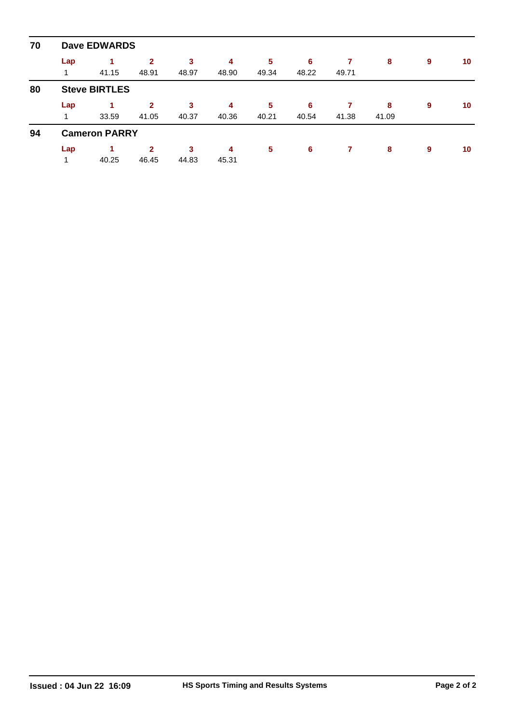| 70 | <b>Dave EDWARDS</b> |                      |              |       |       |       |       |       |       |   |    |  |  |  |  |
|----|---------------------|----------------------|--------------|-------|-------|-------|-------|-------|-------|---|----|--|--|--|--|
|    | Lap                 |                      | $\mathbf{2}$ | 3     | 4     | 5     | 6     | 7     | 8     | 9 | 10 |  |  |  |  |
|    |                     | 41.15                | 48.91        | 48.97 | 48.90 | 49.34 | 48.22 | 49.71 |       |   |    |  |  |  |  |
| 80 |                     | <b>Steve BIRTLES</b> |              |       |       |       |       |       |       |   |    |  |  |  |  |
|    | Lap                 |                      | $\mathbf{2}$ | 3     | 4     | 5     | 6     |       | 8     | 9 | 10 |  |  |  |  |
|    |                     | 33.59                | 41.05        | 40.37 | 40.36 | 40.21 | 40.54 | 41.38 | 41.09 |   |    |  |  |  |  |
| 94 |                     | <b>Cameron PARRY</b> |              |       |       |       |       |       |       |   |    |  |  |  |  |
|    | Lap                 |                      | $\mathbf{2}$ | 3     | 4     | 5     | 6     | 7     | 8     | 9 | 10 |  |  |  |  |
|    |                     | 40.25                | 46.45        | 44.83 | 45.31 |       |       |       |       |   |    |  |  |  |  |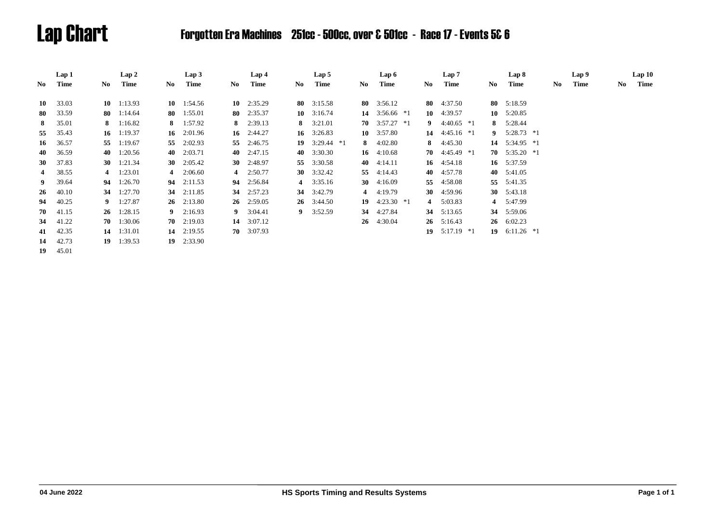# Lap Chart Forgotten Era Machines 251cc - 500cc, over & 501cc - Race 17 - Events 5& 6

|                | Lap 1    |     | Lap 2              |     | Lap3               |    | Lap 4              |     | Lap 5              |    | Lap 6                 |             |                | Lap 7              |                         | Lap 8              |     | Lap 9 |    | Lap10 |  |
|----------------|----------|-----|--------------------|-----|--------------------|----|--------------------|-----|--------------------|----|-----------------------|-------------|----------------|--------------------|-------------------------|--------------------|-----|-------|----|-------|--|
| No             | Time     | No. | Time               | No. | Time               | No | Time               | No. | Time               | No | Time                  |             | No.            | Time               | No.                     | Time               | No. | Time  | No | Time  |  |
|                |          |     |                    |     |                    |    |                    |     |                    |    |                       |             |                |                    |                         |                    |     |       |    |       |  |
| 10             | 33.03    |     | $10 \quad 1:13.93$ |     | 10 $1:54.56$       |    | 10 $2:35.29$       |     | 80 $3:15.58$       |    | 80 3:56.12            |             | 80             | 4:37.50            |                         | 80 $5:18.59$       |     |       |    |       |  |
| 80             | 33.59    |     | 80 $1:14.64$       |     | 80 1:55.01         |    | 80 $2:35.37$       |     | 10 $3:16.74$       |    | 14 $3:56.66$ *1       |             | 10             | 4:39.57            |                         | $10 \quad 5:20.85$ |     |       |    |       |  |
| 8              | 35.01    |     | 8 $1:16.82$        |     | 8 $1:57.92$        |    | 8 $2:39.13$        |     | 8 $3:21.01$        |    | $70 \quad 3:57.27$ *1 |             | 9              | $4:40.65$ *1       |                         | 8 5:28.44          |     |       |    |       |  |
| 55             | 35.43    |     | 16 $1:19.37$       |     | 16 $2:01.96$       |    | 16 $2:44.27$       |     | 16 $3:26.83$       |    | 10 $3:57.80$          |             | 14             | $4:45.16*1$        | $\overline{\mathbf{9}}$ | $5:28.73$ *1       |     |       |    |       |  |
| 16             | 36.57    |     | 55 1:19.67         | 55  | 2:02.93            |    | 55 2:46.75         |     | 19 $3:29.44$ *1    |    | 8 $4:02.80$           |             | 8              | 4:45.30            |                         | 14 5:34.95 *1      |     |       |    |       |  |
| 40             | 36.59    |     | 40 1:20.56         |     | 40 2:03.71         |    | 40 2:47.15         |     | 40 $3:30.30$       |    | 4:10.68<br>16         |             |                | 70 $4:45.49$ *1    |                         | 70 $5:35.20$ *1    |     |       |    |       |  |
| <b>30</b>      | 37.83    |     | 30 $1:21.34$       |     | 30 $2:05.42$       |    | 30 $2:48.97$       |     | 55 3:30.58         |    | 4:14.11<br>40         |             |                | 16 $4:54.18$       |                         | 16 5:37.59         |     |       |    |       |  |
| $\overline{4}$ | 38.55    |     | 4 $1:23.01$        |     | 4 $2:06.60$        |    | 4 $2:50.77$        |     | 30 $3:32.42$       | 55 | 4:14.43               |             | 40             | 4:57.78            |                         | 40 5:41.05         |     |       |    |       |  |
|                | 9 39.64  |     | 94 1:26.70         |     | $94 \quad 2:11.53$ |    | 94 2:56.84         |     | 4 $3:35.16$        |    | 4:16.09<br><b>30</b>  |             | 55             | 4:58.08            |                         | 55 5:41.35         |     |       |    |       |  |
| 26             | 40.10    |     | 34 1:27.70         |     | 34 2:11.85         |    | 34 2:57.23         |     | 34 3:42.79         | 4  | 4:19.79               |             | 30             | 4:59.96            |                         | 30 $5:43.18$       |     |       |    |       |  |
| 94             | 40.25    |     | 9 $1:27.87$        |     | $26 \quad 2:13.80$ |    | $26 \quad 2:59.05$ |     | $26 \quad 3:44.50$ |    | 19                    | $4:23.30*1$ | $\overline{4}$ | 5:03.83            |                         | 4 5:47.99          |     |       |    |       |  |
| 70             | 41.15    |     | $26 \quad 1:28.15$ |     | 9 $2:16.93$        |    | 9 $3:04.41$        |     | 9 $3:52.59$        |    | 4:27.84<br>34         |             | 34             | 5:13.65            | 34                      | 5:59.06            |     |       |    |       |  |
| 34             | 41.22    |     | $70 \quad 1:30.06$ |     | $70 \quad 2:19.03$ |    | 14 $3:07.12$       |     |                    |    | 4:30.04<br>26         |             |                | $26 \quad 5:16.43$ |                         | $26 \quad 6:02.23$ |     |       |    |       |  |
|                | 41 42.35 |     | $14 \quad 1:31.01$ |     | 14 $2:19.55$       |    | $70 \quad 3:07.93$ |     |                    |    |                       |             | 19             | 5:17.19 *1         |                         | 19 $6:11.26$ *1    |     |       |    |       |  |
| 14             | 42.73    |     | 19 $1:39.53$       |     | $19$ 2:33.90       |    |                    |     |                    |    |                       |             |                |                    |                         |                    |     |       |    |       |  |
| 19             | 45.01    |     |                    |     |                    |    |                    |     |                    |    |                       |             |                |                    |                         |                    |     |       |    |       |  |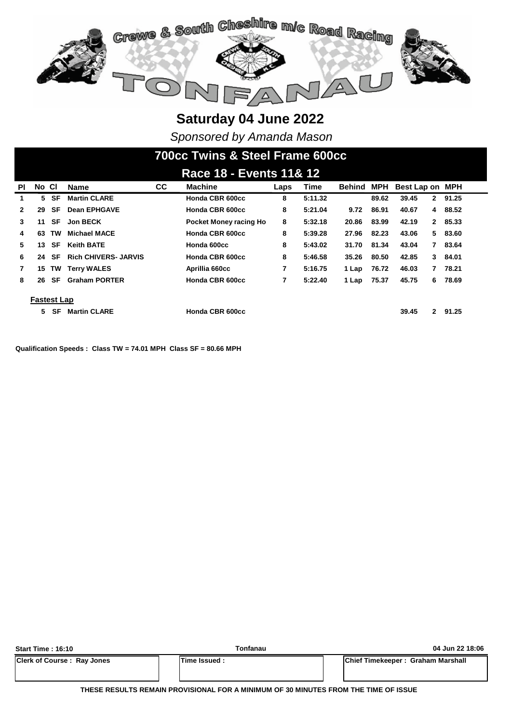

*Sponsored by Amanda Mason*

# **700cc Twins & Steel Frame 600cc**

|              | Race 18 - Events 11& 12 |           |                             |           |                        |      |         |        |       |                       |         |
|--------------|-------------------------|-----------|-----------------------------|-----------|------------------------|------|---------|--------|-------|-----------------------|---------|
| <b>PI</b>    | No Cl                   |           | <b>Name</b>                 | <b>CC</b> | <b>Machine</b>         | Laps | Time    | Behind | MPH   | Best Lap on MPH       |         |
| 1.           |                         | 5 SF      | <b>Martin CLARE</b>         |           | Honda CBR 600cc        | 8    | 5:11.32 |        | 89.62 | 39.45<br>$\mathbf{2}$ | 91.25   |
| $\mathbf{2}$ | 29                      | SF        | <b>Dean EPHGAVE</b>         |           | Honda CBR 600cc        | 8    | 5:21.04 | 9.72   | 86.91 | 40.67<br>4            | 88.52   |
| 3            | 11                      | SF        | <b>Jon BECK</b>             |           | Pocket Money racing Ho | 8    | 5:32.18 | 20.86  | 83.99 | 42.19                 | 2 85.33 |
| 4            | 63                      | TW        | <b>Michael MACE</b>         |           | Honda CBR 600cc        | 8    | 5:39.28 | 27.96  | 82.23 | 43.06<br>5            | 83.60   |
| 5.           | 13                      | SF        | <b>Keith BATE</b>           |           | Honda 600cc            | 8    | 5:43.02 | 31.70  | 81.34 | 43.04<br>7            | 83.64   |
| 6            | 24                      | <b>SF</b> | <b>Rich CHIVERS- JARVIS</b> |           | Honda CBR 600cc        | 8    | 5:46.58 | 35.26  | 80.50 | 42.85<br>3            | 84.01   |
| $\mathbf{7}$ | 15                      |           | <b>TW Terry WALES</b>       |           | Aprillia 660cc         | 7    | 5:16.75 | 1 Lap  | 76.72 | 46.03                 | 78.21   |
| 8            | 26                      | SF        | <b>Graham PORTER</b>        |           | Honda CBR 600cc        | 7    | 5:22.40 | 1 Lap  | 75.37 | 45.75<br>6            | 78.69   |
|              | <b>Fastest Lap</b>      |           |                             |           |                        |      |         |        |       |                       |         |
|              | 5                       | SF        | <b>Martin CLARE</b>         |           | Honda CBR 600cc        |      |         |        |       | 39.45<br>$\mathbf{2}$ | 91.25   |

**Qualification Speeds : Class TW = 74.01 MPH Class SF = 80.66 MPH** 

| <b>Start Time: 16:10</b>          | Tonfanau       | 04 Jun 22 18:06                   |
|-----------------------------------|----------------|-----------------------------------|
| <b>Clerk of Course: Ray Jones</b> | lTime Issued : | Chief Timekeeper: Graham Marshall |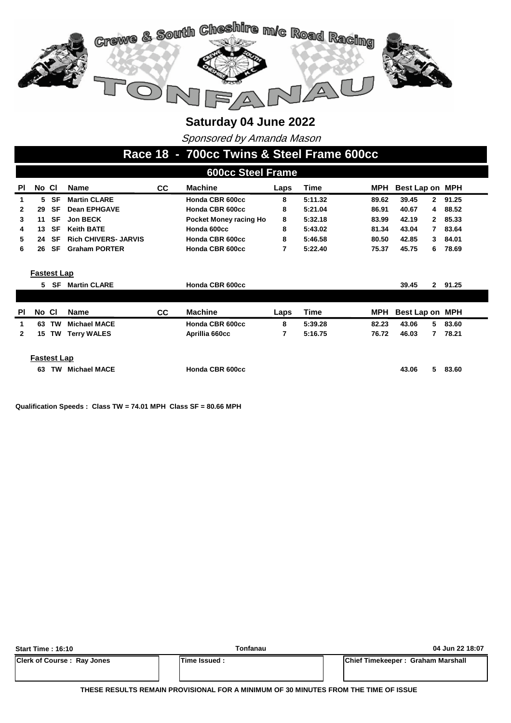

Sponsored by Amanda Mason

#### **Race 18 - 700cc Twins & Steel Frame 600cc**

| <b>600cc Steel Frame</b>                                                                |       |           |                             |                 |                        |         |             |                       |                    |                       |  |  |  |
|-----------------------------------------------------------------------------------------|-------|-----------|-----------------------------|-----------------|------------------------|---------|-------------|-----------------------|--------------------|-----------------------|--|--|--|
| <b>PI</b>                                                                               | No CI |           | <b>Name</b>                 | CC.             | <b>Machine</b>         | Time    | MPH         | Best Lap on MPH       |                    |                       |  |  |  |
| 1                                                                                       | 5     | SF        | <b>Martin CLARE</b>         | Honda CBR 600cc | 8                      | 5:11.32 | 89.62       | 39.45<br>$\mathbf{2}$ | 91.25              |                       |  |  |  |
| $\mathbf{2}$                                                                            | 29    | <b>SF</b> | <b>Dean EPHGAVE</b>         |                 | Honda CBR 600cc        | 8       | 5:21.04     | 86.91                 | 40.67<br>4         | 88.52                 |  |  |  |
| 3                                                                                       | 11    | <b>SF</b> | <b>Jon BECK</b>             |                 | Pocket Money racing Ho | 8       | 5:32.18     | 83.99                 | 42.19              | 85.33<br>2            |  |  |  |
| 4                                                                                       | 13    | SF        | <b>Keith BATE</b>           |                 | Honda 600cc            | 8       | 5:43.02     | 81.34                 | 43.04              | 83.64<br>7            |  |  |  |
| 5                                                                                       | 24    | <b>SF</b> | <b>Rich CHIVERS- JARVIS</b> |                 | Honda CBR 600cc        | 8       | 5:46.58     | 80.50                 | 42.85<br>3         | 84.01                 |  |  |  |
| 6                                                                                       | 26    | SF        | <b>Graham PORTER</b>        |                 | Honda CBR 600cc        | 7       | 5:22.40     | 75.37                 | 45.75<br>6         | 78.69                 |  |  |  |
| <b>Fastest Lap</b><br><b>SF</b><br>5.<br><b>Martin CLARE</b>                            |       |           |                             |                 | Honda CBR 600cc        |         |             |                       | 39.45              | $\mathbf{2}$<br>91.25 |  |  |  |
| <b>PI</b>                                                                               | No CI |           | <b>Name</b>                 | <b>CC</b>       | <b>Machine</b>         | Laps    | <b>Time</b> | MPH                   | <b>Best Lap on</b> | MPH                   |  |  |  |
| 1                                                                                       | 63    | <b>TW</b> | <b>Michael MACE</b>         |                 | Honda CBR 600cc        | 8       | 5:39.28     | 82.23                 | 5<br>43.06         | 83.60                 |  |  |  |
| $\mathbf{2}$                                                                            | 15    | TW        | <b>Terry WALES</b>          |                 | Aprillia 660cc         | 7       | 5:16.75     | 76.72                 | 46.03<br>7         | 78.21                 |  |  |  |
| <b>Fastest Lap</b><br>Honda CBR 600cc<br>TW<br><b>Michael MACE</b><br>5.<br>63<br>43.06 |       |           |                             |                 |                        |         |             |                       | 83.60              |                       |  |  |  |

**Qualification Speeds : Class TW = 74.01 MPH Class SF = 80.66 MPH** 

| <b>Start Time: 16:10</b>          | Tonfanau             |                                   | 04 Jun 22 18:07 |  |  |  |  |  |
|-----------------------------------|----------------------|-----------------------------------|-----------------|--|--|--|--|--|
| <b>Clerk of Course: Ray Jones</b> | <b>ITime Issued:</b> | Chief Timekeeper: Graham Marshall |                 |  |  |  |  |  |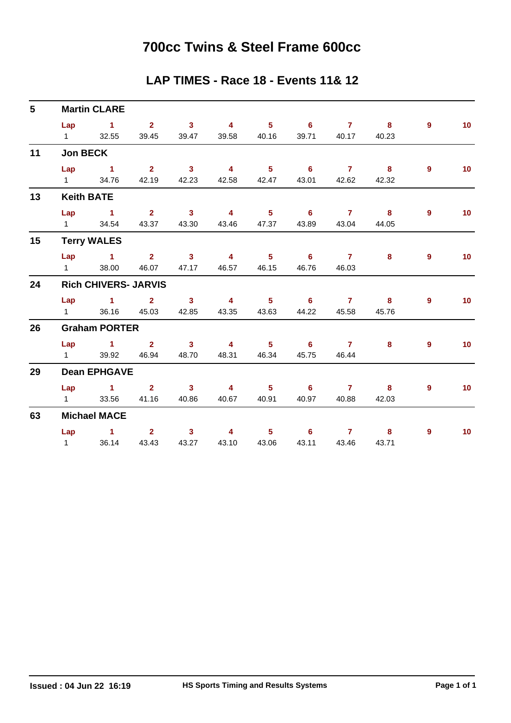### **700cc Twins & Steel Frame 600cc**

#### **LAP TIMES - Race 18 - Events 11& 12**

| $5\phantom{.0}$ |                             | <b>Martin CLARE</b> |                         |                            |                         |                            |                            |                 |                         |                |                 |  |  |  |  |
|-----------------|-----------------------------|---------------------|-------------------------|----------------------------|-------------------------|----------------------------|----------------------------|-----------------|-------------------------|----------------|-----------------|--|--|--|--|
|                 | Lap                         | $\sim$ 1.000 $\sim$ | $\overline{\mathbf{2}}$ | $\sim$ 3                   | $\overline{\mathbf{4}}$ | $5^{\circ}$ 6              |                            | $7 \t 8$        |                         | 9              | 10 <sup>°</sup> |  |  |  |  |
|                 | $1 \quad \Box$              | 32.55               | 39.45                   | 39.47                      | 39.58                   | 40.16                      | 39.71                      | 40.17           | 40.23                   |                |                 |  |  |  |  |
| 11              | <b>Jon BECK</b>             |                     |                         |                            |                         |                            |                            |                 |                         |                |                 |  |  |  |  |
|                 |                             | $Lap$ 1             | $\overline{\mathbf{2}}$ | $\overline{\phantom{a}}$ 3 | $\overline{\mathbf{4}}$ | $\overline{\phantom{0}}$ 5 | $\overline{\phantom{a}}$ 6 | $7 \t 8$        |                         | $\overline{9}$ | 10 <sub>1</sub> |  |  |  |  |
|                 | $1 \quad \Box$              | 34.76               |                         | 42.19 42.23                | 42.58                   | 42.47                      | 43.01                      | 42.62           | 42.32                   |                |                 |  |  |  |  |
| 13              |                             | <b>Keith BATE</b>   |                         |                            |                         |                            |                            |                 |                         |                |                 |  |  |  |  |
|                 | Lap                         | $\sim$ 1            | $\overline{\mathbf{2}}$ | $\overline{\mathbf{3}}$    | $\overline{4}$          | $\overline{\phantom{a}}$ 5 | $\overline{\phantom{a}}$ 6 | $\sim$ 7 $\sim$ | $\overline{\mathbf{8}}$ | 9              | 10              |  |  |  |  |
|                 |                             | 1 34.54             | 43.37                   | 43.30                      | 43.46                   | 47.37                      | 43.89                      | 43.04           | 44.05                   |                |                 |  |  |  |  |
| 15              |                             | <b>Terry WALES</b>  |                         |                            |                         |                            |                            |                 |                         |                |                 |  |  |  |  |
|                 |                             | Lap 1 2 3           |                         |                            | $\sim$ 4                | $\overline{\phantom{a}}$ 5 | $\sim$ 6                   | $\mathbf{7}$    | 8                       | 9              | 10 <sub>1</sub> |  |  |  |  |
|                 | $1 \quad \Box$              | 38.00               | 46.07                   | 47.17                      | 46.57                   | 46.15                      | 46.76                      | 46.03           |                         |                |                 |  |  |  |  |
| 24              | <b>Rich CHIVERS- JARVIS</b> |                     |                         |                            |                         |                            |                            |                 |                         |                |                 |  |  |  |  |
|                 |                             | Lap 1               | $2^{\circ}$             | $\overline{\mathbf{3}}$    | $\overline{4}$          | $\overline{\phantom{0}}$ 5 | $\overline{\phantom{a}}$ 6 | $\overline{7}$  | $\overline{\mathbf{8}}$ | 9              | 10 <sup>°</sup> |  |  |  |  |
|                 | $1 \quad \Box$              | 36.16               | 45.03                   | 42.85                      | 43.35                   | 43.63                      | 44.22                      | 45.58           | 45.76                   |                |                 |  |  |  |  |
| 26              | <b>Graham PORTER</b>        |                     |                         |                            |                         |                            |                            |                 |                         |                |                 |  |  |  |  |
|                 |                             | Lap $1$ 2           |                         | $\sim$ 3                   | $\overline{\mathbf{4}}$ |                            | 5 6 7                      |                 | 8                       | $\overline{9}$ | 10 <sub>1</sub> |  |  |  |  |
|                 | $1 \quad \Box$              |                     | 39.92 46.94             | 48.70                      | 48.31                   | 46.34                      | 45.75                      | 46.44           |                         |                |                 |  |  |  |  |
| 29              | <b>Dean EPHGAVE</b>         |                     |                         |                            |                         |                            |                            |                 |                         |                |                 |  |  |  |  |
|                 |                             | Lap 1 2 3           |                         |                            | $\overline{4}$          | $\overline{\phantom{0}}$ 5 | $\overline{\phantom{a}}$ 6 | $\sim$ 7 $\sim$ | $\overline{\mathbf{8}}$ | 9              | 10              |  |  |  |  |
|                 | $1 \quad \Box$              | 33.56               | 41.16                   | 40.86                      | 40.67                   | 40.91                      | 40.97                      | 40.88           | 42.03                   |                |                 |  |  |  |  |
| 63              | <b>Michael MACE</b>         |                     |                         |                            |                         |                            |                            |                 |                         |                |                 |  |  |  |  |
|                 | Lap                         | $\sim$ $\sim$ 1     | 2 <sup>1</sup>          | 3 <sup>7</sup>             | $\overline{4}$          | $5 -$                      | $6^{\circ}$                | $\mathbf{7}$    | 8                       | 9              | 10              |  |  |  |  |
|                 | $1 \qquad \qquad$           |                     | 36.14 43.43             | 43.27                      | 43.10                   | 43.06                      | 43.11                      | 43.46           | 43.71                   |                |                 |  |  |  |  |